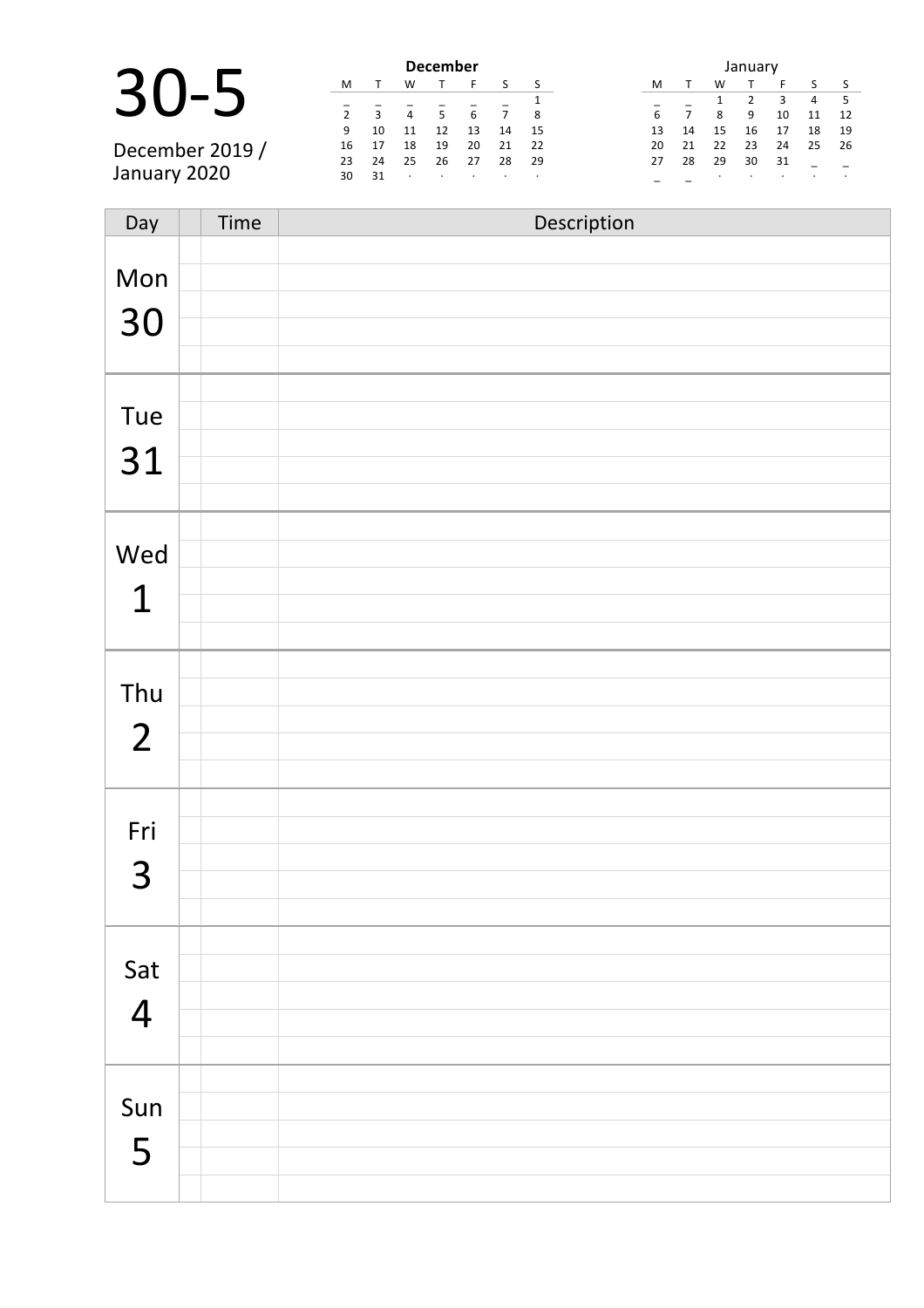|               | <b>December</b> |              |                |                |                 |         |     |  | January |    |    |    |    |    |    |
|---------------|-----------------|--------------|----------------|----------------|-----------------|---------|-----|--|---------|----|----|----|----|----|----|
|               | M               |              | W              |                |                 |         | S   |  | M       |    | W  |    |    |    |    |
|               |                 |              |                |                |                 |         |     |  |         |    |    |    |    | 4  |    |
|               | $\overline{2}$  | $\mathbf{a}$ | $\overline{4}$ | 5 <sup>1</sup> | $6\overline{6}$ |         | - 8 |  |         |    | 8  | 9  | 10 | 11 | 12 |
|               | 9               | 10           | 11             | 12             | 13              | 14      | 15  |  |         | 14 | 15 | 16 | 17 | 18 | 19 |
| December 2019 | 16              |              | 18             | 19             | 20              | 21      | 22  |  | 20      | 21 | 22 | 23 | 24 | 25 | 26 |
|               | 23              | 24           | 25             | 26             | 27              | 28      | 29  |  | 27      | 28 | 29 | 30 | 31 |    |    |
| January 2020  | 30              | 31           | $\cdot$        | $\cdot$        | $\cdot$         | $\cdot$ | . . |  |         |    |    |    |    |    |    |
|               |                 |              |                |                |                 |         |     |  |         |    |    |    |    |    |    |

| Day            | Time | Description |
|----------------|------|-------------|
| Mon            |      |             |
|                |      |             |
| 30             |      |             |
|                |      |             |
|                |      |             |
| Tue            |      |             |
| 31             |      |             |
|                |      |             |
|                |      |             |
| Wed            |      |             |
| $\mathbf 1$    |      |             |
|                |      |             |
|                |      |             |
| Thu            |      |             |
| $\overline{2}$ |      |             |
|                |      |             |
|                |      |             |
| Fri            |      |             |
| 3              |      |             |
|                |      |             |
|                |      |             |
| Sat            |      |             |
| $\overline{4}$ |      |             |
|                |      |             |
|                |      |             |
| Sun            |      |             |
|                |      |             |
| 5              |      |             |
|                |      |             |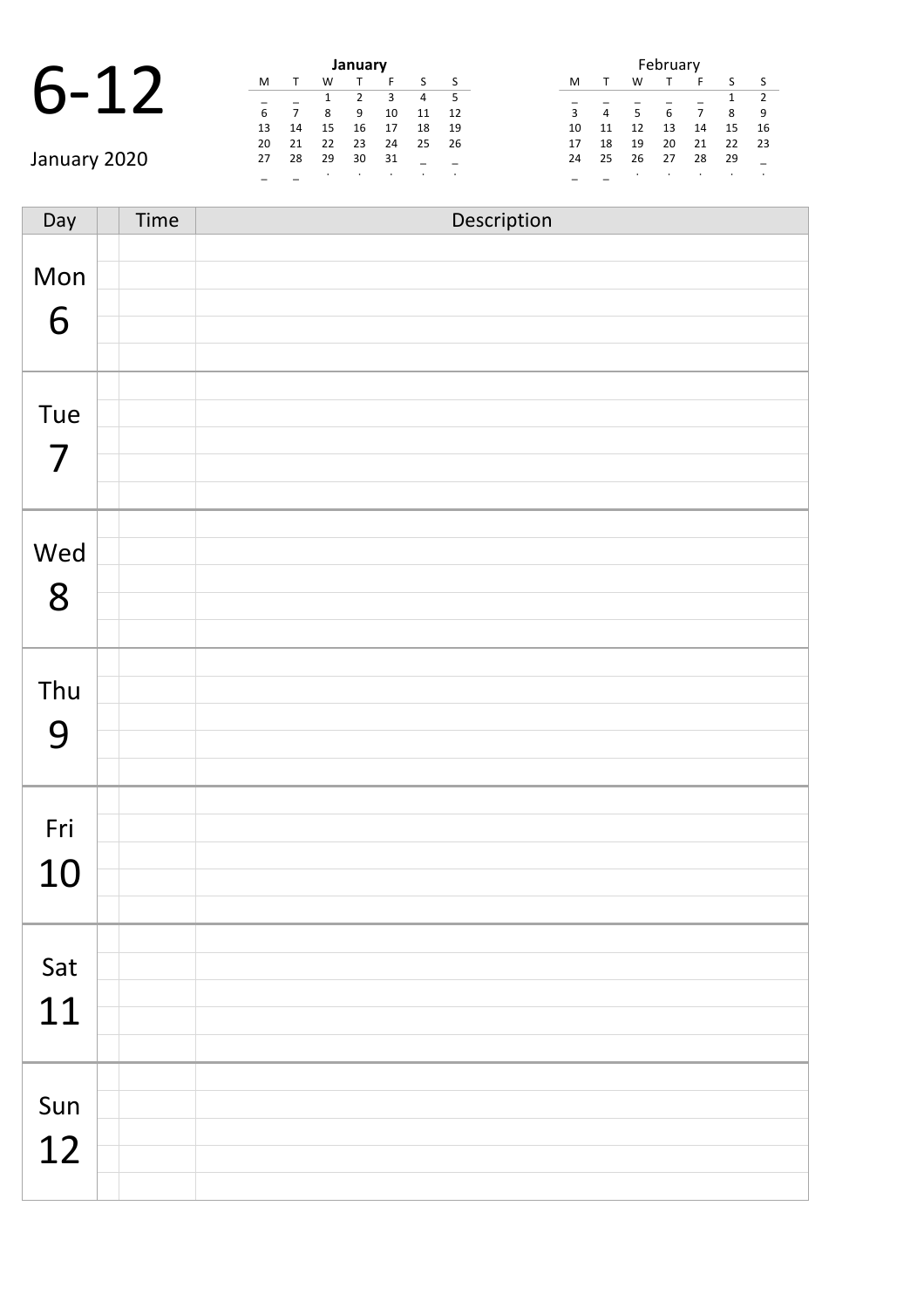|              |    |    | January |    |  |  |  |  |
|--------------|----|----|---------|----|--|--|--|--|
|              | м  |    | w       |    |  |  |  |  |
|              |    |    |         |    |  |  |  |  |
|              | 6  |    | 8       | 9  |  |  |  |  |
|              | 13 | 14 | 15      | 16 |  |  |  |  |
|              | 20 | 21 | 22      | 23 |  |  |  |  |
| January 2020 | 27 | 28 | 29      | 30 |  |  |  |  |

| January |    |    |                |    |    |    |  |  |  |  |  |  |  |
|---------|----|----|----------------|----|----|----|--|--|--|--|--|--|--|
| м       | т  | W  |                | F  | S  | S  |  |  |  |  |  |  |  |
|         |    | 1  | $\overline{2}$ | 3  | 4  | 5  |  |  |  |  |  |  |  |
| 6       | 7  | 8  | 9              | 10 | 11 | 12 |  |  |  |  |  |  |  |
| 13      | 14 | 15 | 16             | 17 | 18 | 19 |  |  |  |  |  |  |  |
| 20      | 21 | 22 | 23             | 24 | 25 | 26 |  |  |  |  |  |  |  |
| 27      | 28 | 29 | 30             | 31 |    |    |  |  |  |  |  |  |  |
|         |    | ٠  |                |    |    | ٠  |  |  |  |  |  |  |  |

| February |    |    |    |    |    |                |  |  |  |  |  |  |
|----------|----|----|----|----|----|----------------|--|--|--|--|--|--|
| м        |    | w  |    | F  | S  | ς              |  |  |  |  |  |  |
|          |    |    |    |    | 1  | $\overline{2}$ |  |  |  |  |  |  |
| 3        | 4  | 5  | 6  |    | 8  | q              |  |  |  |  |  |  |
| 10       | 11 | 12 | 13 | 14 | 15 | 16             |  |  |  |  |  |  |
| 17       | 18 | 19 | 20 | 21 | 22 | 23             |  |  |  |  |  |  |
| 24       | 25 | 26 | 27 | 28 | 29 |                |  |  |  |  |  |  |
|          |    | ٠  |    |    |    |                |  |  |  |  |  |  |

Day Time Description Mon 6 Tue 7 Wed 8 Thu 9 Fri 10 Sat 11 Sun 12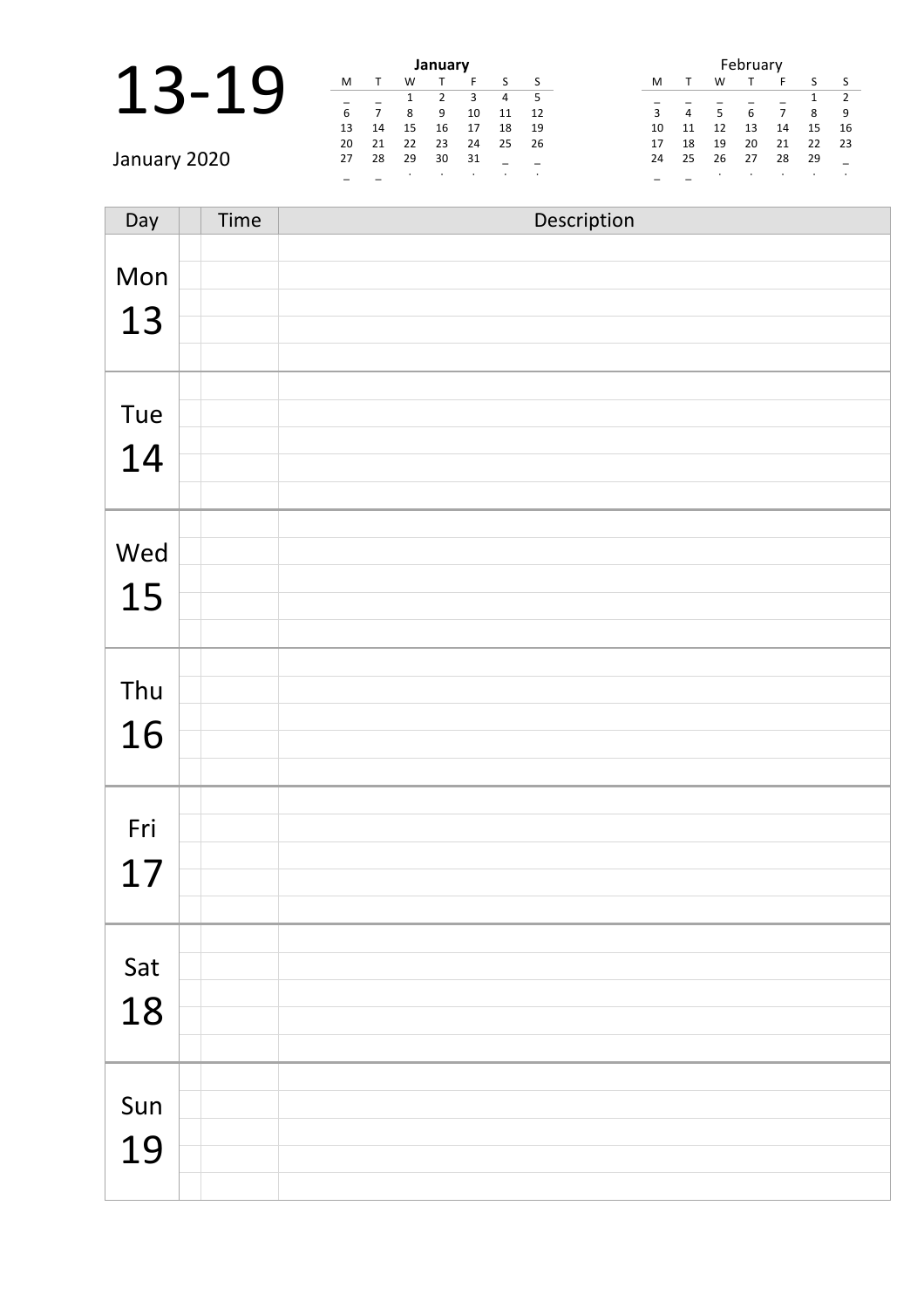|                     |        |        |        | January |  |
|---------------------|--------|--------|--------|---------|--|
| $\boldsymbol{\Box}$ |        |        |        |         |  |
|                     |        |        |        |         |  |
|                     | 6      |        |        |         |  |
|                     | 13     | 14     | 15     | 16      |  |
|                     | $\sim$ | $\sim$ | $\sim$ | $\sim$  |  |

|    | January          |    |    |    |    |    |  |  |  |  |  |  |  |  |
|----|------------------|----|----|----|----|----|--|--|--|--|--|--|--|--|
| M  | w<br>S<br>F<br>т |    |    |    |    |    |  |  |  |  |  |  |  |  |
|    |                  | 1  | 2  | З  | 4  | 5  |  |  |  |  |  |  |  |  |
| 6  |                  | 8  | 9  | 10 | 11 | 12 |  |  |  |  |  |  |  |  |
| 13 | 14               | 15 | 16 | 17 | 18 | 19 |  |  |  |  |  |  |  |  |
| 20 | 21               | 22 | 23 | 24 | 25 | 26 |  |  |  |  |  |  |  |  |
| 27 | 28               | 29 | 30 | 31 |    |    |  |  |  |  |  |  |  |  |
|    |                  |    |    | ٠  | ٠  | ٠  |  |  |  |  |  |  |  |  |

| February       |    |    |    |    |    |    |  |  |  |  |  |  |  |
|----------------|----|----|----|----|----|----|--|--|--|--|--|--|--|
| M              | т  | W  | т  | S  | S  |    |  |  |  |  |  |  |  |
|                |    |    |    |    | 1  | 2  |  |  |  |  |  |  |  |
| $\overline{3}$ | 4  | 5  | 6  | 7  | 8  | 9  |  |  |  |  |  |  |  |
| 10             | 11 | 12 | 13 | 14 | 15 | 16 |  |  |  |  |  |  |  |
| 17             | 18 | 19 | 20 | 21 | 22 | 23 |  |  |  |  |  |  |  |
| 24             | 25 | 26 | 27 | 28 | 29 |    |  |  |  |  |  |  |  |
|                |    |    |    |    |    |    |  |  |  |  |  |  |  |

January 2020

| Day       | Time | Description |
|-----------|------|-------------|
| Mon       |      |             |
| 13        |      |             |
| Tue<br>14 |      |             |
|           |      |             |
| Wed<br>15 |      |             |
| Thu       |      |             |
| 16        |      |             |
| Fri<br>17 |      |             |
| Sat<br>18 |      |             |
| Sun<br>19 |      |             |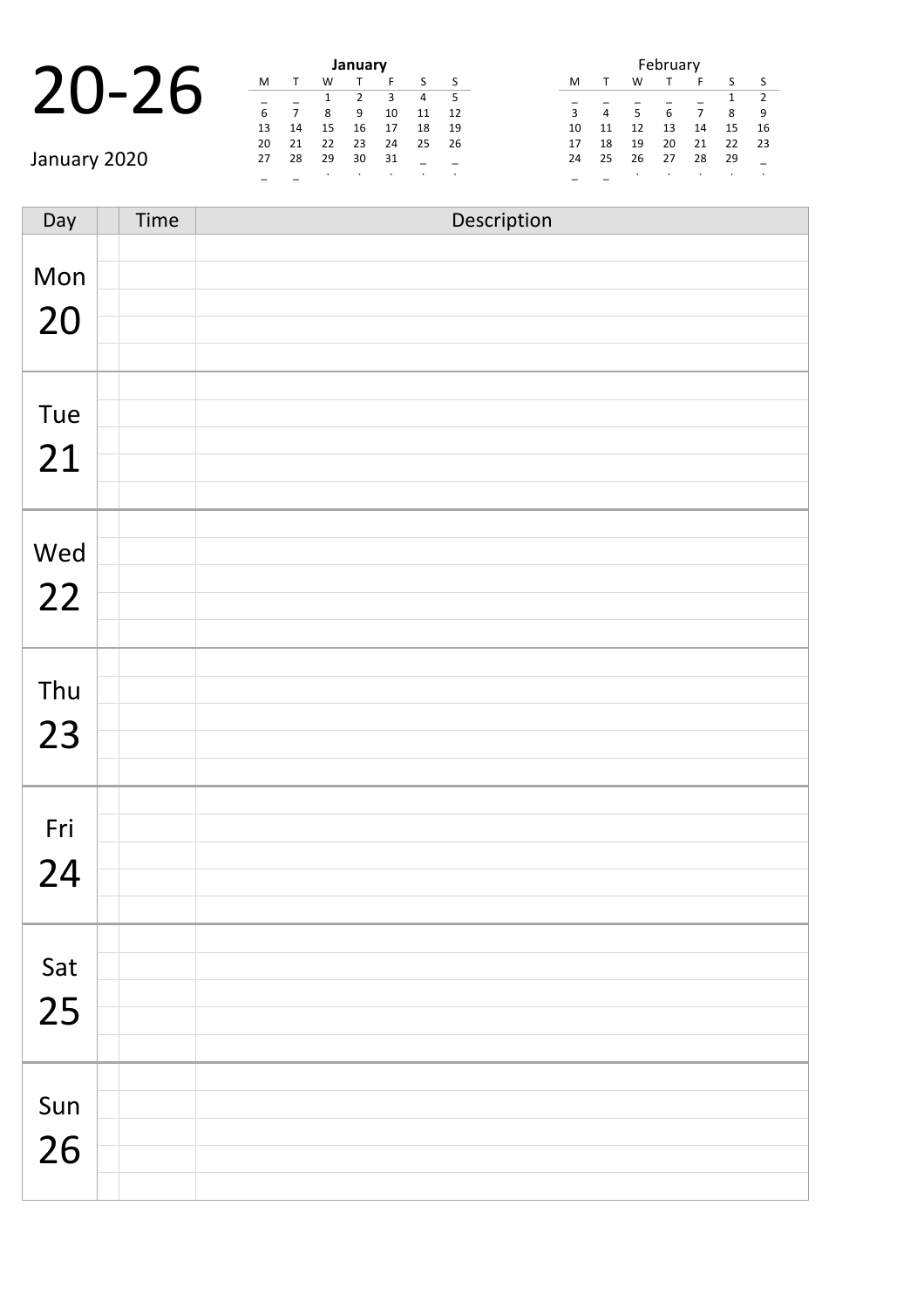### 20-26 **January**

January 2020

| January |    |    |    |    |    |    |  |  |  |  |  |  |  |  |
|---------|----|----|----|----|----|----|--|--|--|--|--|--|--|--|
| M       |    | W  |    | F  | S  | S  |  |  |  |  |  |  |  |  |
|         |    | 1  | 2  | 3  | 4  | 5  |  |  |  |  |  |  |  |  |
| 6       | 7  | 8  | 9  | 10 | 11 | 12 |  |  |  |  |  |  |  |  |
| 13      | 14 | 15 | 16 | 17 | 18 | 19 |  |  |  |  |  |  |  |  |
| 20      | 21 | 22 | 23 | 24 | 25 | 26 |  |  |  |  |  |  |  |  |
| 27      | 28 | 29 | 30 | 31 |    |    |  |  |  |  |  |  |  |  |
|         |    | ٠  |    |    | ٠  | ٠  |  |  |  |  |  |  |  |  |

| February |              |    |    |    |    |                |  |  |  |  |  |  |  |
|----------|--------------|----|----|----|----|----------------|--|--|--|--|--|--|--|
| м        | $\mathsf{T}$ | W  |    | S  | S  |                |  |  |  |  |  |  |  |
|          |              |    |    |    | 1  | $\overline{2}$ |  |  |  |  |  |  |  |
| 3        | 4            | 5  | 6  | 7  | 8  | 9              |  |  |  |  |  |  |  |
| 10       | 11           | 12 | 13 | 14 | 15 | 16             |  |  |  |  |  |  |  |
| 17       | 18           | 19 | 20 | 21 | 22 | 23             |  |  |  |  |  |  |  |
| 24       | 25           | 26 | 27 | 28 | 29 |                |  |  |  |  |  |  |  |
|          |              |    |    |    |    |                |  |  |  |  |  |  |  |

Day Time Description Mon 20 Tue 21 Wed 22 Thu 23 Fri 24 Sat 25 Sun 26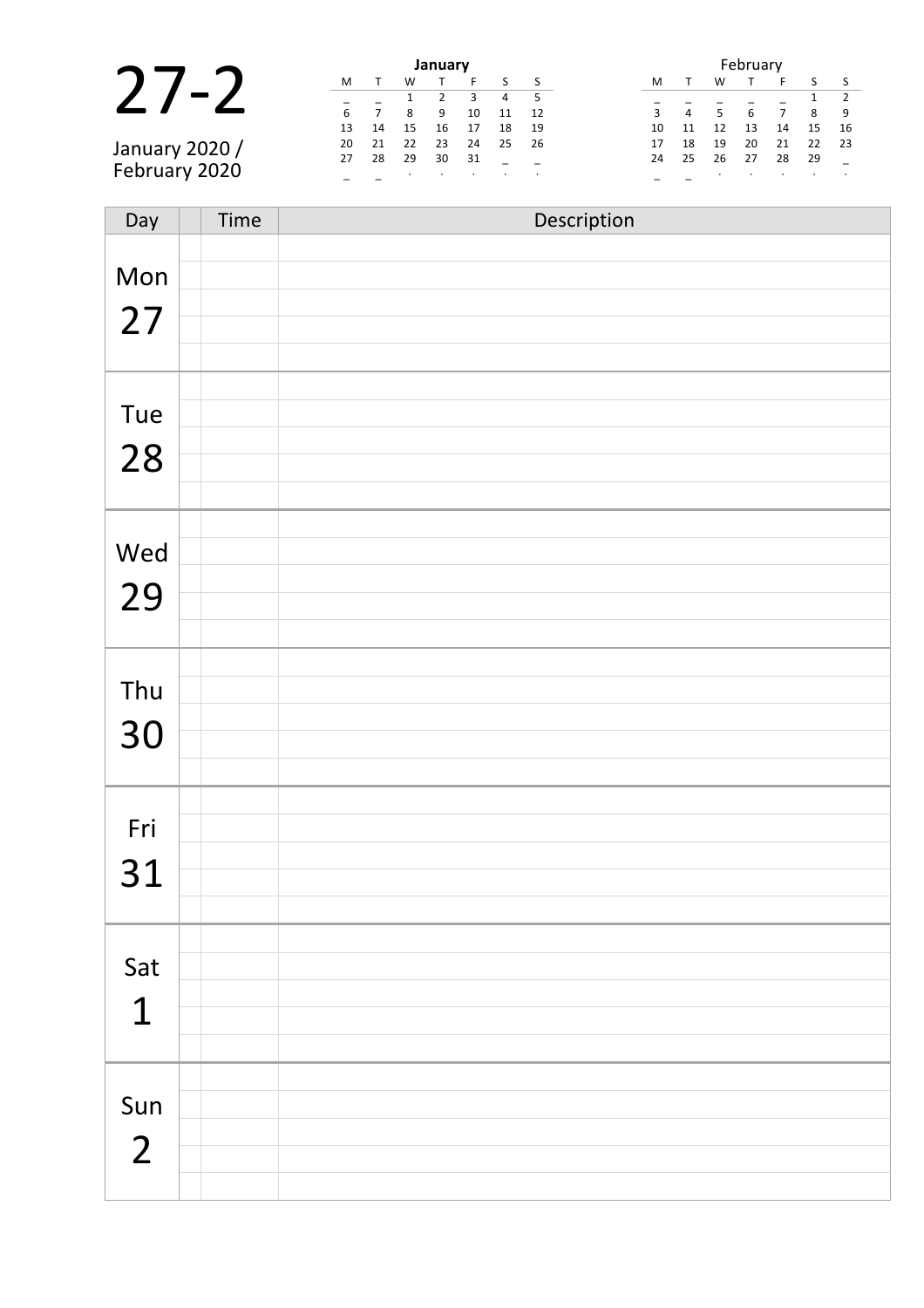|                |    |                |    | January |         |         |      |    | February       |    |    |    |    |     |
|----------------|----|----------------|----|---------|---------|---------|------|----|----------------|----|----|----|----|-----|
|                | M  |                | w  |         |         |         |      | M  |                | W  |    |    |    |     |
|                |    |                |    |         |         | 4       | -5   |    |                |    |    |    |    |     |
|                | 6  | $\overline{ }$ | 8  | 9       | 10      | 11      | 12   | 3  | $\overline{4}$ | 5  |    |    | 8  | -9  |
|                | 13 | 14             | 15 | 16      | 17      | 18      | - 19 | 10 | 11             | 12 | 13 | 14 | 15 | 16  |
| January 2020 / | 20 | 21             | 22 | 23      | 24      | 25      | - 26 | 17 | 18             | 19 | 20 | 21 | 22 | -23 |
|                | 27 | 28             | 29 | 30      | 31      |         |      | 24 | 25             | 26 | 27 | 28 | 29 |     |
| February 2020  |    |                |    |         | $\cdot$ | $\cdot$ |      |    |                |    |    |    |    |     |

| Day            | Time | Description |
|----------------|------|-------------|
|                |      |             |
| Mon            |      |             |
| 27             |      |             |
|                |      |             |
|                |      |             |
| Tue            |      |             |
|                |      |             |
| 28             |      |             |
|                |      |             |
|                |      |             |
| Wed            |      |             |
| 29             |      |             |
|                |      |             |
|                |      |             |
| Thu            |      |             |
|                |      |             |
| 30             |      |             |
|                |      |             |
|                |      |             |
| Fri            |      |             |
| 31             |      |             |
|                |      |             |
|                |      |             |
| Sat            |      |             |
|                |      |             |
| $\mathbf 1$    |      |             |
|                |      |             |
|                |      |             |
| Sun            |      |             |
| $\overline{2}$ |      |             |
|                |      |             |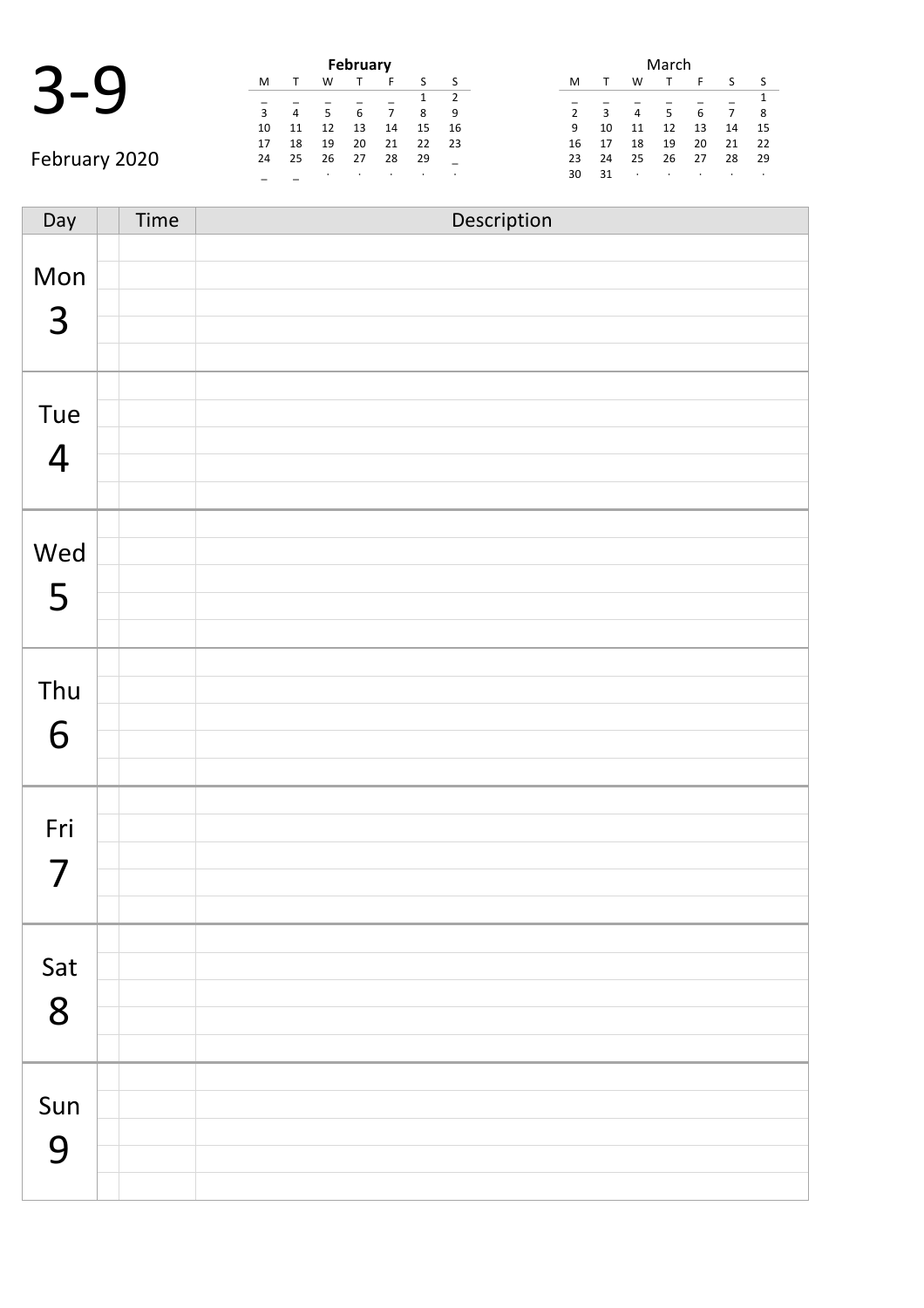| $\blacktriangleright$ | 1<br>C |  |
|-----------------------|--------|--|
|                       |        |  |

|               |    |                |    | February |    |    |    |
|---------------|----|----------------|----|----------|----|----|----|
|               | M  |                | w  |          | F  | S  |    |
|               |    |                |    |          |    |    |    |
|               | 3  | $\overline{4}$ | 5  | 6        |    | 8  | 9  |
|               | 10 | 11             | 12 | 13       | 14 | 15 | 16 |
|               | 17 | 18             | 19 | 20       | 21 | 22 | 23 |
| February 2020 | 24 | 25             | 26 | 27       | 28 | 29 |    |
|               |    |                |    | ٠        |    | ٠  |    |

|                |    |    | March |    |    |    |
|----------------|----|----|-------|----|----|----|
| M              |    | w  |       | F  | S  | S  |
|                |    |    |       |    |    | 1  |
| $\overline{2}$ | 3  | 4  | 5     | 6  |    | 8  |
| 9              | 10 | 11 | 12    | 13 | 14 | 15 |
| 16             | 17 | 18 | 19    | 20 | 21 | 22 |
| 23             | 24 | 25 | 26    | 27 | 28 | 29 |
| 30             | 31 | ٠  |       | ٠  | ٠  |    |

| Day            | Time | Description |
|----------------|------|-------------|
|                |      |             |
| Mon            |      |             |
| $\overline{3}$ |      |             |
|                |      |             |
|                |      |             |
|                |      |             |
| Tue            |      |             |
| $\overline{4}$ |      |             |
|                |      |             |
|                |      |             |
| Wed            |      |             |
| 5              |      |             |
|                |      |             |
|                |      |             |
| Thu            |      |             |
|                |      |             |
| 6              |      |             |
|                |      |             |
|                |      |             |
| Fri            |      |             |
| 7              |      |             |
|                |      |             |
|                |      |             |
| Sat            |      |             |
|                |      |             |
| 8              |      |             |
|                |      |             |
|                |      |             |
| Sun            |      |             |
| 9              |      |             |
|                |      |             |
|                |      |             |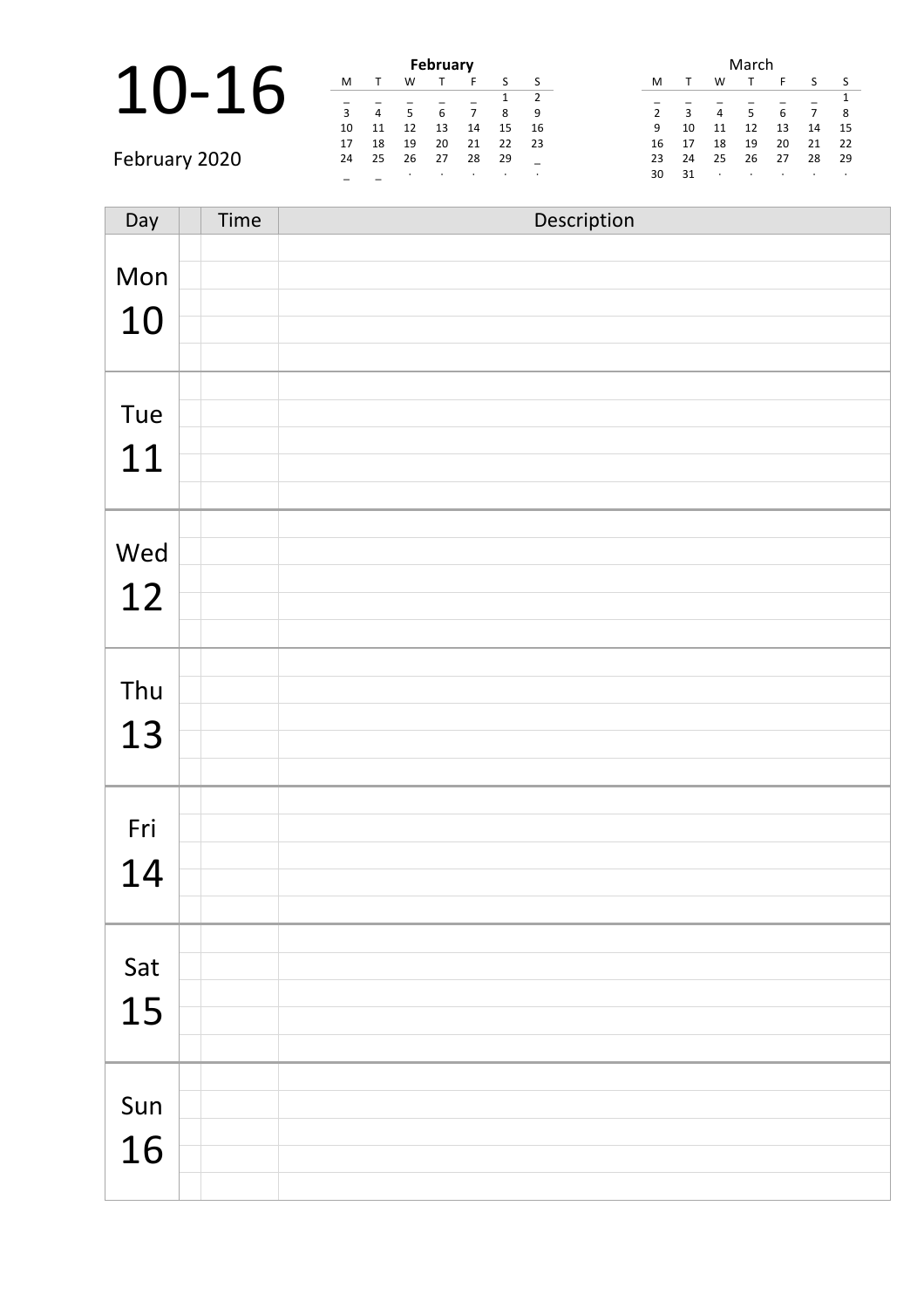|               |              |    |         | February        |         |     |         |                |    |                | March |         |         |    |
|---------------|--------------|----|---------|-----------------|---------|-----|---------|----------------|----|----------------|-------|---------|---------|----|
| <b>1</b>      | M            |    | W       |                 |         |     |         | M              |    | W              |       |         |         |    |
|               |              |    |         |                 |         |     | -2      |                |    |                |       |         |         |    |
|               | $\mathbf{a}$ | 4  | 5       | $6\overline{6}$ |         | 8   | -9      | $\overline{2}$ | 3  | $\overline{4}$ | 5.    |         |         | 8  |
|               | 10           | 11 | 12      | 13              | 14      | 15  | -16     | 9              | 10 | 11             | 12    | 13      | 14      | 15 |
|               | 17           | 18 | 19      | 20              | 21      | 22  | - 23    | 16             | 17 | 18             | 19    | 20      | 21      | 22 |
| February 2020 | 24           | 25 | 26      | 27              | 28      | -29 |         | 23             | 24 | 25             | 26    | 27      | 28      | 29 |
|               |              |    | $\cdot$ |                 | $\cdot$ |     | $\cdot$ | 30             | 31 | $\cdot$        |       | $\cdot$ | $\cdot$ |    |

| Day | Time | Description |
|-----|------|-------------|
|     |      |             |
| Mon |      |             |
| 10  |      |             |
|     |      |             |
|     |      |             |
| Tue |      |             |
|     |      |             |
| 11  |      |             |
|     |      |             |
| Wed |      |             |
|     |      |             |
| 12  |      |             |
|     |      |             |
|     |      |             |
| Thu |      |             |
| 13  |      |             |
|     |      |             |
|     |      |             |
| Fri |      |             |
| 14  |      |             |
|     |      |             |
|     |      |             |
| Sat |      |             |
|     |      |             |
| 15  |      |             |
|     |      |             |
|     |      |             |
| Sun |      |             |
| 16  |      |             |
|     |      |             |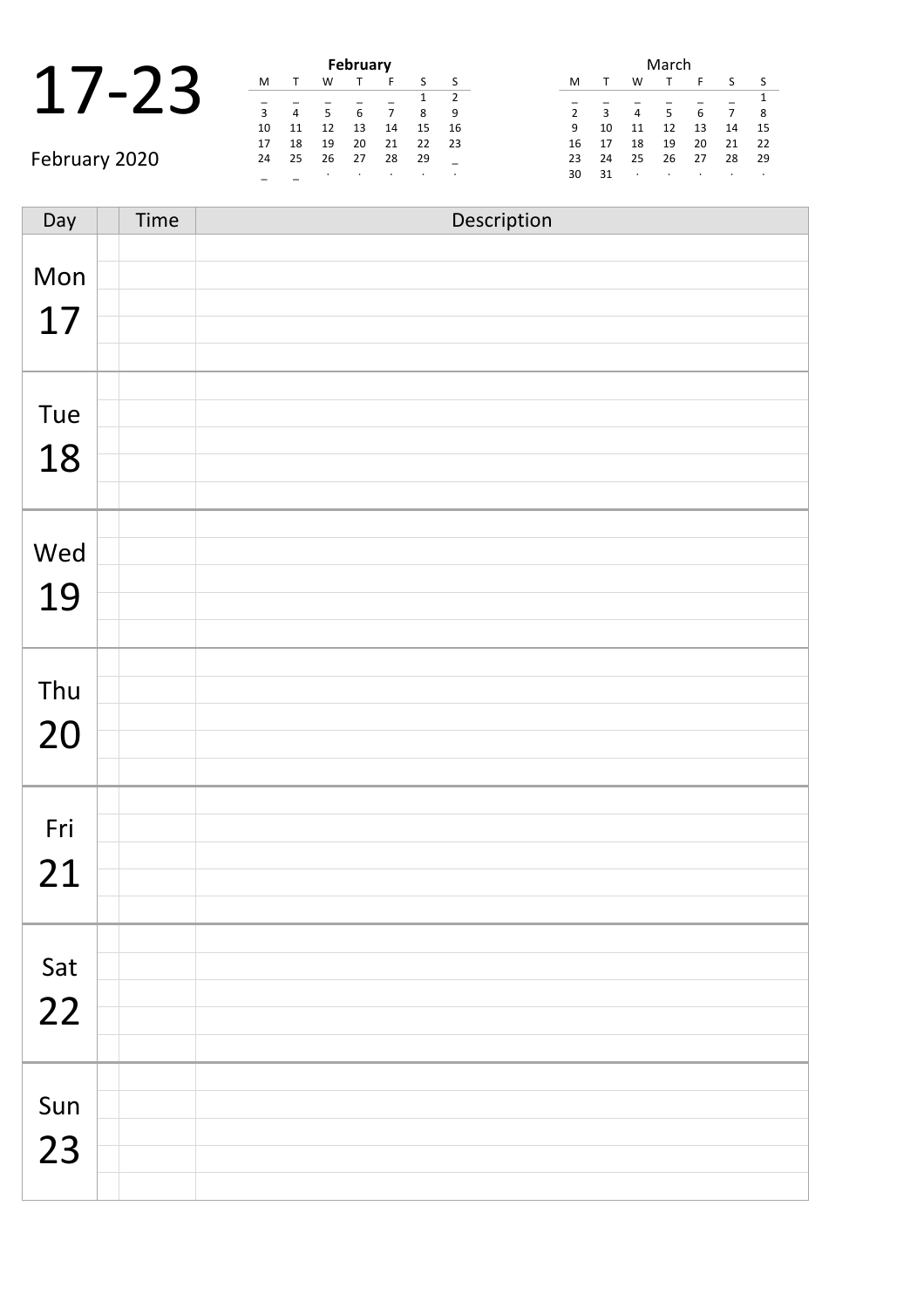|    |  | February |   |
|----|--|----------|---|
|    |  |          |   |
| ર  |  |          |   |
| 10 |  | 12       | 4 |

February 2020

|    |    |    | <b>February</b> |    |    |               |
|----|----|----|-----------------|----|----|---------------|
| м  |    | w  |                 | F  | S  | ς             |
|    |    |    |                 |    | 1  | $\mathcal{P}$ |
| 3  | 4  | 5  | 6               |    | 8  | 9             |
| 10 | 11 | 12 | 13              | 14 | 15 | 16            |
| 17 | 18 | 19 | 20              | 21 | 22 | 23            |
| 24 | 25 | 26 | 27              | 28 | 29 |               |
|    |    | ٠  |                 |    | ٠  |               |

|                |    |    | March |    |    |    |
|----------------|----|----|-------|----|----|----|
| м              |    | w  | т     | F  | S  | ς  |
|                |    |    |       |    |    | 1  |
| $\overline{2}$ | 3  | 4  | 5     | 6  | 7  | 8  |
| 9              | 10 | 11 | 12    | 13 | 14 | 15 |
| 16             | 17 | 18 | 19    | 20 | 21 | 22 |
| 23             | 24 | 25 | 26    | 27 | 28 | 29 |
| 30             | 31 | ٠  | ٠     | ٠  |    | ٠  |

| Day | Time | Description |
|-----|------|-------------|
|     |      |             |
| Mon |      |             |
| 17  |      |             |
|     |      |             |
|     |      |             |
| Tue |      |             |
|     |      |             |
| 18  |      |             |
|     |      |             |
| Wed |      |             |
|     |      |             |
| 19  |      |             |
|     |      |             |
|     |      |             |
| Thu |      |             |
| 20  |      |             |
|     |      |             |
|     |      |             |
| Fri |      |             |
|     |      |             |
| 21  |      |             |
|     |      |             |
| Sat |      |             |
|     |      |             |
| 22  |      |             |
|     |      |             |
|     |      |             |
| Sun |      |             |
| 23  |      |             |
|     |      |             |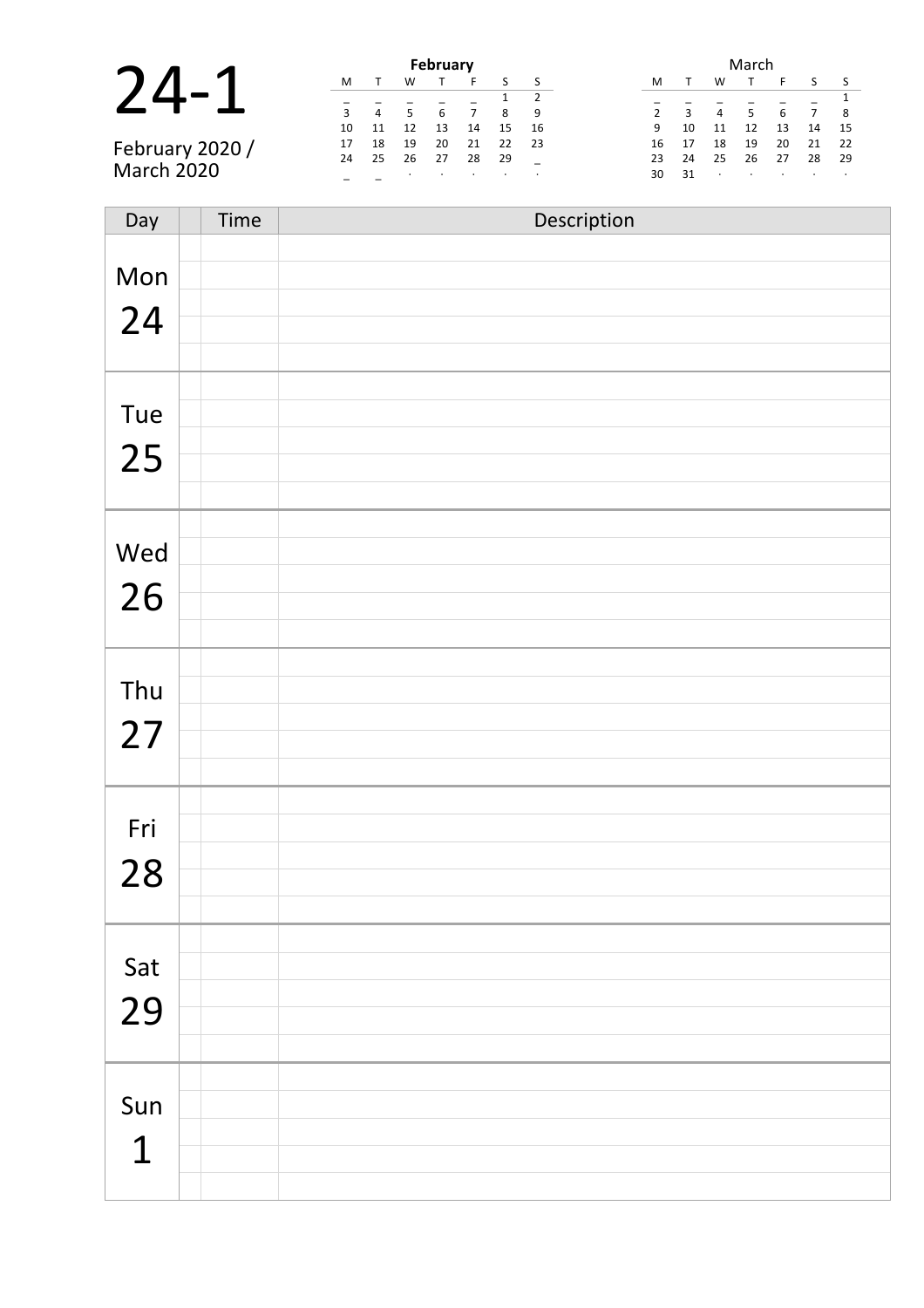|               |    |    |    | February |    |    |      | March                      |            |
|---------------|----|----|----|----------|----|----|------|----------------------------|------------|
|               | M  |    | w  |          |    |    |      | w<br>M                     |            |
|               |    |    |    |          |    |    |      |                            |            |
|               | 3  | 4  |    | 6        |    | 8  | - 9  | $\overline{2}$<br>4        | 8          |
|               | 10 | 11 |    | 13       | 14 | 15 | - 16 | 12<br>9<br>13<br>10<br>11  | 14<br>-15  |
| February 2020 | 17 | 18 | 19 | 20       | 21 | 22 | - 23 | 19<br>20<br>18<br>16<br>17 | 21<br>- 22 |
|               | 24 | 25 | 26 | 27       | 28 | 29 |      | 26<br>27<br>25<br>24<br>23 | 28<br>-29  |
| March 2020    |    |    |    |          |    |    |      | 31<br>30<br>$\bullet$      |            |

| Day         | Time | Description |
|-------------|------|-------------|
|             |      |             |
| Mon         |      |             |
| 24          |      |             |
|             |      |             |
|             |      |             |
| Tue         |      |             |
|             |      |             |
| 25          |      |             |
|             |      |             |
|             |      |             |
| Wed         |      |             |
| 26          |      |             |
|             |      |             |
|             |      |             |
| Thu         |      |             |
|             |      |             |
| 27          |      |             |
|             |      |             |
|             |      |             |
| Fri         |      |             |
| 28          |      |             |
|             |      |             |
|             |      |             |
|             |      |             |
| Sat         |      |             |
| 29          |      |             |
|             |      |             |
|             |      |             |
| Sun         |      |             |
| $\mathbf 1$ |      |             |
|             |      |             |
|             |      |             |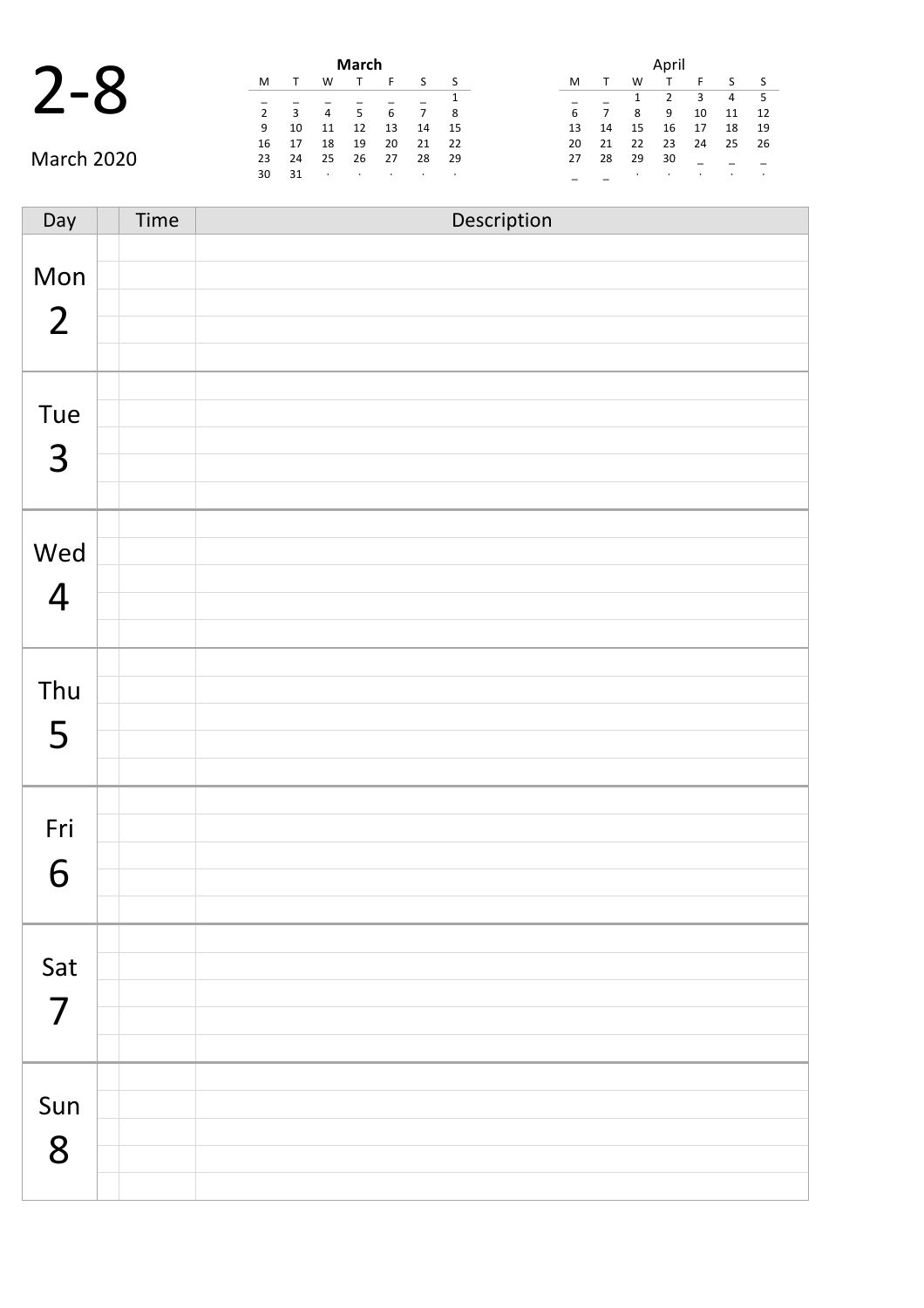|                |                |    |    |           |                |    |      |                              | March            |         |           |     |                |                                 |
|----------------|----------------|----|----|-----------|----------------|----|------|------------------------------|------------------|---------|-----------|-----|----------------|---------------------------------|
| $\sim$         |                |    |    | W         |                | M  |      |                              |                  |         | w         |     | M              | $\overline{\phantom{a}}$        |
| - 5            | $\overline{4}$ |    |    |           |                |    |      |                              |                  |         |           |     |                |                                 |
| $\overline{1}$ | 11             | 10 | 9  | 8         | $\overline{7}$ |    | - 8  |                              | 6                |         |           | 3   | $\overline{2}$ |                                 |
| $\overline{1}$ | 18             | 17 | 16 | 15        | 14             | 13 | - 15 | 14                           | 13               | 12      | 11        | 10  | 9              |                                 |
| 25 2           |                | 24 | 23 | 22        | 21             | 20 | -22  | 21                           | 20               | 19      | 18        | 17  | 16             |                                 |
|                |                |    | 30 | 29        | 28             | 27 | 29   | 28                           | 27               | 26      | 25        | -24 | 23             |                                 |
|                |                |    |    | $\bullet$ |                |    |      | the contract of the contract | $\sim$ 100 $\pm$ | $\cdot$ | $\bullet$ | 31  | 30             |                                 |
|                |                |    |    |           |                |    |      |                              |                  |         |           |     |                | $\sqrt{2}$<br><b>March 2020</b> |

| April |    |    |    |    |    |    |  |  |  |
|-------|----|----|----|----|----|----|--|--|--|
| М     | т  | W  | т  | F  | ς  | ς  |  |  |  |
|       |    | 1  | 2  | 3  | 4  | 5  |  |  |  |
| 6     | 7  | 8  | 9  | 10 | 11 | 12 |  |  |  |
| 13    | 14 | 15 | 16 | 17 | 18 | 19 |  |  |  |
| 20    | 21 | 22 | 23 | 24 | 25 | 26 |  |  |  |
| 27    | 28 | 29 | 30 |    |    |    |  |  |  |
|       |    |    | ٠  |    |    |    |  |  |  |

| Day                   | Time | Description |
|-----------------------|------|-------------|
| Mon<br>$\overline{2}$ |      |             |
| Tue<br>$\overline{3}$ |      |             |
| Wed<br>$\overline{4}$ |      |             |
| Thu<br>5              |      |             |
| Fri<br>6              |      |             |
| Sat<br>$\overline{7}$ |      |             |
| Sun<br>8              |      |             |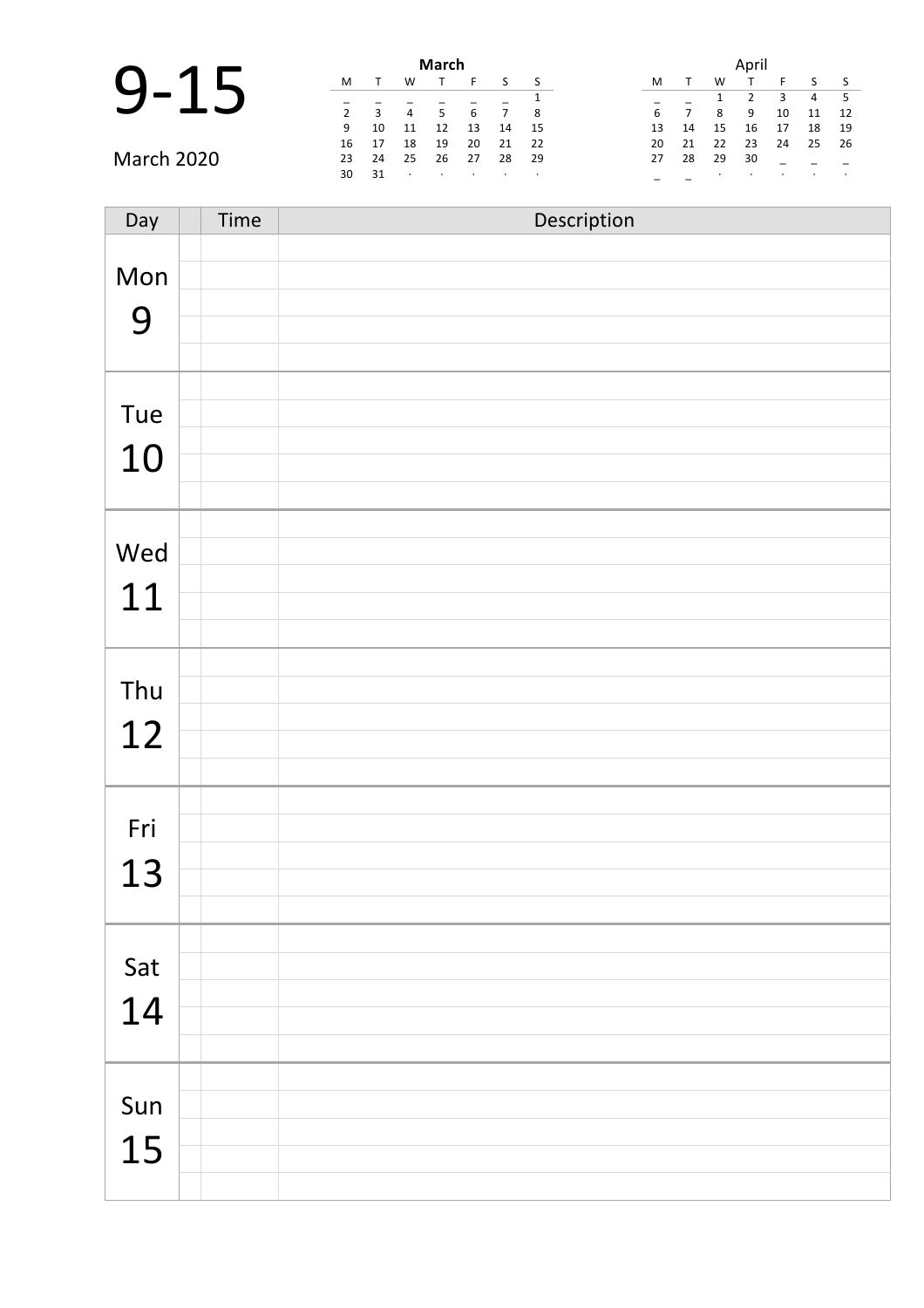|                   |                |      |                | <b>March</b> |    |    |      | April |    |    |    |    |                |              |  |
|-------------------|----------------|------|----------------|--------------|----|----|------|-------|----|----|----|----|----------------|--------------|--|
| $\bigcap$         | M              |      | w              |              |    |    |      | M     |    | W  |    |    |                | $\mathsf{S}$ |  |
|                   |                |      |                |              |    |    |      |       |    |    |    | 3  | $\overline{4}$ | $-5$         |  |
|                   | $\overline{2}$ | 3    | $\overline{4}$ |              |    | 7  | 8    | 6     |    |    | 9  | 10 | 11             | 12           |  |
|                   | 9              | 10   | 11             | 12           | 13 | 14 | - 15 | 13    | 14 | 15 | 16 | 17 | 18             | 19           |  |
|                   | 16             | 17   | 18             | 19           | 20 | 21 | 22   | 20    | 21 | 22 | 23 | 24 | 25             | 26           |  |
| <b>March 2020</b> | 23             | 24   | 25             | 26           | 27 | 28 | - 29 | 27    | 28 | 29 | 30 |    |                |              |  |
|                   | 30             | - 31 |                |              |    |    |      |       |    |    |    |    |                |              |  |

| Day       | Time | Description |
|-----------|------|-------------|
| Mon<br>9  |      |             |
| Tue<br>10 |      |             |
| Wed<br>11 |      |             |
| Thu<br>12 |      |             |
| Fri<br>13 |      |             |
| Sat<br>14 |      |             |
| Sun<br>15 |      |             |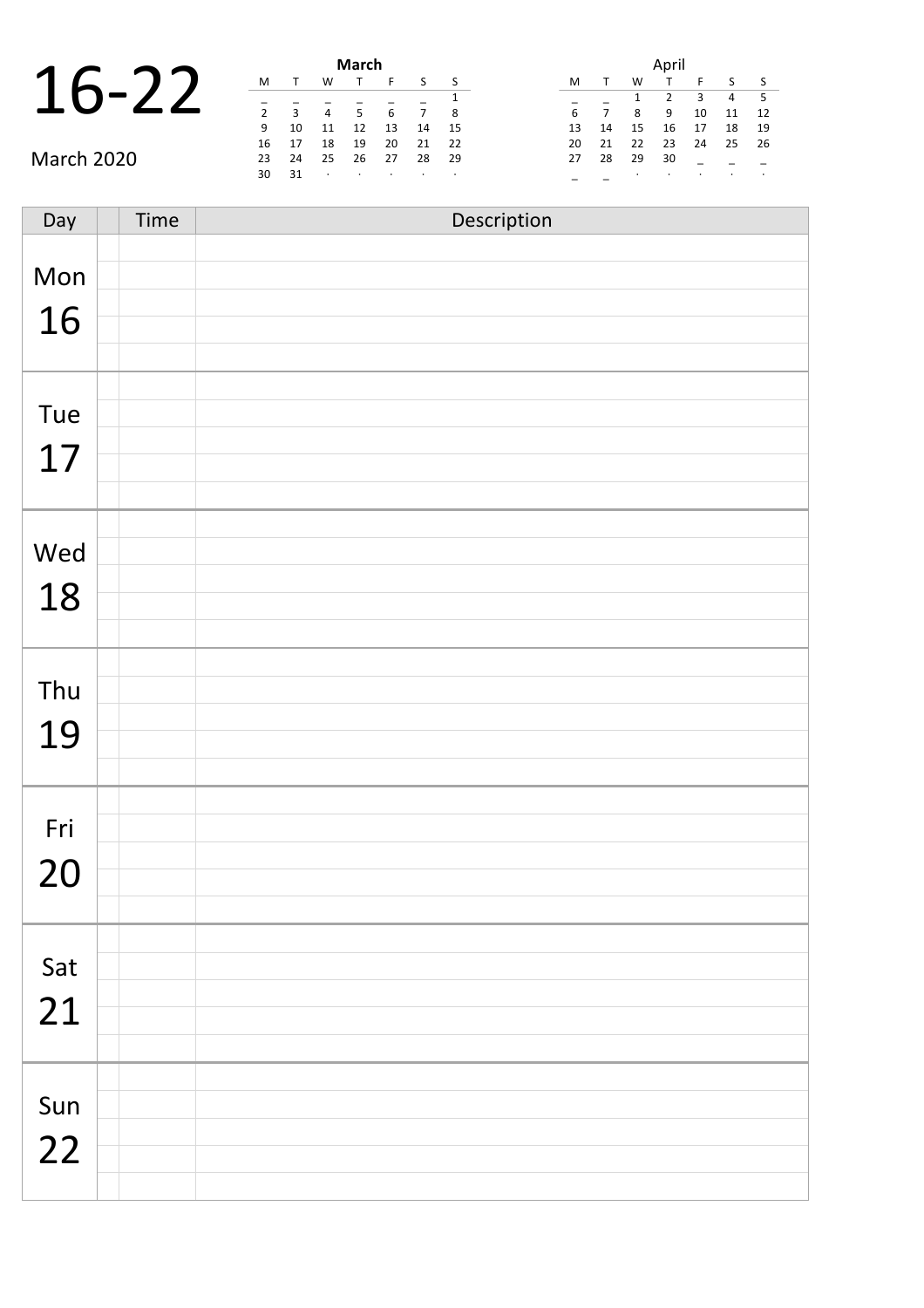### 16-22 **March**

|                   | March       |                |                |         |    |    |      |  |    |                |    |    |    |                |                          |  |  |
|-------------------|-------------|----------------|----------------|---------|----|----|------|--|----|----------------|----|----|----|----------------|--------------------------|--|--|
| $\mathbf 1$       | M           |                | w              |         | ь. |    | S S  |  | M  |                | W  |    |    |                | $\sim$                   |  |  |
| $\sqrt{2}$        |             |                |                |         |    |    |      |  |    |                |    |    | з  | $\overline{4}$ | - 5                      |  |  |
|                   | $2^{\circ}$ | $\overline{3}$ | $\overline{4}$ | -5      | 6  |    | - 8  |  |    | $\overline{7}$ | 8  | 9  | 10 | 11             | $\overline{\phantom{a}}$ |  |  |
|                   | 9           | 10             | 11             | 12      | 13 | 14 | - 15 |  | 13 | 14             | 15 | 16 | 17 | 18             | $\overline{1}$           |  |  |
|                   | 16          | - 17           | 18             | 19      | 20 | 21 | - 22 |  | 20 | - 21           | 22 | 23 | 24 | $25 \quad 2$   |                          |  |  |
| <b>March 2020</b> | 23          | 24             | 25             | 26      | 27 | 28 | - 29 |  | 27 | 28             | 29 | 30 |    |                |                          |  |  |
|                   | 30          | 31             | $\bullet$      | $\cdot$ |    |    |      |  |    |                |    |    |    |                |                          |  |  |

|    |              |    | April |    |    |    |
|----|--------------|----|-------|----|----|----|
| M  | $\mathsf{T}$ | w  |       | F  | S  | S  |
|    |              | 1  | 2     | 3  | 4  | 5  |
| 6  | 7            | 8  | 9     | 10 | 11 | 12 |
| 13 | 14           | 15 | 16    | 17 | 18 | 19 |
| 20 | 21           | 22 | 23    | 24 | 25 | 26 |
| 27 | 28           | 29 | 30    |    |    |    |
|    |              |    |       |    |    |    |

| Day | Time | Description |
|-----|------|-------------|
|     |      |             |
| Mon |      |             |
| 16  |      |             |
|     |      |             |
|     |      |             |
| Tue |      |             |
|     |      |             |
| 17  |      |             |
|     |      |             |
|     |      |             |
| Wed |      |             |
| 18  |      |             |
|     |      |             |
|     |      |             |
| Thu |      |             |
|     |      |             |
| 19  |      |             |
|     |      |             |
|     |      |             |
| Fri |      |             |
| 20  |      |             |
|     |      |             |
|     |      |             |
| Sat |      |             |
|     |      |             |
| 21  |      |             |
|     |      |             |
|     |      |             |
| Sun |      |             |
| 22  |      |             |
|     |      |             |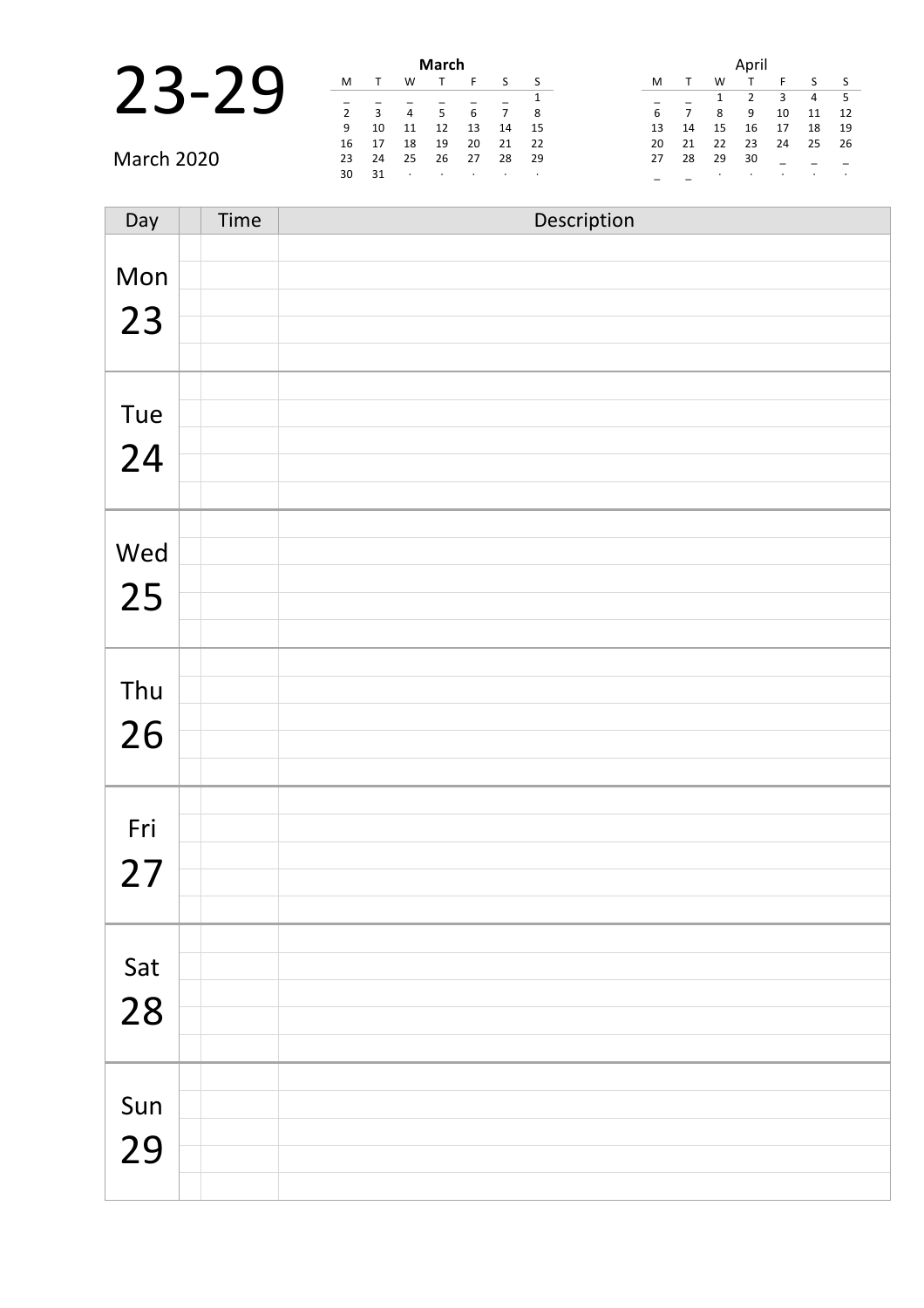|                   |    |    |    | March |    |    |      |
|-------------------|----|----|----|-------|----|----|------|
|                   | M  |    | w  |       |    |    | S S  |
|                   |    |    |    |       |    |    |      |
|                   |    | 3  | 4  | 5     | 6  |    | - 8  |
|                   | -9 | 10 | 11 | 12    | 13 | 14 | - 15 |
|                   | 16 | 17 | 18 | 19    | 20 | 21 | - 22 |
| <b>March 2020</b> | 23 | 24 | 25 | 26    | 27 | 28 | -29  |
|                   | 30 | 31 |    |       |    |    |      |

| Day       | Time | Description |
|-----------|------|-------------|
| Mon<br>23 |      |             |
| Tue<br>24 |      |             |
| Wed<br>25 |      |             |
| Thu<br>26 |      |             |
| Fri<br>27 |      |             |
| Sat<br>28 |      |             |
| Sun<br>29 |      |             |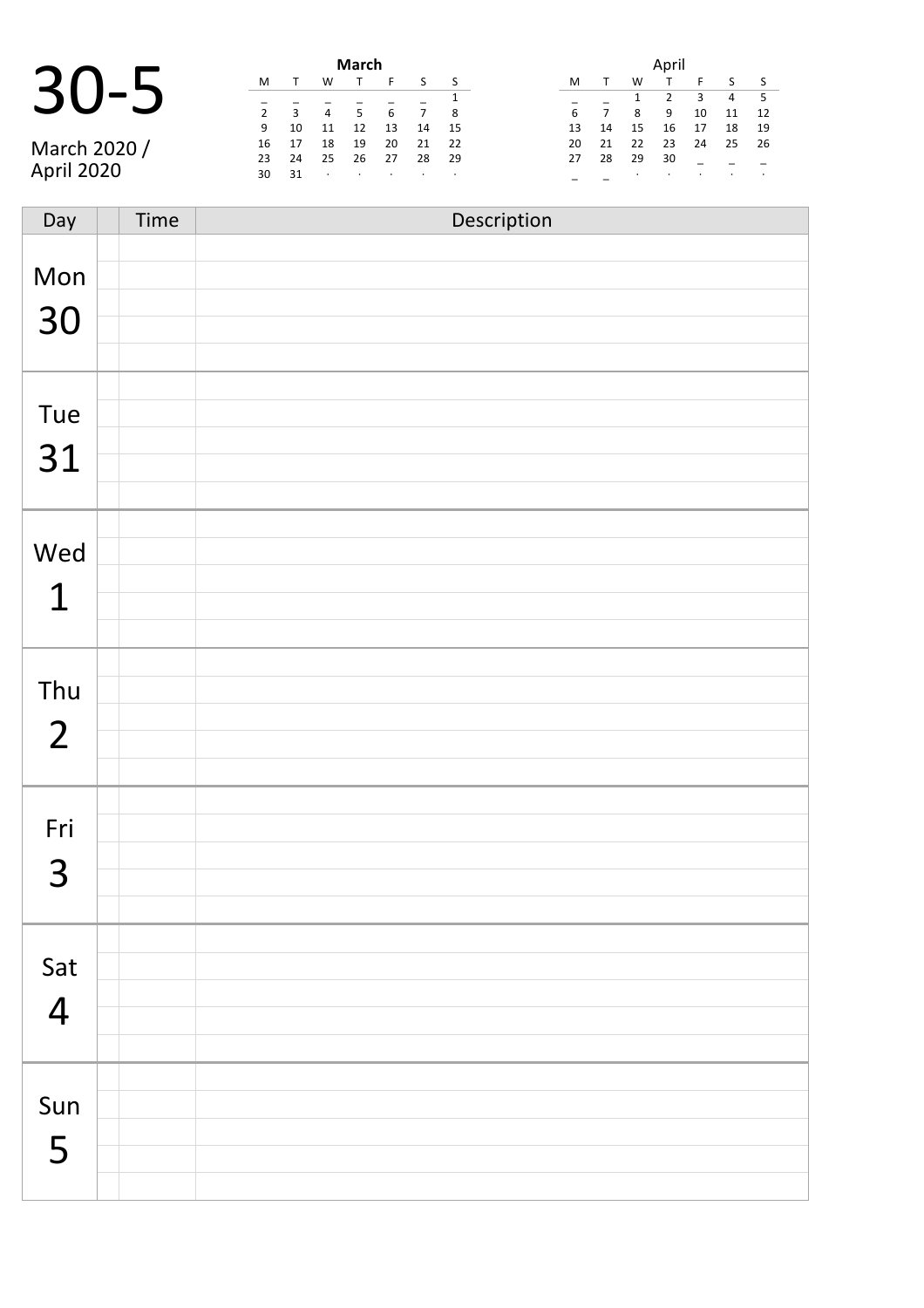### 30-5 **March**

March 2020 / April 2020

|                |    |    | March |    |    |    |
|----------------|----|----|-------|----|----|----|
| M              | т  | W  | т     | F  | S  | S  |
|                |    |    |       |    |    | 1  |
| $\overline{2}$ | 3  | 4  | 5     | 6  | 7  | 8  |
| 9              | 10 | 11 | 12    | 13 | 14 | 15 |
| 16             | 17 | 18 | 19    | 20 | 21 | 22 |
| 23             | 24 | 25 | 26    | 27 | 28 | 29 |
| 30             | 31 | ٠  | ٠     | ٠  | ٠  | ٠  |
|                |    |    |       |    |    |    |

|    |    |    | April |    |    |    |
|----|----|----|-------|----|----|----|
| м  |    | w  |       | F  | ς  | S  |
|    |    | 1  | 2     | 3  | 4  | 5  |
| 6  | 7  | 8  | 9     | 10 | 11 | 12 |
| 13 | 14 | 15 | 16    | 17 | 18 | 19 |
| 20 | 21 | 22 | 23    | 24 | 25 | 26 |
| 27 | 28 | 29 | 30    |    |    |    |
|    |    | ٠  |       |    |    |    |

| Day                   | Time | Description |
|-----------------------|------|-------------|
| Mon<br>30             |      |             |
| Tue<br>31             |      |             |
| Wed<br>$\mathbf{1}$   |      |             |
| Thu<br>$\overline{2}$ |      |             |
| Fri<br>3              |      |             |
| Sat<br>$\overline{4}$ |      |             |
| Sun<br>5              |      |             |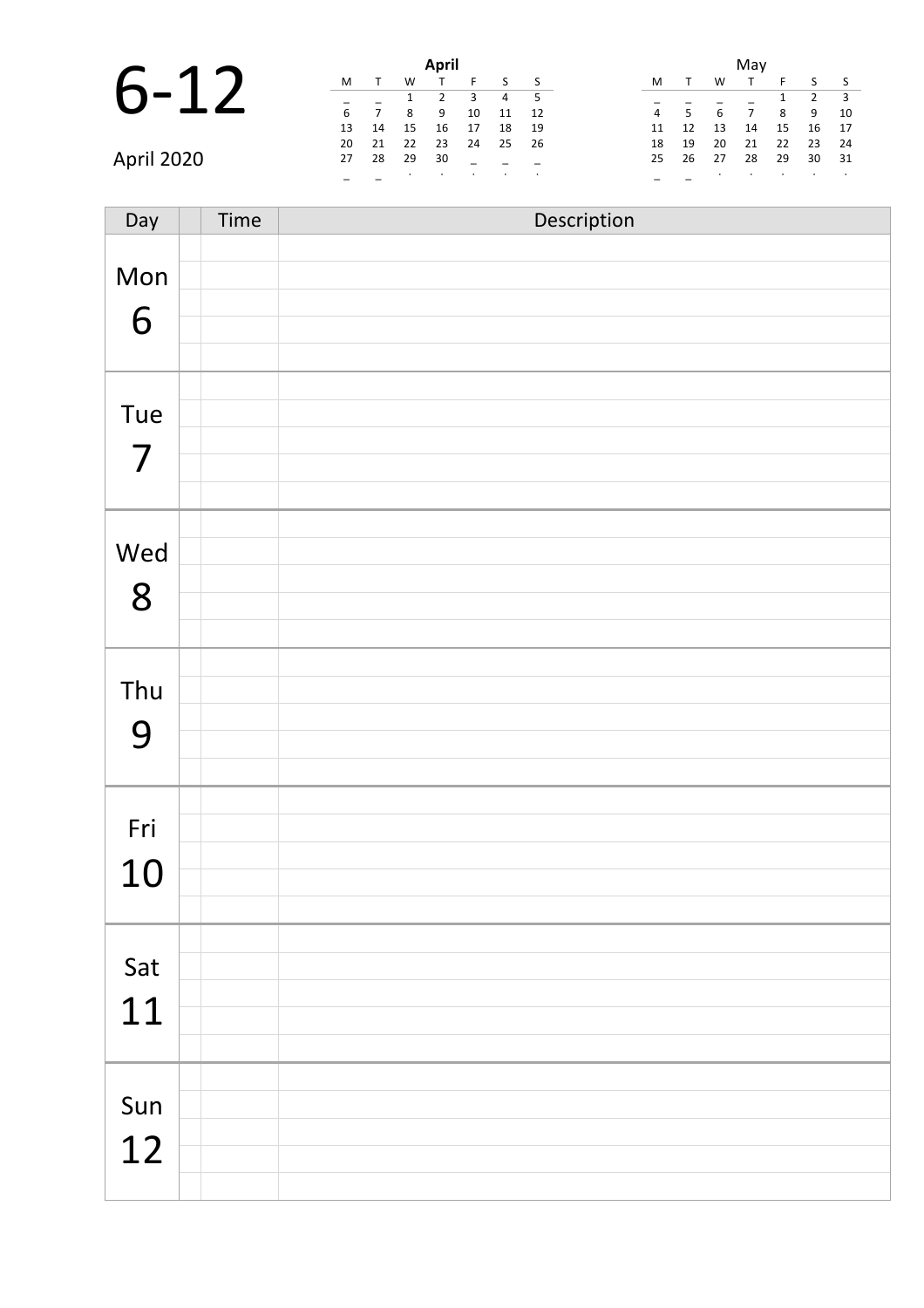|    |    | April |
|----|----|-------|
|    |    |       |
|    |    |       |
| 6  |    |       |
| 13 | 14 | 16    |
|    |    |       |

|            |       | April |           |         |          |                |      |  | Mav |                |    |    |     |              |                |
|------------|-------|-------|-----------|---------|----------|----------------|------|--|-----|----------------|----|----|-----|--------------|----------------|
| $6 - 12$   | M     |       | W         |         |          |                |      |  | M   |                | W  |    |     |              | $\sim$         |
|            |       |       |           |         |          | $\overline{4}$ |      |  |     |                |    |    |     | $2 \t3$      |                |
|            | 6     |       | 8         | -9      | 10       | 11             | 12   |  | 4   | $\overline{5}$ | 6  |    | 89  |              | $\overline{1}$ |
|            | 13    | 14    | 15        | 16      | 17       | 18             | - 19 |  | 11  | 12             | 13 | 14 | 15  | $16 \quad 1$ |                |
|            | 20 21 |       | - 22      | 23      | 24 25 26 |                |      |  | 18  | 19             | 20 | 21 | 22  | 23           | $\overline{2}$ |
| April 2020 | 27    | 28    | 29        | 30      |          |                |      |  |     | 25 26          | 27 | 28 | -29 | $30 \quad 3$ |                |
|            |       |       | $\bullet$ | $\cdot$ | $\sim$   |                |      |  |     |                |    |    |     |              |                |

|                |    |    | May |    |                |    |
|----------------|----|----|-----|----|----------------|----|
| M              | т  | W  | т   | F  | S              | S  |
|                |    |    |     | 1  | $\overline{2}$ | 3  |
| $\overline{4}$ | 5  | 6  | 7   | 8  | 9              | 10 |
| 11             | 12 | 13 | 14  | 15 | 16             | 17 |
| 18             | 19 | 20 | 21  | 22 | 23             | 24 |
| 25             | 26 | 27 | 28  | 29 | 30             | 31 |
|                |    |    |     |    |                | ٠  |

Day Time Description Mon 6 Tue 7 Wed 8 Thu 9 Fri 10 Sat 11 Sun 12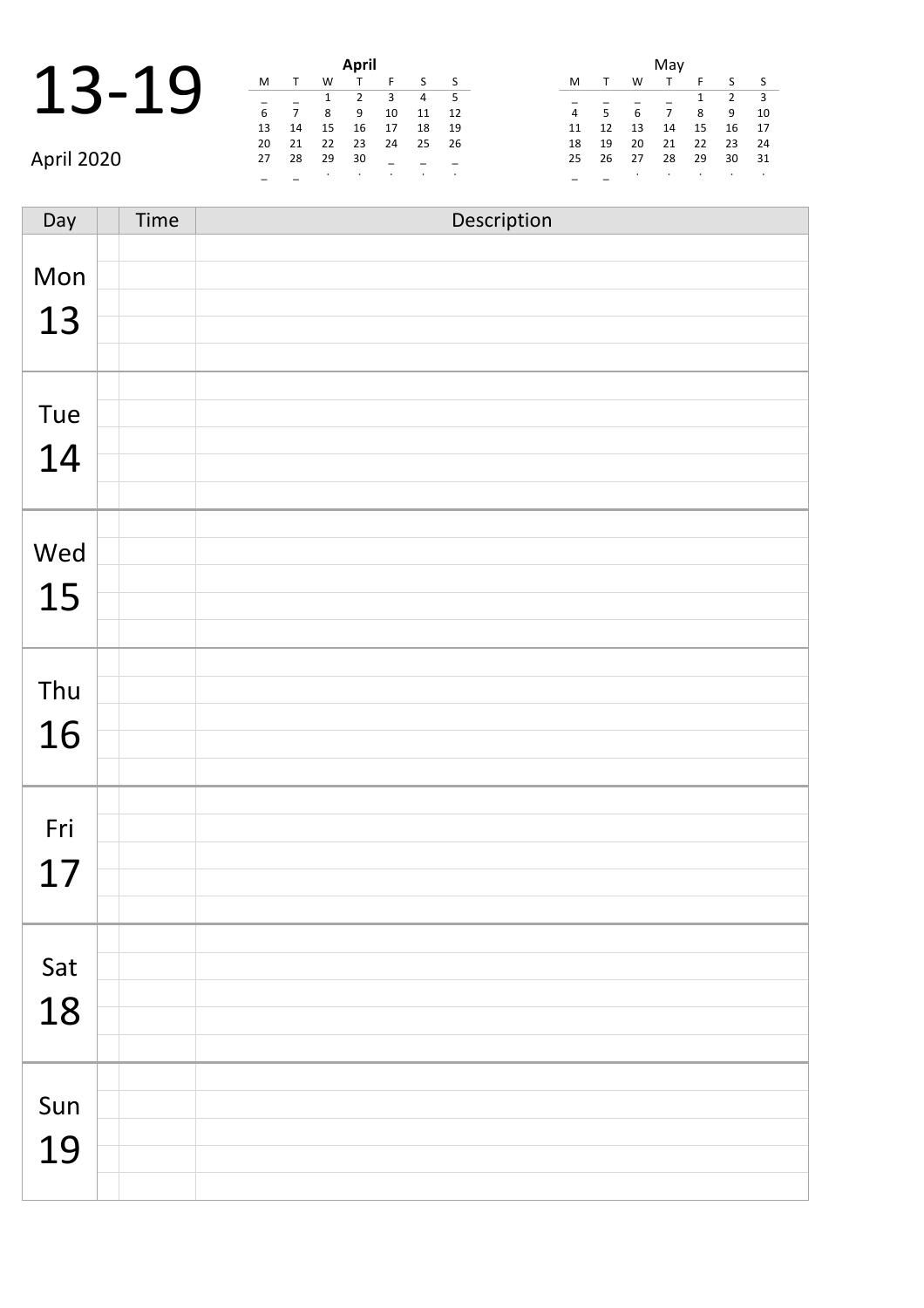|       |  | April |
|-------|--|-------|
|       |  |       |
| 13-19 |  |       |
|       |  |       |
|       |  |       |

|             |    | April |                          |         |         |                |        |  |    |             |        | May     |                |              |                          |  |
|-------------|----|-------|--------------------------|---------|---------|----------------|--------|--|----|-------------|--------|---------|----------------|--------------|--------------------------|--|
| $\mathbf 1$ | M  |       | W                        |         |         |                |        |  | M  |             | W      |         |                | S S          |                          |  |
|             |    |       |                          |         | 3       | $\overline{4}$ |        |  |    |             |        |         |                | $2 \div 3$   |                          |  |
|             | 6  |       | 8                        | 9       | 10      | 11             | -12    |  | 4  | $5^{\circ}$ | 6      |         | 8 <sup>8</sup> | 9            | $\overline{\phantom{a}}$ |  |
|             | 13 | 14    | 15                       | 16      | 17      | 18             | - 19   |  | 11 | 12          | 13     | 14      | 15             | 16 1         |                          |  |
|             | 20 | 21    | 22                       | 23      | 24      | 25             | 26     |  | 18 | 19          | 20     | 21      | 22             | $23 \t 2$    |                          |  |
| April 2020  | 27 | 28    | 29                       | 30      |         |                |        |  |    | 25 26       | 27     | 28      | 29             | $30 \quad 3$ |                          |  |
|             |    |       | <b>Contract Contract</b> | $\cdot$ | $\cdot$ | $\sim$ $\sim$  | $\sim$ |  |    |             | $\sim$ | $\cdot$ | $\bullet$      |              |                          |  |

|    |    |    | May |    |                |    |
|----|----|----|-----|----|----------------|----|
| M  | т  | w  | т   | F  | S              | S  |
|    |    |    |     | 1  | $\overline{2}$ | 3  |
| 4  | 5  | 6  | 7   | 8  | 9              | 10 |
| 11 | 12 | 13 | 14  | 15 | 16             | 17 |
| 18 | 19 | 20 | 21  | 22 | 23             | 24 |
| 25 | 26 | 27 | 28  | 29 | 30             | 31 |
|    |    |    |     |    |                |    |

Day Time Description Mon 13 Tue 14 Wed 15 Thu 16 Fri 17 Sat 18 Sun 19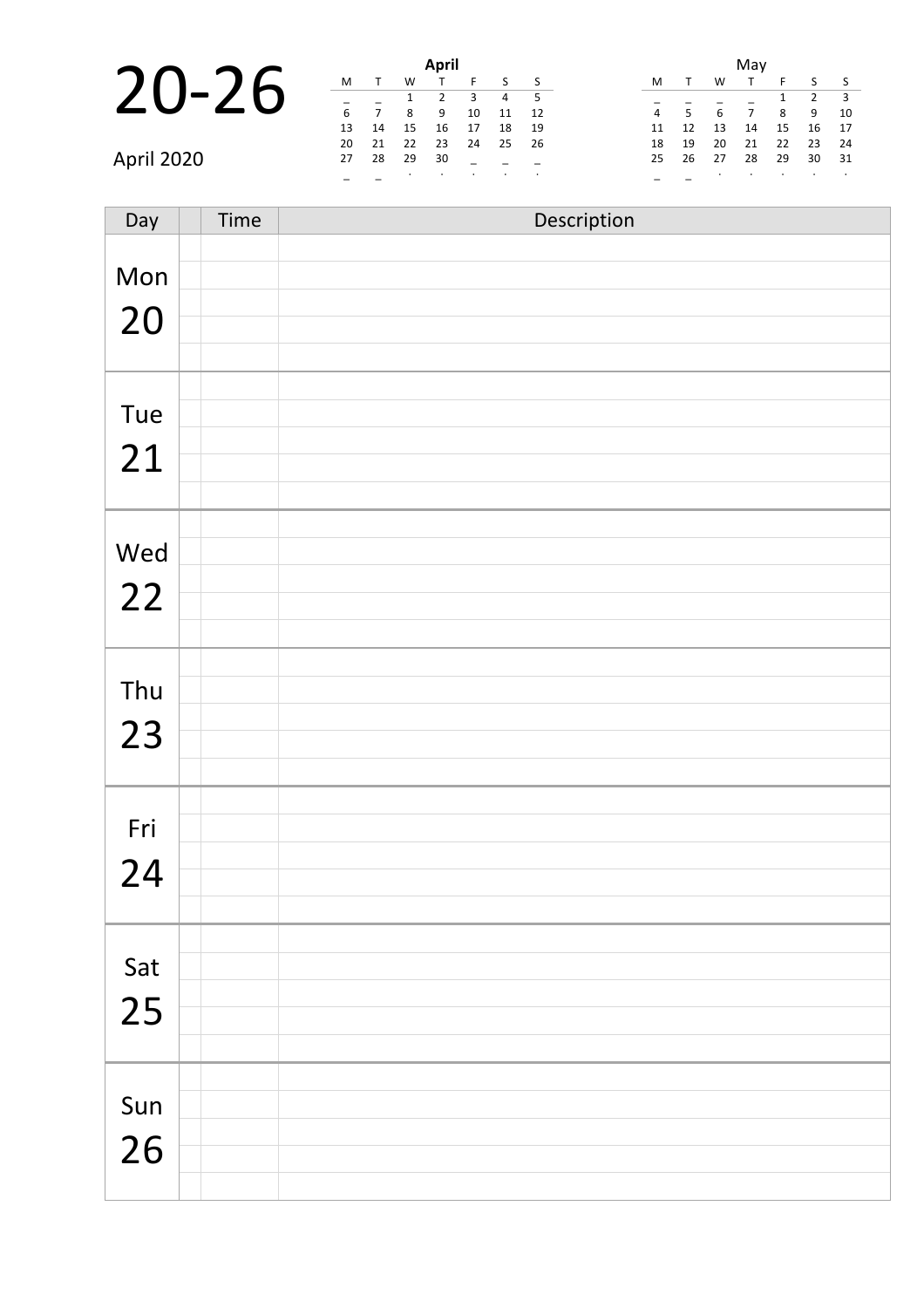# **20-26**

|            |    |       |      | April |                            |          |      |    |                          |          | Mav |    |                                             |  |
|------------|----|-------|------|-------|----------------------------|----------|------|----|--------------------------|----------|-----|----|---------------------------------------------|--|
|            | M  |       | W    |       |                            |          |      | M  |                          | W        |     |    | $S_S$                                       |  |
| 20-26      |    |       |      | 1 2   | $\overline{\phantom{a}}$ 3 |          | 4 5  |    |                          |          |     |    | $\begin{array}{cccc} 1 & 2 & 3 \end{array}$ |  |
|            |    |       | 8    | - 9   | 10                         | 11       | - 12 | 4  | $\overline{\phantom{0}}$ | 6        |     |    | 8 9 1                                       |  |
|            | 13 | 14    | 15   | 16 17 |                            | - 18     | - 19 | 11 | 12                       | 13       | 14  | 15 | 16 1                                        |  |
|            |    | 20 21 | 22   | 23    |                            | 24 25 26 |      |    | 18 19                    | 20       | 21  | 22 | 23 2                                        |  |
| April 2020 | 27 | - 28  | - 29 | - 30  |                            |          |      |    |                          | 25 26 27 | 28  | 29 | $30 \quad 3$                                |  |
|            |    |       |      |       |                            |          |      |    |                          |          |     |    |                                             |  |

|                |    |    | May |    |                |    |
|----------------|----|----|-----|----|----------------|----|
| M              | т  | W  | т   | F  | S              | S  |
|                |    |    |     | 1  | $\overline{2}$ | 3  |
| $\overline{4}$ | 5  | 6  | 7   | 8  | 9              | 10 |
| 11             | 12 | 13 | 14  | 15 | 16             | 17 |
| 18             | 19 | 20 | 21  | 22 | 23             | 24 |
| 25             | 26 | 27 | 28  | 29 | 30             | 31 |
|                |    |    |     |    |                |    |

| Day       | Time | Description |
|-----------|------|-------------|
| Mon<br>20 |      |             |
| Tue<br>21 |      |             |
| Wed<br>22 |      |             |
| Thu<br>23 |      |             |
| Fri<br>24 |      |             |
| Sat<br>25 |      |             |
| Sun<br>26 |      |             |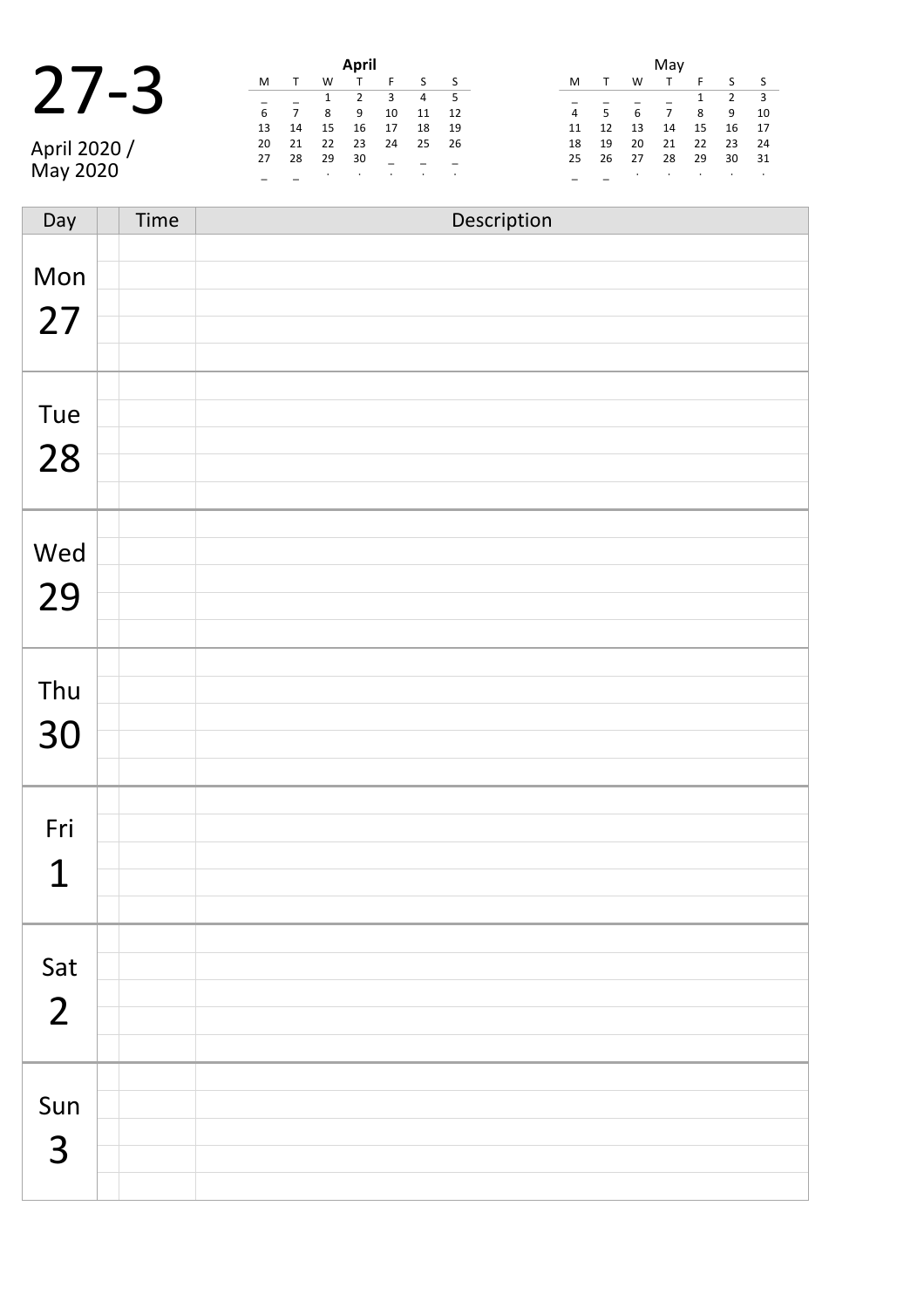|                  |   |    |     | April          |
|------------------|---|----|-----|----------------|
|                  |   |    |     |                |
| $\boldsymbol{J}$ |   |    |     |                |
|                  | b |    |     |                |
|                  |   | 14 | 15. | $\overline{a}$ |

April 2020 / May 2020

|    |    |    | April |    |    |    |
|----|----|----|-------|----|----|----|
| м  |    | W  | т     | F  | S  | S  |
|    |    | 1  | 2     | 3  | 4  | 5  |
| 6  |    | 8  | 9     | 10 | 11 | 12 |
| 13 | 14 | 15 | 16    | 17 | 18 | 19 |
| 20 | 21 | 22 | 23    | 24 | 25 | 26 |
| 27 | 28 | 29 | 30    |    |    |    |
|    |    | ٠  | ٠     | ٠  | ٠  | ٠  |

|    |    |    | May |    |                |    |
|----|----|----|-----|----|----------------|----|
| м  |    | w  |     | F  | S              | S  |
|    |    |    |     | 1  | $\overline{2}$ | 3  |
| 4  | 5  | 6  | 7   | 8  | 9              | 10 |
| 11 | 12 | 13 | 14  | 15 | 16             | 17 |
| 18 | 19 | 20 | 21  | 22 | 23             | 24 |
| 25 | 26 | 27 | 28  | 29 | 30             | 31 |
|    |    |    |     |    |                |    |

| Day                   | Time | Description |
|-----------------------|------|-------------|
| Mon<br>27             |      |             |
| Tue<br>28             |      |             |
| Wed<br>29             |      |             |
| Thu<br>30             |      |             |
| Fri<br>$\overline{1}$ |      |             |
| Sat<br>$\overline{2}$ |      |             |
| Sun<br>$\overline{3}$ |      |             |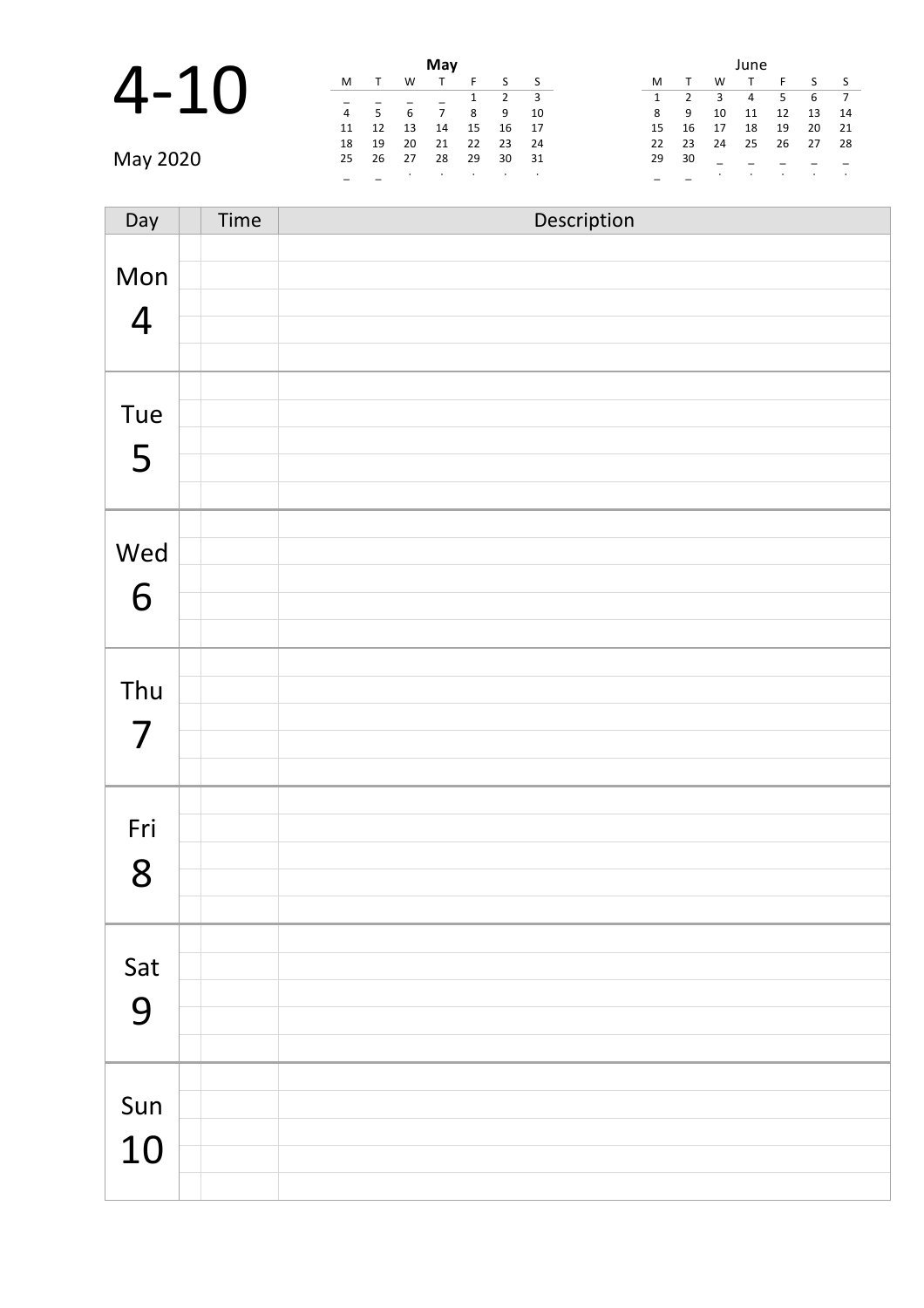### 4-10 **May**

| May      |   |                 |                 |                |                |       |      |  |       |     |                         | June           |       |         |                |
|----------|---|-----------------|-----------------|----------------|----------------|-------|------|--|-------|-----|-------------------------|----------------|-------|---------|----------------|
| 4-10     | M |                 | W               |                |                |       |      |  | M     |     | W                       |                | $-$ F | $S_S$   |                |
|          |   |                 |                 |                |                |       |      |  |       |     | $\overline{\mathbf{3}}$ | $\overline{4}$ | 5     | 6 7     |                |
|          |   | $4\overline{5}$ | $6\overline{6}$ | $\overline{7}$ | 8 <sup>8</sup> | 9 10  |      |  | 8     | - 9 | 10                      | 11             | 12    | 13      | $\overline{1}$ |
|          |   | 11 12           | 13              | 14             | 15             | 16    | 17   |  | 15    | 16  | 17                      | 18             | 19    | 20 2    |                |
|          |   | 18 19           | 20              | 21             | 22             | 23    | - 24 |  | 22 23 |     | 24                      | 25             |       | 26 27 2 |                |
| May 2020 |   | 25 26           | 27              | 28 29          |                | 30 31 |      |  | 29 30 |     |                         |                |       |         |                |
|          |   |                 |                 | $\cdot$        | $\sim$         |       |      |  |       |     |                         |                |       |         |                |

|    |    |    | June |    |    |    |
|----|----|----|------|----|----|----|
| M  | т  | W  | т    | F  | S  | S  |
| 1  | 2  | 3  | 4    | 5  | 6  | 7  |
| 8  | 9  | 10 | 11   | 12 | 13 | 14 |
| 15 | 16 | 17 | 18   | 19 | 20 | 21 |
| 22 | 23 | 24 | 25   | 26 | 27 | 28 |
| 29 | 30 |    |      |    |    |    |
|    |    | ٠  | ٠    | ٠  |    | ٠  |

| Day                   | Time | Description |
|-----------------------|------|-------------|
| Mon<br>$\overline{4}$ |      |             |
| Tue<br>5              |      |             |
| Wed<br>6              |      |             |
| Thu<br>7              |      |             |
| Fri<br>8              |      |             |
| Sat<br>9              |      |             |
| Sun<br>10             |      |             |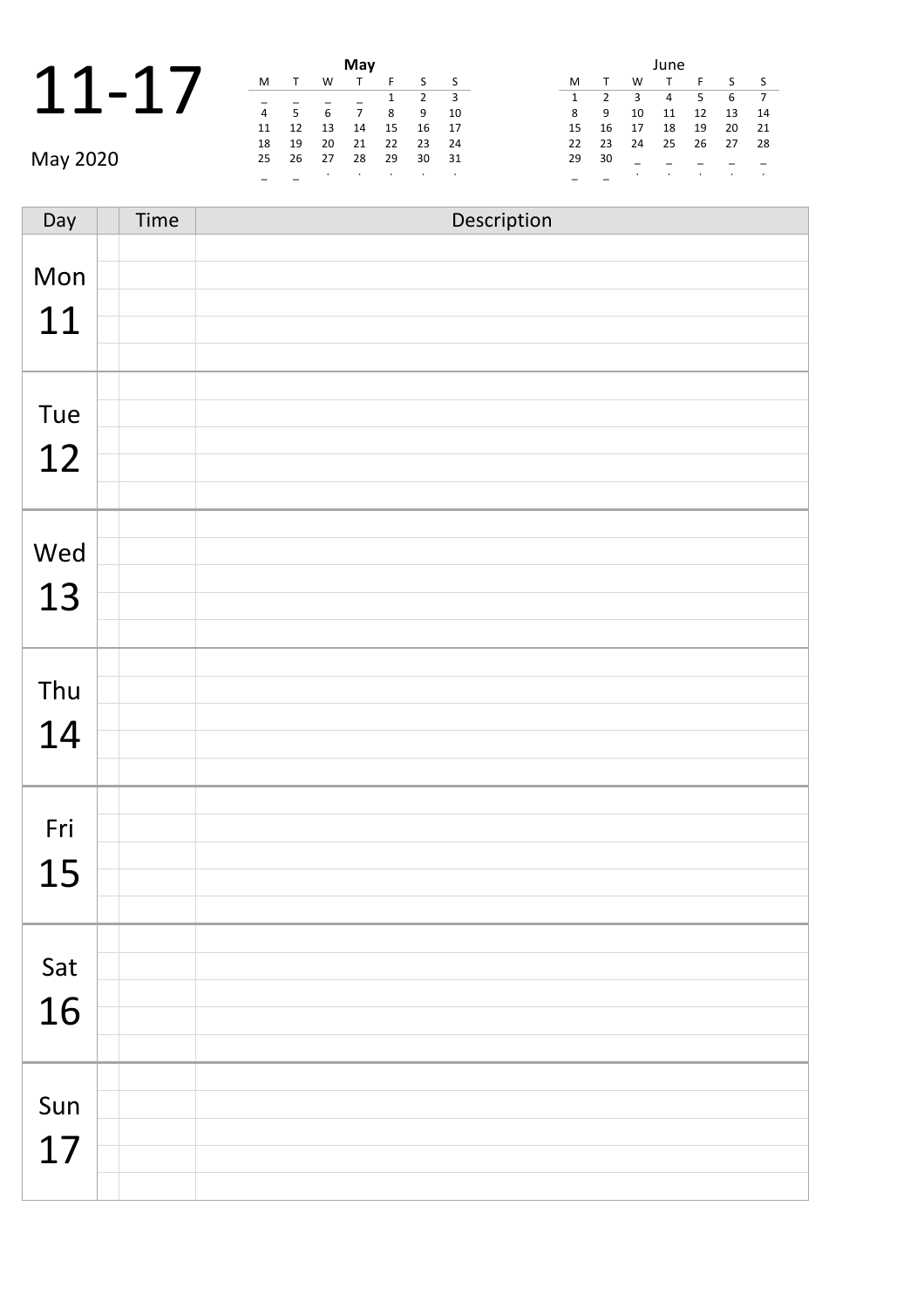| $\blacktriangleleft$ |  |          |  | May |
|----------------------|--|----------|--|-----|
|                      |  |          |  |     |
| $\mathbf{1}$         |  |          |  |     |
|                      |  | $\Delta$ |  |     |
|                      |  |          |  |     |

|          |                |      |    | May |      |    |      | June |    |      |    |     |    |              |                          |
|----------|----------------|------|----|-----|------|----|------|------|----|------|----|-----|----|--------------|--------------------------|
| 1        | M              |      | W  |     |      |    |      |      | M  |      | W  |     |    |              | $\sim$                   |
|          |                |      |    |     |      |    |      |      |    |      | 3  | 4   | 5  | 6 7          |                          |
|          | $\overline{4}$ |      | 6  |     | 8    | 9  | - 10 |      | 8  | - 9  | 10 | 11  | 12 | 13           | $\mathbf{1}$             |
|          | 11             | 12   | 13 | 14  | 15   | 16 | - 17 |      | 15 | - 16 | 17 | 18  | 19 | $20 \quad 2$ |                          |
|          | 18             | - 19 | 20 | 21  | - 22 | 23 | - 24 |      | 22 | 23   | 24 | -25 | 26 | 27           | $\overline{\phantom{0}}$ |
| May 2020 | 25             | - 26 | 27 | 28  | 29   | 30 | 31   |      | 29 | 30   |    |     |    |              |                          |
|          |                |      |    | ٠   |      |    |      |      |    |      |    |     |    |              |                          |

|    |                |    | June |    |    |    |
|----|----------------|----|------|----|----|----|
| м  |                | W  | т    | F  | S  | ς  |
| 1  | $\mathfrak{p}$ | 3  | 4    | 5  | 6  | 7  |
| 8  | 9              | 10 | 11   | 12 | 13 | 14 |
| 15 | 16             | 17 | 18   | 19 | 20 | 21 |
| 22 | 23             | 24 | 25   | 26 | 27 | 28 |
| 29 | 30             |    |      |    |    |    |
|    |                | ٠  |      | ٠  |    |    |

Day Time Description Mon 11 Tue 12 Wed 13 Thu 14 Fri 15 Sat 16 Sun 17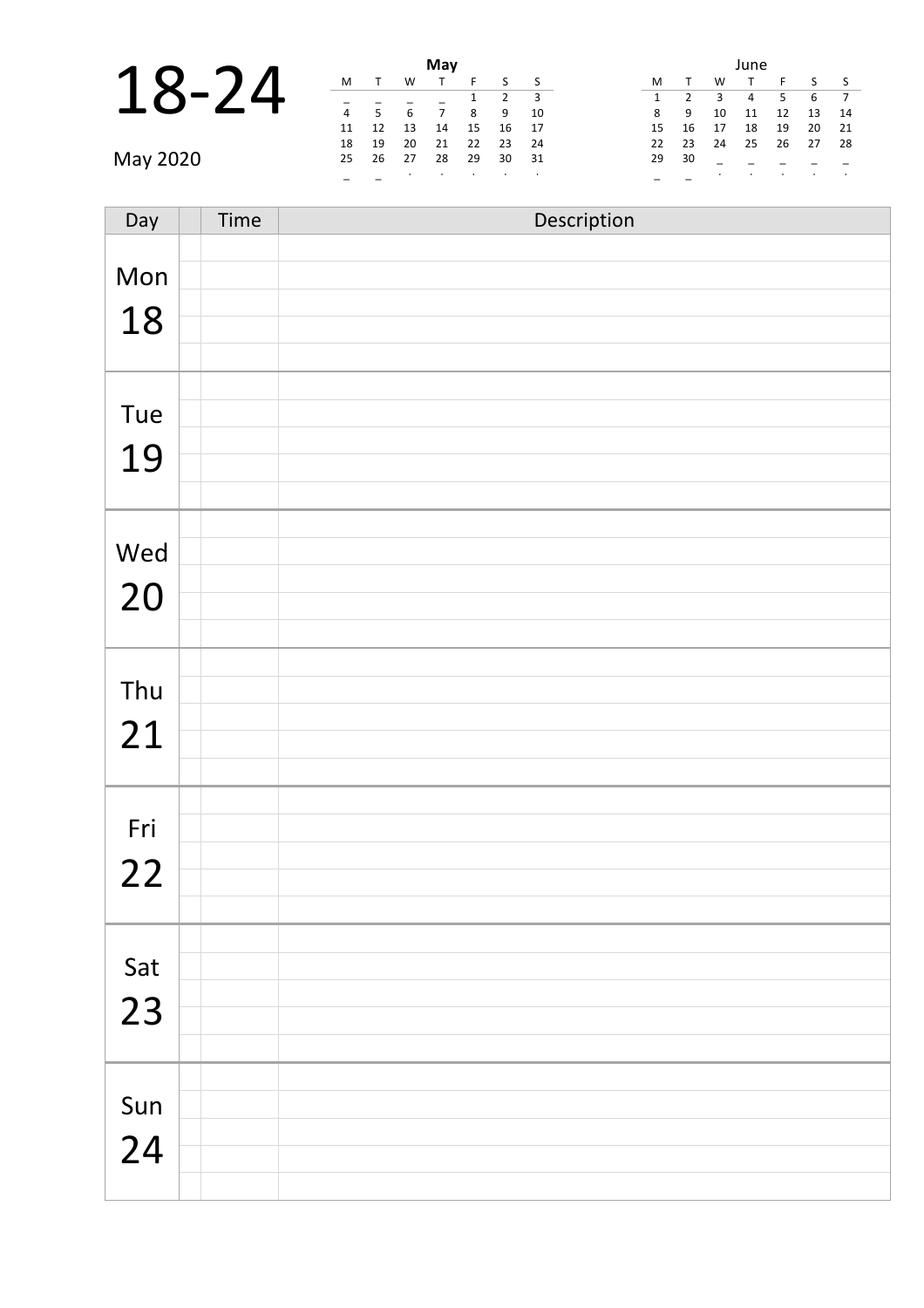|       |  | May |
|-------|--|-----|
|       |  |     |
| 18-24 |  |     |
|       |  |     |

|          |   |                |    | May   |    |    |      |    |       |                         | June           |    |                 |              |
|----------|---|----------------|----|-------|----|----|------|----|-------|-------------------------|----------------|----|-----------------|--------------|
| 18-24    | M |                | W  |       |    |    | S S  | M  |       | W                       |                |    |                 | - 9          |
|          |   |                |    |       |    |    |      |    |       | $\overline{\mathbf{3}}$ | $\overline{4}$ | .5 | 6 7             |              |
|          | 4 | 5 <sup>5</sup> | 6  |       | 8  |    | 9 10 | 8  | - 9   | 10                      | 11             | 12 | 13              | $\mathbf{1}$ |
|          |   | 11 12          | 13 | 14    | 15 | 16 | - 17 | 15 | 16    | 17                      | 18             | 19 | 20 <sub>2</sub> |              |
|          |   | 18 19          | 20 | 21    | 22 | 23 | - 24 |    | 22 23 | 24                      | 25             | 26 | 27 2            |              |
| May 2020 |   | 25 26          | 27 | 28 29 |    | 30 | 31   | 29 | 30    |                         |                |    |                 |              |
|          |   |                |    |       |    |    |      |    |       |                         |                |    |                 |              |

|    |               |    | June |    |    |    |
|----|---------------|----|------|----|----|----|
| м  | $\mathbf{T}$  | w  | т    | F  | S  | ς  |
| 1  | $\mathcal{P}$ | 3  | 4    | 5  | 6  |    |
| 8  | 9             | 10 | 11   | 12 | 13 | 14 |
| 15 | 16            | 17 | 18   | 19 | 20 | 21 |
| 22 | 23            | 24 | 25   | 26 | 27 | 28 |
| 29 | 30            |    |      |    |    |    |
|    |               | ٠  | ٠    | ٠  |    | ٠  |

| Day       | Time | Description |
|-----------|------|-------------|
| Mon<br>18 |      |             |
| Tue<br>19 |      |             |
| Wed<br>20 |      |             |
| Thu<br>21 |      |             |
| Fri<br>22 |      |             |
| Sat<br>23 |      |             |
| Sun<br>24 |      |             |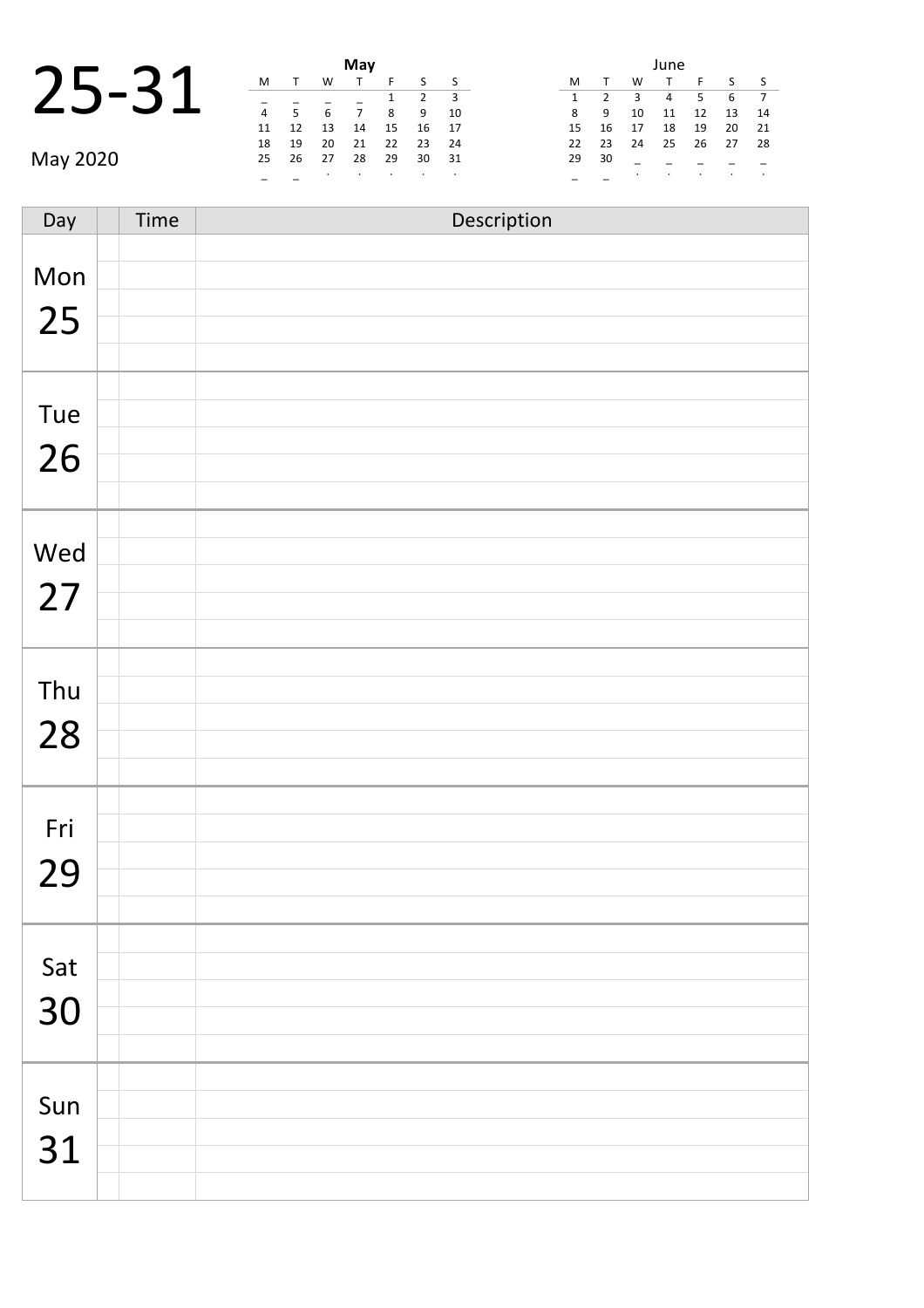|       |    |  | May |
|-------|----|--|-----|
|       |    |  |     |
| 25-31 |    |  |     |
|       |    |  |     |
|       | 11 |  | 14  |

|          | May            |             |                          |                          |                    |               |      | June |       |        |         |    |                 |        |
|----------|----------------|-------------|--------------------------|--------------------------|--------------------|---------------|------|------|-------|--------|---------|----|-----------------|--------|
|          | M              |             | W                        |                          |                    |               | s s  | M    |       | W      |         |    |                 | $\sim$ |
|          |                |             |                          |                          |                    |               |      |      |       | 3      | 4       | 5  | 6 7             |        |
|          | $\overline{4}$ | $5^{\circ}$ | 6                        |                          | 8                  | 9             | - 10 | 8    | 9     | 10     | 11      | 12 | $13 \quad 1$    |        |
|          |                | 11 12       | 13                       | 14                       | 15                 | 16            | - 17 | 15   | - 16  | 17     | 18      | 19 | 20 <sub>2</sub> |        |
|          |                | 18 19       | 20                       | 21                       | 22                 | 23            | 24   |      | 22 23 | 24     | 25      | 26 | 27 2            |        |
| May 2020 |                | 25 26       | 27                       | 28 29                    |                    | 30            | 31   |      | 29 30 |        |         |    |                 |        |
|          |                |             | <b>Contract Contract</b> | <b>Contract Contract</b> | <b>State State</b> | $\sim$ $\sim$ |      |      |       | $\sim$ | $\cdot$ |    |                 |        |

|    |                |    | June |    |    |    |
|----|----------------|----|------|----|----|----|
| М  |                | W  |      | F  | S  | S  |
| 1  | $\mathfrak{p}$ | 3  | 4    | 5  | 6  | 7  |
| 8  | 9              | 10 | 11   | 12 | 13 | 14 |
| 15 | 16             | 17 | 18   | 19 | 20 | 21 |
| 22 | 23             | 24 | 25   | 26 | 27 | 28 |
| 29 | 30             |    |      |    |    |    |
|    |                | ٠  |      | ٠  | ٠  |    |

Day Time Description Mon 25 Tue 26 Wed 27 Thu 28 Fri 29 Sat 30 Sun 31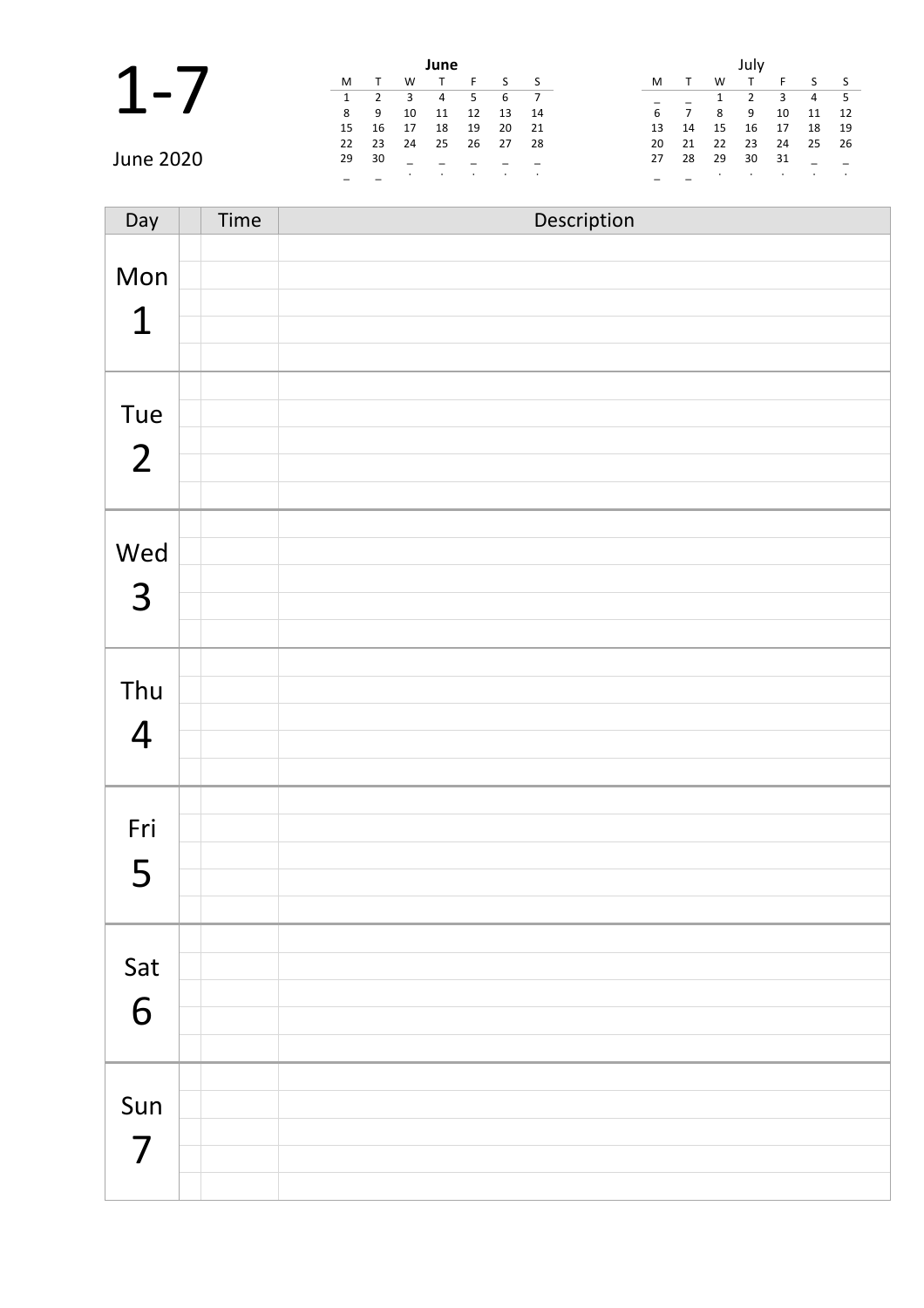|                  |    |       |           | June  |    |    |      |          |          |    |       |      |
|------------------|----|-------|-----------|-------|----|----|------|----------|----------|----|-------|------|
|                  | M  |       | W         |       |    |    |      | M        | W        |    |       |      |
|                  |    |       | 3         | 4     | 5  | 6  |      |          |          |    |       | 45   |
|                  | 8  | - 9   | 10        | 11    | 12 | 13 | - 14 | 6        | 8<br>9   | 10 | 11    | 12   |
|                  |    | 15 16 | 17        | 18    | 19 | 20 | - 21 | 14<br>13 | 16<br>15 | 17 | 18    | - 19 |
|                  |    | 22 23 |           | 24 25 | 26 | 27 | - 28 | 21<br>20 | 23<br>22 | 24 | 25 26 |      |
| <b>June 2020</b> | 29 | - 30  |           |       |    |    |      | 28<br>27 | 30<br>29 | 31 |       |      |
|                  |    |       | $\bullet$ |       |    |    |      |          |          |    |       |      |

| Day                             | Time | Description |
|---------------------------------|------|-------------|
| Mon<br>$\mathbf 1$              |      |             |
| Tue<br>$\overline{2}$           |      |             |
| Wed<br>3                        |      |             |
| Thu<br>$\overline{4}$           |      |             |
| Fri<br>5                        |      |             |
| Sat<br>6                        |      |             |
| Sun<br>$\overline{\mathcal{L}}$ |      |             |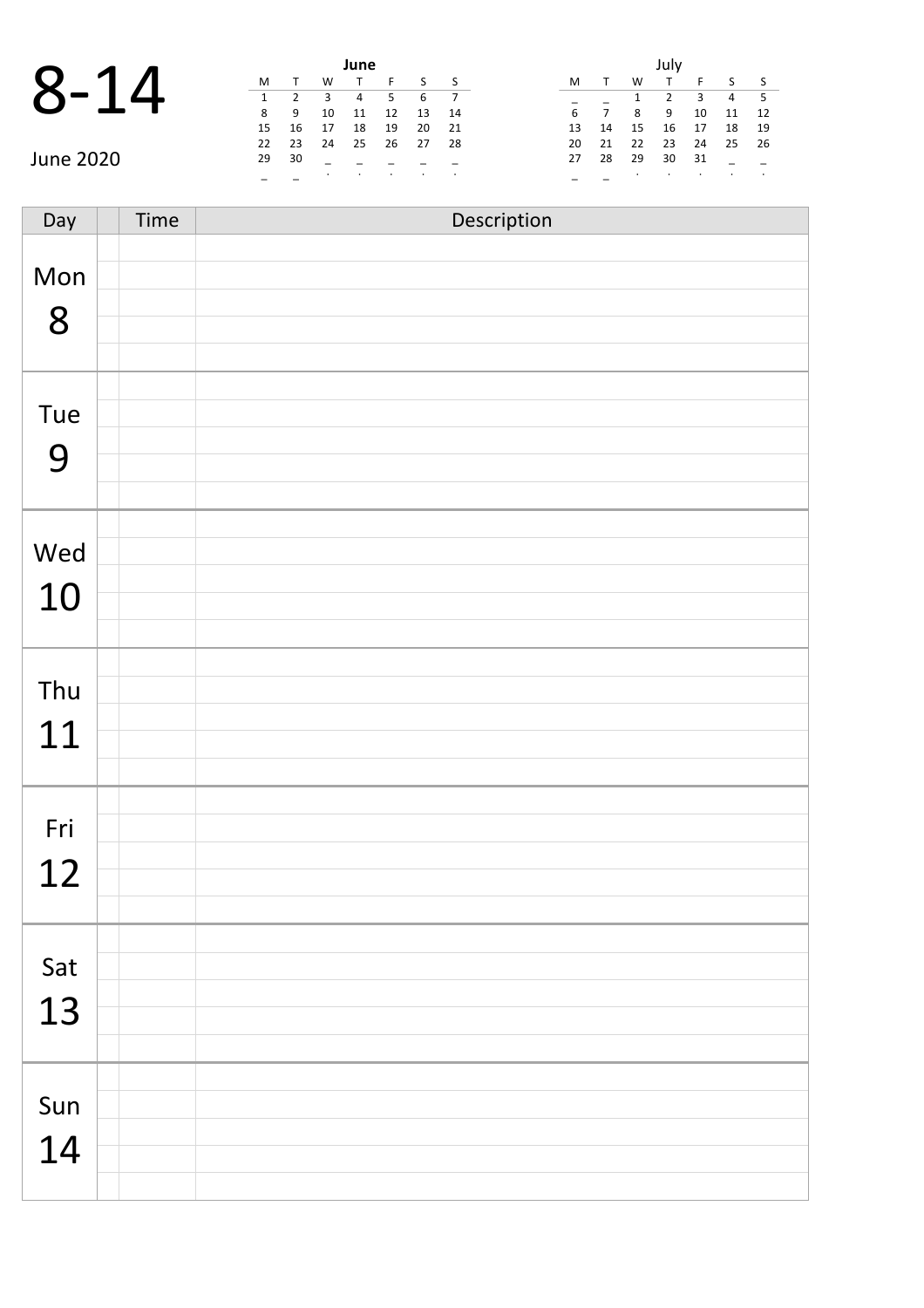|          |              |    |     | June |
|----------|--------------|----|-----|------|
| $8 - 14$ |              |    |     |      |
|          | $\mathbf{1}$ |    | 3 4 |      |
|          | 8            | 9  | 10  |      |
|          | 15           | 16 | 17  | 18   |

|             | June |       |         |          |        |        |      |       |      |           |      |    |                |               |
|-------------|------|-------|---------|----------|--------|--------|------|-------|------|-----------|------|----|----------------|---------------|
| $\mathbf O$ | M    |       | W       |          |        |        |      | M     |      | W         |      |    |                | $\sim$ $\sim$ |
| Č           |      |       |         | 4        |        |        |      |       |      |           |      | 3  | 4 <sup>5</sup> |               |
|             | 8    | - 9   | 10      | 11       | 12     | 13     | - 14 | 6     |      | 8         | 9    | 10 | 11 1           |               |
|             | 15   | - 16  | 17      | 18       | 19     | 20     | 21   | 13    | - 14 | 15        | 16   | 17 | 18 1           |               |
|             |      | 22 23 | - 24    | 25 26 27 |        |        | - 28 | 20 21 |      | 22        | - 23 | 24 | 25 2           |               |
| June 2020   | 29   | 30    |         |          |        |        |      | 27    | -28  | - 29      | 30   | 31 |                |               |
|             |      |       | $\cdot$ | $\cdot$  | $\sim$ | $\sim$ |      |       |      | $\bullet$ |      |    |                |               |

|    |    |    | July |    |    |    |
|----|----|----|------|----|----|----|
| M  |    | W  | т    | F  | S  | S  |
|    |    | 1  | 2    | ξ  | 4  | 5  |
| 6  | 7  | 8  | 9    | 10 | 11 | 12 |
| 13 | 14 | 15 | 16   | 17 | 18 | 19 |
| 20 | 21 | 22 | 23   | 24 | 25 | 26 |
| 27 | 28 | 29 | 30   | 31 |    |    |
|    |    | ٠  |      | ٠  |    |    |

Day Time Description Mon 8 Tue 9 Wed 10 Thu 11 Fri 12 Sat 13 Sun 14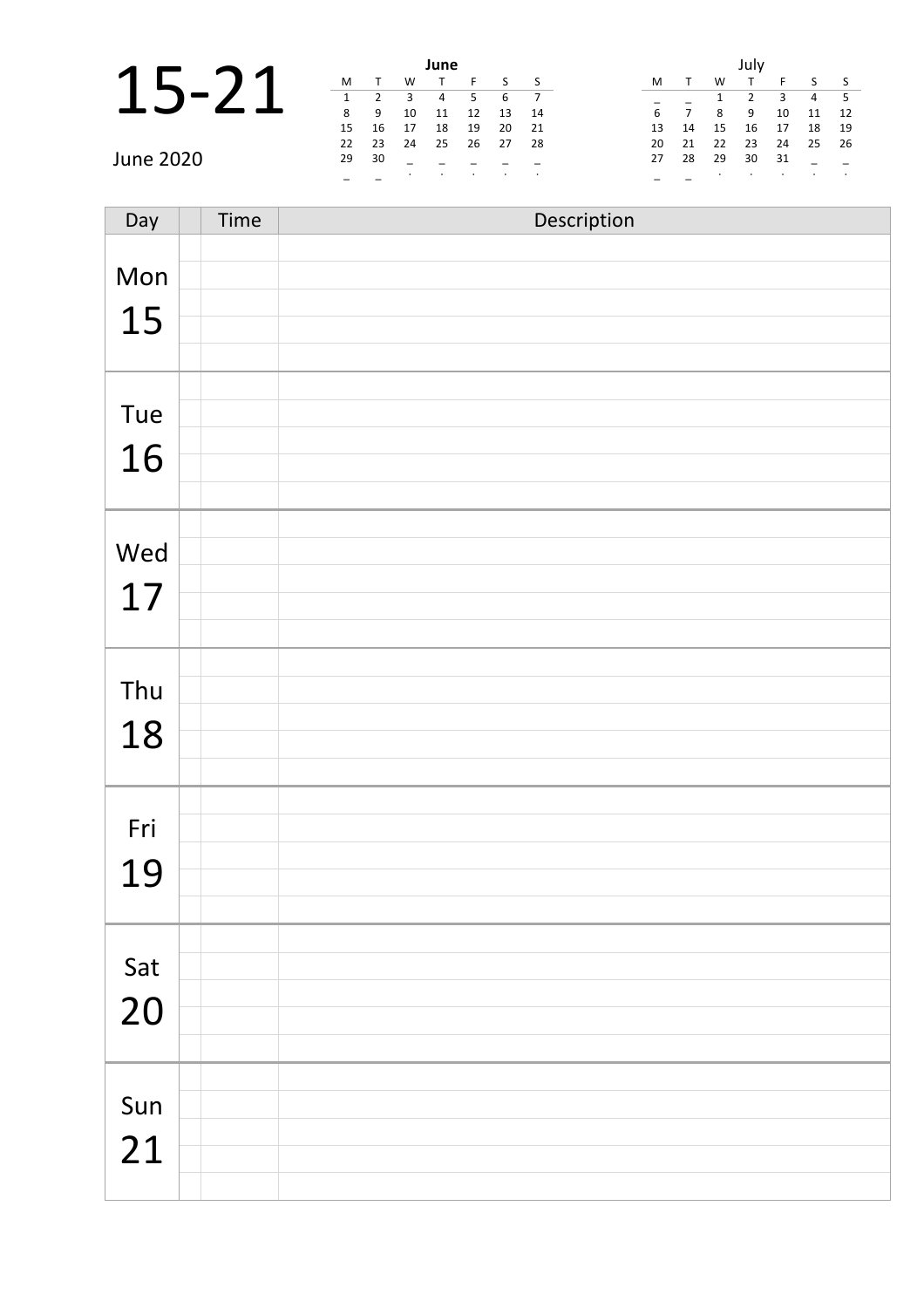|                |    |      |         | June |      |      |                         |                                          |
|----------------|----|------|---------|------|------|------|-------------------------|------------------------------------------|
| $\blacksquare$ | M  |      | W       |      |      |      | $\overline{\mathsf{S}}$ | M<br>W                                   |
|                | 1  |      | 3       | 4    |      | -6   | $\overline{7}$          | 3<br>$-5$<br>4                           |
|                | 8  | -9   | 10      | 11   | 12   | 13   | 14                      | 6<br>12<br>11<br>8<br>9<br>10            |
|                | 15 | - 16 | 17      | 18   | 19   | 20   | 21                      | 15<br>16<br>- 19<br>14<br>18<br>13<br>17 |
|                | 22 | - 23 | 24      | 25   | - 26 | - 27 | - 28                    | 22<br>23<br>20<br>21<br>24<br>25<br>26   |
| June 2020      | 29 | 30   |         |      |      |      |                         | 29<br>30<br>28<br>31<br>27               |
|                |    |      | $\cdot$ |      |      |      |                         |                                          |

| Day | Time | Description |
|-----|------|-------------|
| Mon |      |             |
| 15  |      |             |
|     |      |             |
| Tue |      |             |
| 16  |      |             |
|     |      |             |
| Wed |      |             |
|     |      |             |
| 17  |      |             |
|     |      |             |
| Thu |      |             |
| 18  |      |             |
|     |      |             |
| Fri |      |             |
| 19  |      |             |
|     |      |             |
| Sat |      |             |
| 20  |      |             |
|     |      |             |
| Sun |      |             |
| 21  |      |             |
|     |      |             |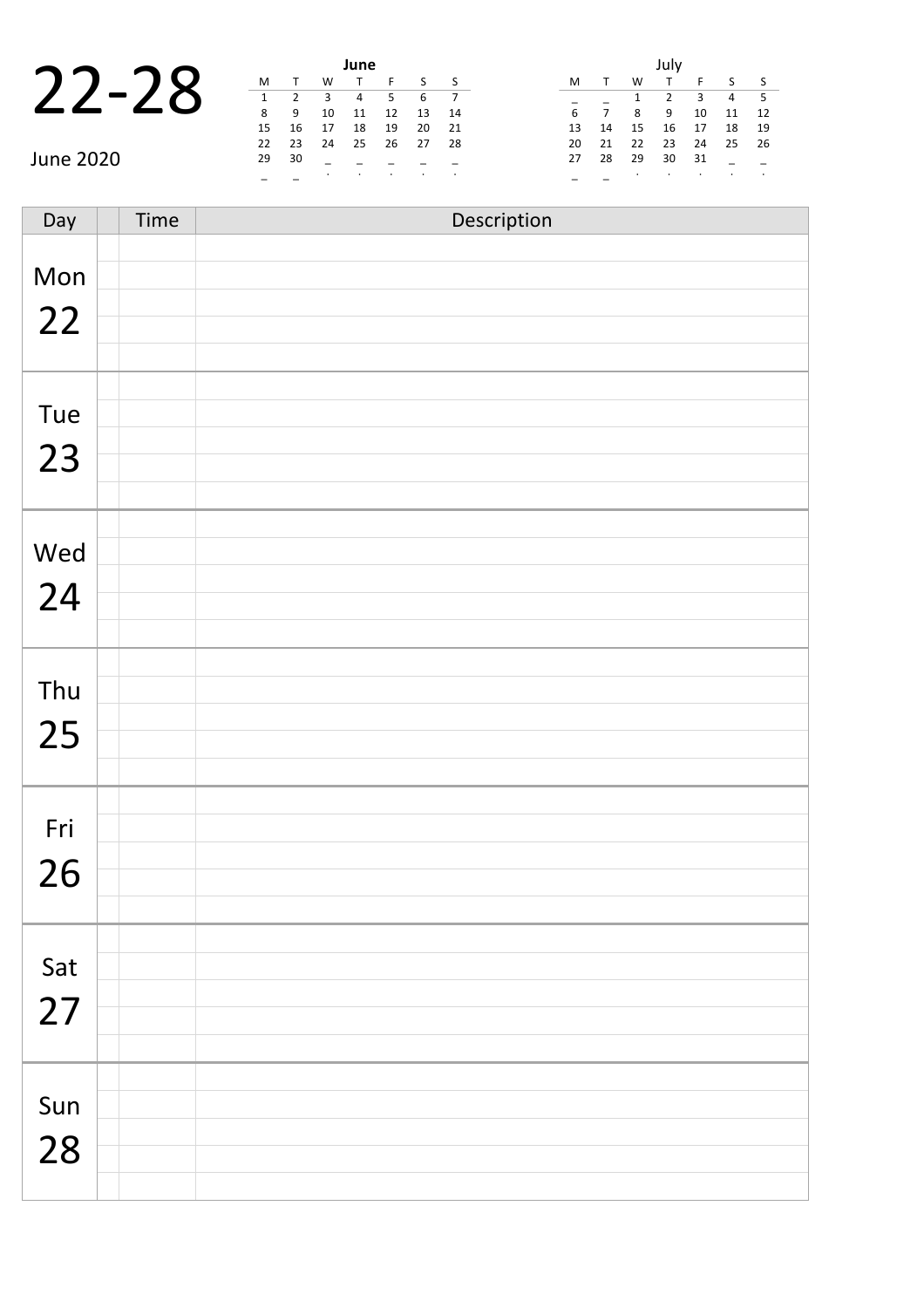|           |  |                                          | June |
|-----------|--|------------------------------------------|------|
| $22 - 28$ |  |                                          |      |
|           |  | $\begin{array}{ccc} & 3 & \end{array}$ 4 |      |
|           |  | 10                                       |      |
|           |  | 15 16 17 18                              |      |

| June                             |    |       |           |          |    |    |      | July |                |    |    |     |                |               |  |  |
|----------------------------------|----|-------|-----------|----------|----|----|------|------|----------------|----|----|-----|----------------|---------------|--|--|
|                                  | M  |       | W         |          |    |    | S S  | M    |                | W  |    |     |                | $\sim$ $\sim$ |  |  |
| $\qquad \qquad$<br>$\mathcal{L}$ |    |       |           | 4        | 5  | 6  |      |      |                |    |    | 3   | $\overline{4}$ | - 5           |  |  |
|                                  | 8  | 9     | 10        | 11       | 12 | 13 | - 14 | 6    | $\overline{7}$ | 8  | 9  | 10  | 11 1           |               |  |  |
|                                  | 15 | - 16  | 17        | 18       | 19 | 20 | 21   | 13   | - 14           | 15 | 16 | 17  | 18 1           |               |  |  |
|                                  |    | 22 23 | 24        | 25 26 27 |    |    | - 28 |      | 20 21          | 22 | 23 | -24 | 25 2           |               |  |  |
| June 2020                        | 29 | 30    |           |          |    |    |      | 27   | -28            | 29 | 30 | 31  |                |               |  |  |
|                                  |    |       | $\bullet$ |          |    |    |      |      |                |    |    |     |                |               |  |  |

|    |    |    | July           |    |    |    |
|----|----|----|----------------|----|----|----|
| M  | т  | W  | $\mathsf{T}$   | F  | S  | S  |
|    |    | 1  | $\overline{2}$ | ξ  | 4  | 5  |
| 6  | 7  | 8  | 9              | 10 | 11 | 12 |
| 13 | 14 | 15 | 16             | 17 | 18 | 19 |
| 20 | 21 | 22 | 23             | 24 | 25 | 26 |
| 27 | 28 | 29 | 30             | 31 |    |    |
|    |    |    |                | ٠  |    |    |

Day Time Description Mon 22 Tue 23 Wed 24 Thu 25 Fri 26 Sat 27 Sun 28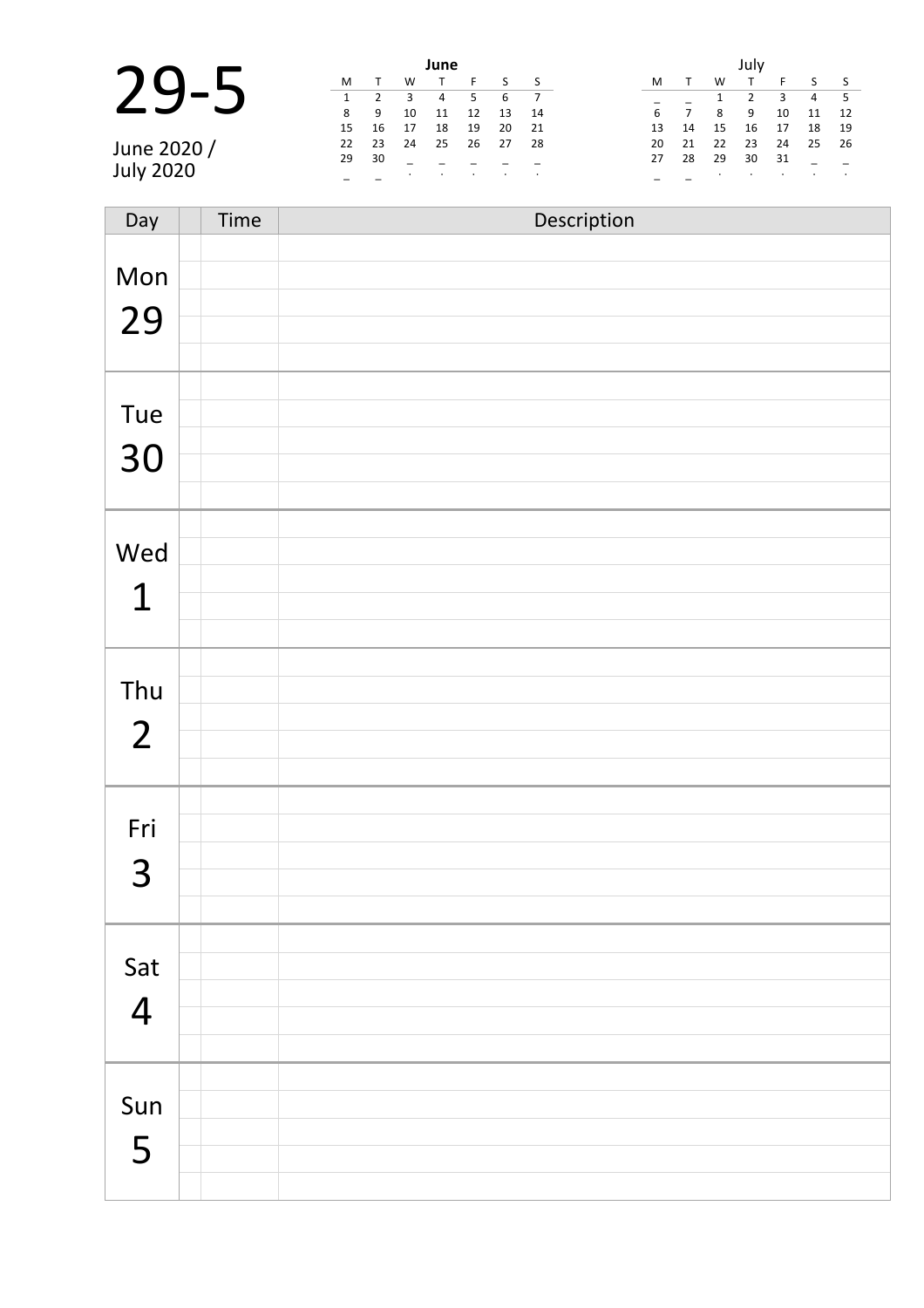|                  |    |      |    | June           |    |    |      |    |    |    |     |    |     |      |
|------------------|----|------|----|----------------|----|----|------|----|----|----|-----|----|-----|------|
|                  | M  |      | W  |                |    |    | S    | M  |    | W  |     |    |     |      |
|                  |    |      | 3  | $\overline{4}$ | 5. | 6  |      |    |    |    |     | 3  | 4 5 |      |
|                  | 89 |      | 10 | 11             | 12 | 13 | - 14 | 6  |    | 8  | - 9 | 10 | 11  | 12   |
|                  | 15 | - 16 | 17 | 18             | 19 | 20 | - 21 | 13 | 14 | 15 | 16  | 17 | 18  | - 19 |
| June 2020 /      | 22 | 23   | 24 | 25             | 26 | 27 | -28  | 20 | 21 | 22 | 23  | 24 | 25  | 26   |
|                  | 29 | 30   |    |                |    |    |      | 27 | 28 | 29 | 30  | 31 |     |      |
| <b>July 2020</b> |    |      |    |                |    |    |      |    |    |    |     |    |     |      |

| Day            | Time | Description |
|----------------|------|-------------|
|                |      |             |
| Mon            |      |             |
| 29             |      |             |
|                |      |             |
|                |      |             |
| Tue            |      |             |
| 30             |      |             |
|                |      |             |
|                |      |             |
| Wed            |      |             |
| $\mathbf 1$    |      |             |
|                |      |             |
|                |      |             |
| Thu            |      |             |
| $\overline{2}$ |      |             |
|                |      |             |
|                |      |             |
| Fri            |      |             |
| 3              |      |             |
|                |      |             |
|                |      |             |
| Sat            |      |             |
| $\overline{4}$ |      |             |
|                |      |             |
|                |      |             |
| Sun            |      |             |
| 5              |      |             |
|                |      |             |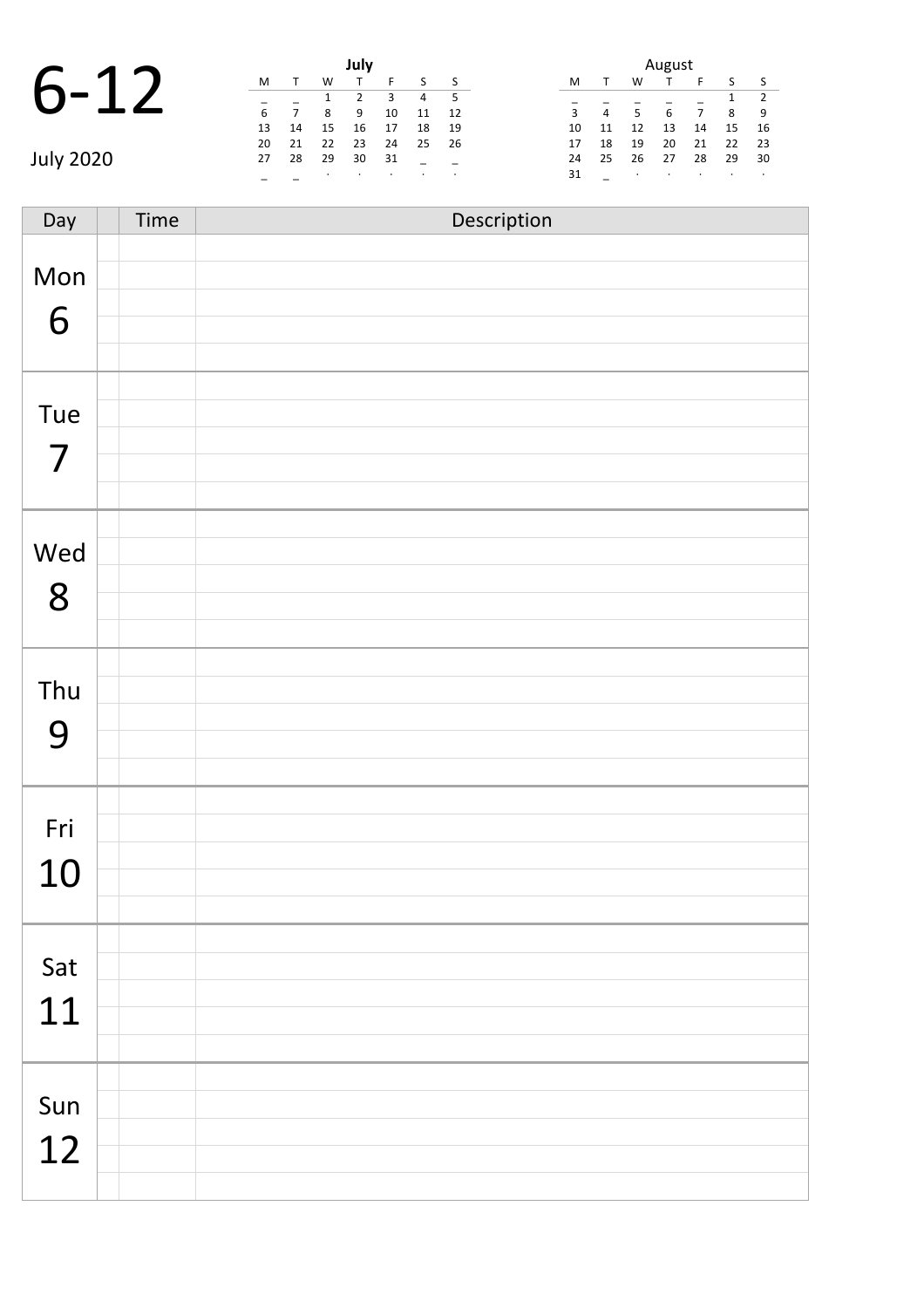## 6-12 **July**

|           |    |       |     | July |    |                |      | August |                |                |    |                |                |                          |
|-----------|----|-------|-----|------|----|----------------|------|--------|----------------|----------------|----|----------------|----------------|--------------------------|
|           | M  |       | W   |      |    |                |      | M      |                | W              |    |                | $\mathsf{S}$   | $\sim$                   |
| $6-$      |    |       |     |      | 3  | $\overline{4}$ |      |        |                |                |    |                | $1 \quad 2$    |                          |
|           | 6  |       | 8   | 9    | 10 | 11             | 12   | 3      | $\overline{4}$ | 5 <sup>7</sup> | 6  | $\overline{7}$ | 8 <sup>8</sup> | $\overline{\phantom{a}}$ |
|           | 13 | 14    | 15  | 16   | 17 | 18             | - 19 | 10     | - 11           | 12             | 13 | 14             | 15             | $\overline{\phantom{a}}$ |
|           | 20 | 21    | 22  | 23   | 24 | 25             | 26   | 17     | 18             | 19             | 20 | 21             | $22 \quad 2$   |                          |
| July 2020 |    | 27 28 | -29 | 30   | 31 |                |      | 24     | 25             | 26             | 27 | 28             | 29 3           |                          |
|           |    |       |     |      |    |                |      | 31     |                |                |    |                |                |                          |

|    | August |    |    |    |    |                |  |  |  |  |  |  |
|----|--------|----|----|----|----|----------------|--|--|--|--|--|--|
| M  | т      | w  |    | F  | S  | S              |  |  |  |  |  |  |
|    |        |    |    |    | 1  | $\overline{2}$ |  |  |  |  |  |  |
| 3  | 4      | 5  | 6  | 7  | 8  | 9              |  |  |  |  |  |  |
| 10 | 11     | 12 | 13 | 14 | 15 | 16             |  |  |  |  |  |  |
| 17 | 18     | 19 | 20 | 21 | 22 | 23             |  |  |  |  |  |  |
| 24 | 25     | 26 | 27 | 28 | 29 | 30             |  |  |  |  |  |  |
| 31 |        | ٠  |    | ٠  |    | ٠              |  |  |  |  |  |  |

| Day            | Time | Description |
|----------------|------|-------------|
|                |      |             |
| Mon            |      |             |
| 6              |      |             |
|                |      |             |
|                |      |             |
| Tue            |      |             |
| $\overline{7}$ |      |             |
|                |      |             |
|                |      |             |
| Wed            |      |             |
| 8              |      |             |
|                |      |             |
|                |      |             |
| Thu            |      |             |
| 9              |      |             |
|                |      |             |
|                |      |             |
| Fri            |      |             |
|                |      |             |
| 10             |      |             |
|                |      |             |
| Sat            |      |             |
|                |      |             |
| 11             |      |             |
|                |      |             |
|                |      |             |
| Sun            |      |             |
| 12             |      |             |
|                |      |             |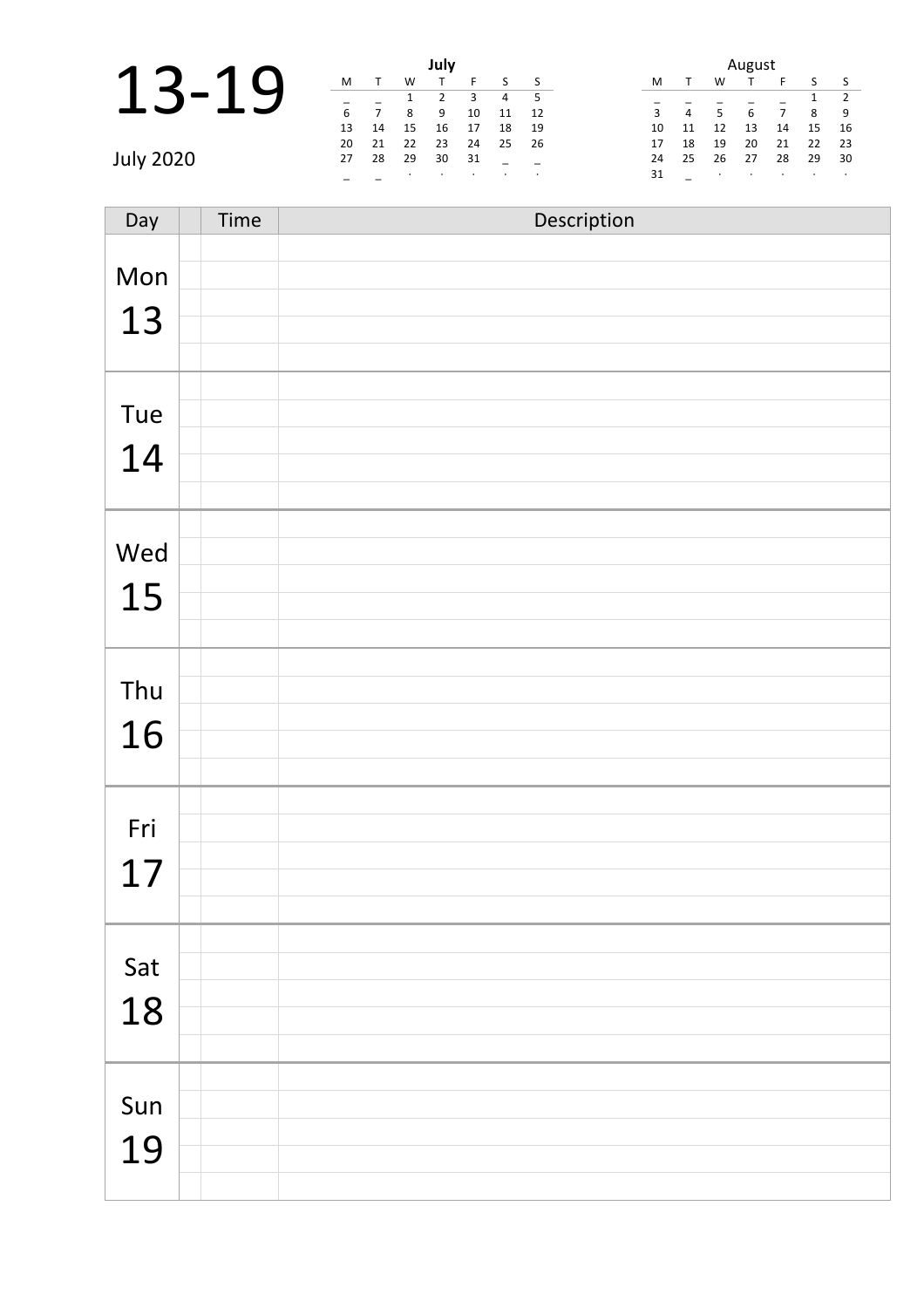|                  |    |                |    | July |      |    |      |    | August         |    |    |    |    |                          |
|------------------|----|----------------|----|------|------|----|------|----|----------------|----|----|----|----|--------------------------|
|                  | M  |                | W  |      |      |    |      | M  |                | W  |    |    |    |                          |
|                  |    |                |    |      |      | 4  | - 5  |    |                |    |    |    |    | $\overline{\phantom{a}}$ |
|                  | 6  | $\overline{7}$ | 8  | 9    | 10   | 11 | - 12 | 3  | $\overline{4}$ | 5  | 6  |    | 8  | - 9                      |
|                  | 13 | 14             | 15 | 16   | 17   | 18 | - 19 | 10 | 11             | 12 | 13 | 14 | 15 | 16                       |
|                  | 20 | - 21           | 22 | 23   | 24   | 25 | - 26 | 17 | 18             | 19 | 20 | 21 | 22 | -23                      |
| <b>July 2020</b> | 27 | 28             | 29 | 30   | - 31 |    |      | 24 | 25             | 26 | 27 | 28 | 29 | 30                       |
|                  |    |                |    |      |      |    |      | 31 |                |    |    |    |    |                          |

| Day | Time | Description |
|-----|------|-------------|
|     |      |             |
| Mon |      |             |
| 13  |      |             |
|     |      |             |
|     |      |             |
| Tue |      |             |
| 14  |      |             |
|     |      |             |
|     |      |             |
| Wed |      |             |
|     |      |             |
| 15  |      |             |
|     |      |             |
| Thu |      |             |
|     |      |             |
| 16  |      |             |
|     |      |             |
|     |      |             |
| Fri |      |             |
| 17  |      |             |
|     |      |             |
|     |      |             |
| Sat |      |             |
| 18  |      |             |
|     |      |             |
|     |      |             |
| Sun |      |             |
| 19  |      |             |
|     |      |             |
|     |      |             |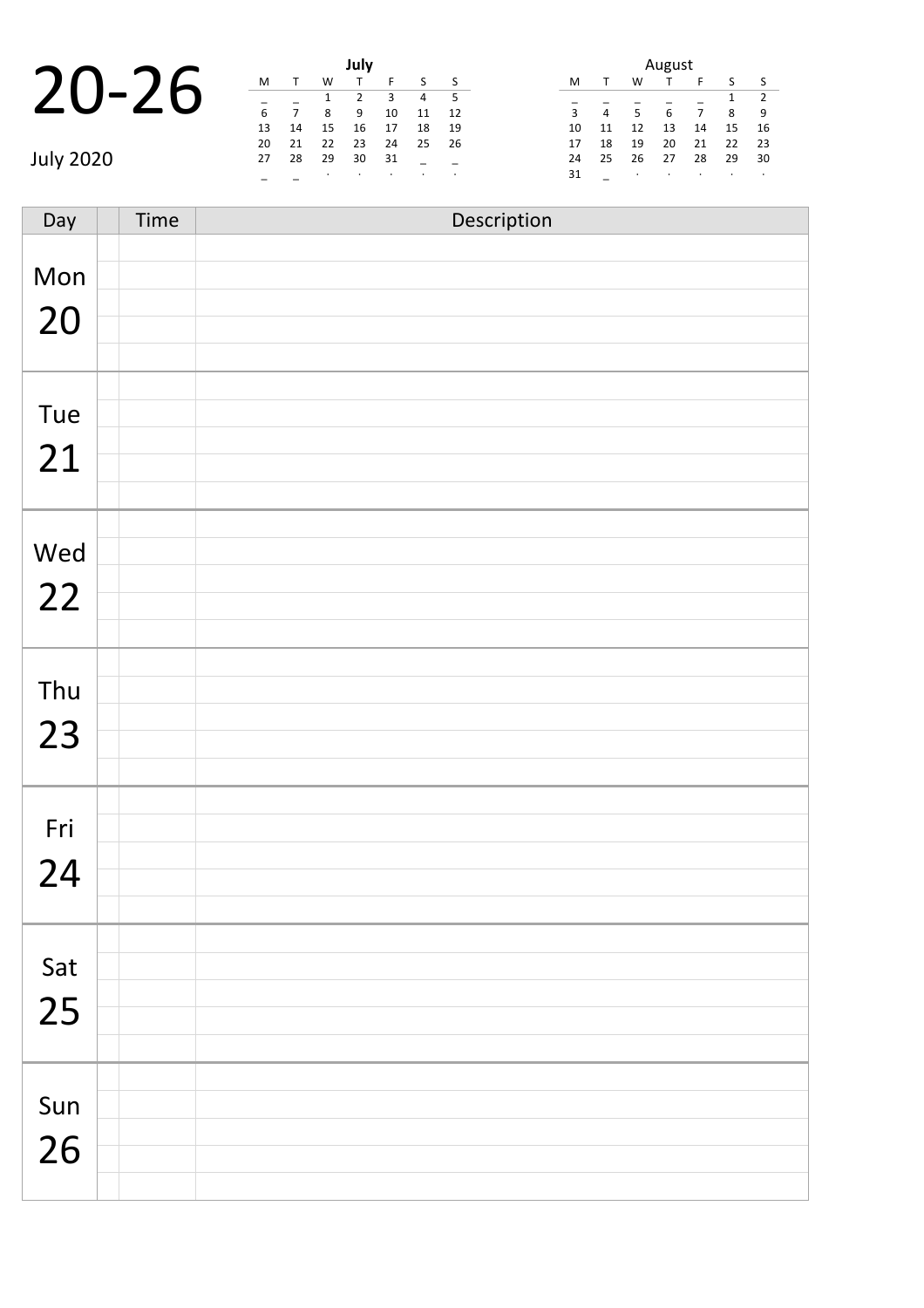|       |  | <b>Example 1</b> July |  |
|-------|--|-----------------------|--|
|       |  |                       |  |
| 20-26 |  |                       |  |
|       |  |                       |  |
|       |  | 14  15  16            |  |

|           |    |      |    | July |    |                |      |    | August         |                |    |                |                |                          |  |
|-----------|----|------|----|------|----|----------------|------|----|----------------|----------------|----|----------------|----------------|--------------------------|--|
|           | M  |      | W  |      |    |                |      | M  |                | W              |    |                | S              | $\sim$                   |  |
| 20-26     |    |      |    |      | 3  | $\overline{4}$ |      |    |                |                |    |                |                |                          |  |
|           | 6  |      | 8  | 9    | 10 | 11             | 12   | 3  | $\overline{4}$ | 5 <sup>1</sup> | 6  | $\overline{7}$ | 8 <sup>8</sup> | $\overline{\phantom{a}}$ |  |
|           | 13 | 14   | 15 | 16   | 17 | 18             | - 19 | 10 | 11             | 12             | 13 | 14             | 15             | $\overline{1}$           |  |
|           | 20 | 21   | 22 | 23   | 24 | 25             | 26   | 17 | 18             | 19             | 20 | 21             | 22             | $\overline{\phantom{0}}$ |  |
| July 2020 | 27 | - 28 | 29 | 30   | 31 |                |      | 24 | 25             | 26             | 27 | 28             | 29 3           |                          |  |
|           |    |      |    |      |    |                |      | 31 |                |                |    |                |                |                          |  |

| August |    |    |    |    |    |                |  |  |  |  |  |
|--------|----|----|----|----|----|----------------|--|--|--|--|--|
| м      |    | w  |    | F  | S  | S              |  |  |  |  |  |
|        |    |    |    |    | 1  | $\overline{2}$ |  |  |  |  |  |
| 3      | 4  | 5  | 6  | 7  | 8  | 9              |  |  |  |  |  |
| 10     | 11 | 12 | 13 | 14 | 15 | 16             |  |  |  |  |  |
| 17     | 18 | 19 | 20 | 21 | 22 | 23             |  |  |  |  |  |
| 24     | 25 | 26 | 27 | 28 | 29 | 30             |  |  |  |  |  |
| 31     |    | ٠  | ٠  | ٠  |    | ٠              |  |  |  |  |  |

Day Time Description Mon 20 Tue 21 Wed 22 Thu 23 Fri 24 Sat 25 Sun 26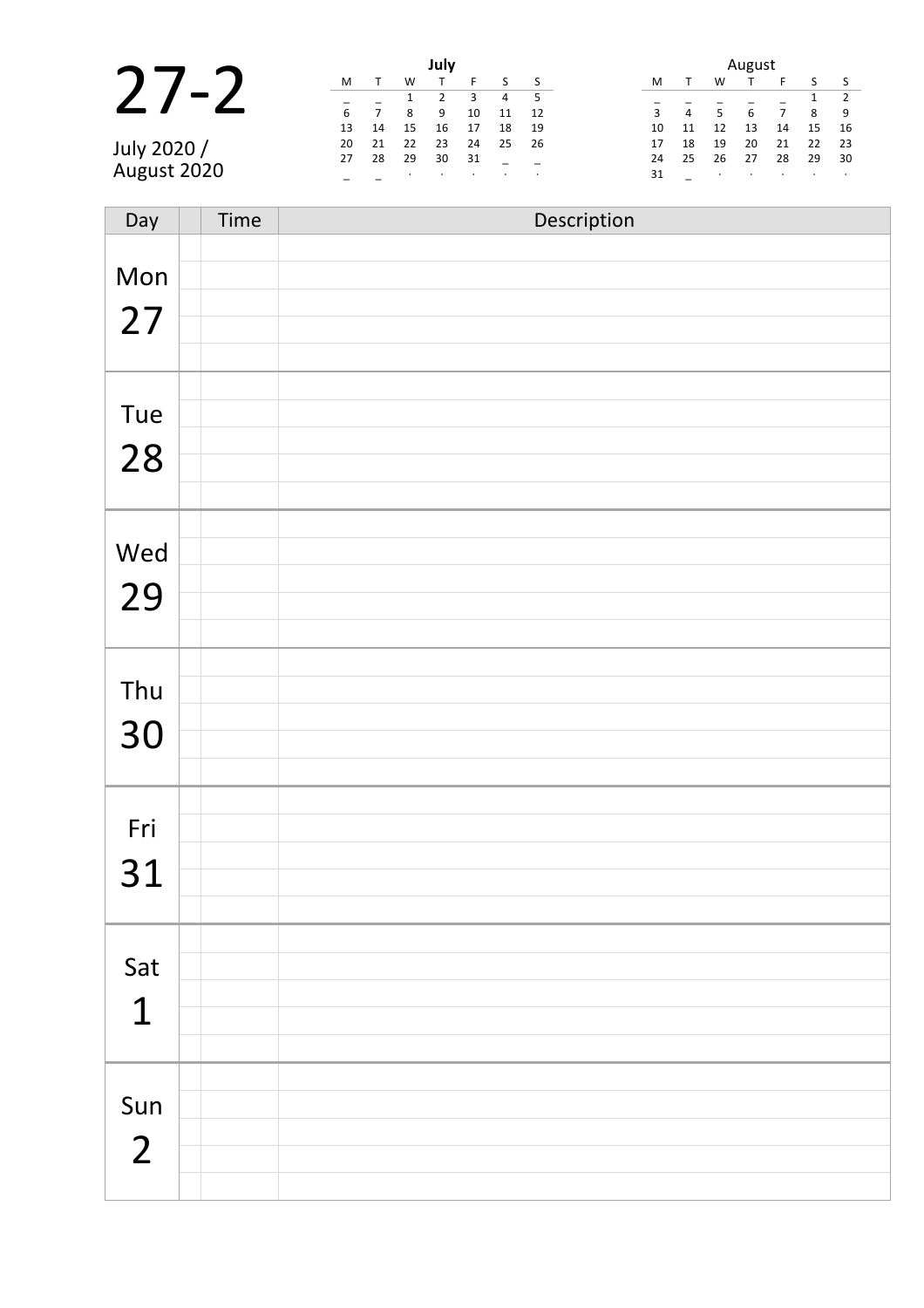|                  | July |                |    |    |    |    | August |    |    |    |    |    |    |      |
|------------------|------|----------------|----|----|----|----|--------|----|----|----|----|----|----|------|
|                  | M    |                | W  |    |    |    |        | M  |    | W  |    |    |    |      |
|                  |      |                |    |    |    | 4  | - 5    |    |    |    |    |    |    |      |
|                  | 6    | $\overline{ }$ | 8  | 9  | 10 | 11 | 12     | 3  | 4  |    | 6  |    | 8  | - 9  |
|                  | 13   | 14             | 15 | 16 | 17 | 18 | -19    | 10 | 11 | 12 | 13 | 14 | 15 | -16  |
| <b>July 2020</b> | 20   | 21             | 22 | 23 | 24 | 25 | - 26   | 17 | 18 | 19 | 20 | 21 | 22 | -23  |
|                  | 27   | 28             | 29 | 30 | 31 |    |        | 24 | 25 | 26 | 27 | 28 | 29 | - 30 |
| August 2020      |      |                |    |    |    |    |        | 31 |    |    |    |    |    |      |

| Day                   | Time | Description |
|-----------------------|------|-------------|
| Mon<br>27             |      |             |
| Tue<br>28             |      |             |
| Wed<br>29             |      |             |
| Thu<br>30             |      |             |
| Fri<br>31             |      |             |
| Sat<br>$\mathbf 1$    |      |             |
| Sun<br>$\overline{2}$ |      |             |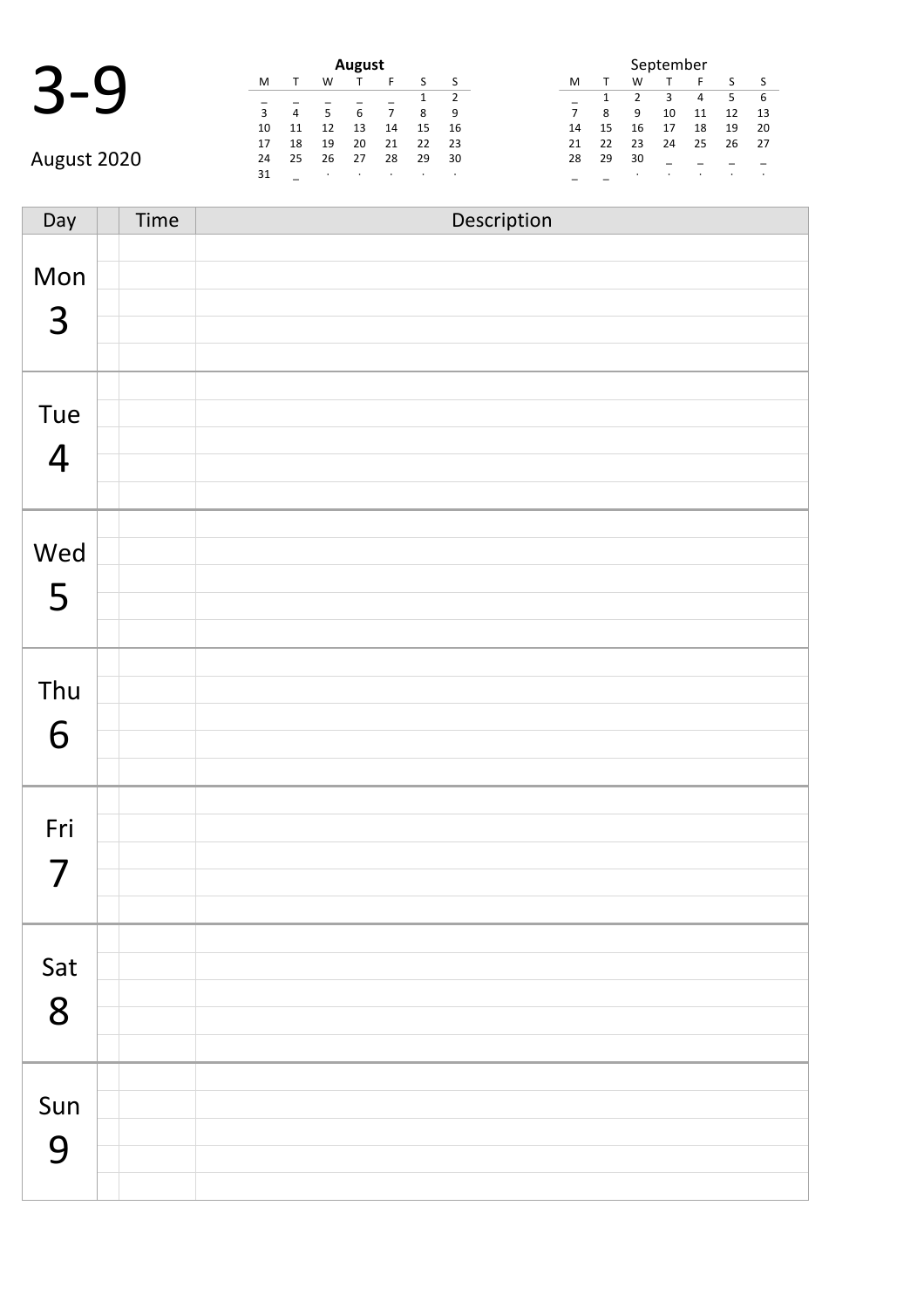|             |    |    |    | August |    |    |    | September |    |    |    |    |    |                          |
|-------------|----|----|----|--------|----|----|----|-----------|----|----|----|----|----|--------------------------|
|             | M  |    | W  |        |    |    |    | M         |    | W  |    |    |    |                          |
|             |    |    |    |        |    |    |    |           |    |    |    | 4  |    |                          |
|             |    | 4  |    | 6      |    | 8  | 9  |           | 8  | 9  | 10 | 11 | 12 | $\overline{1}$           |
|             | 10 |    | 12 | 13     | 14 | 15 | 16 | 14        | 15 | 16 | 17 | 18 | 19 | $\overline{2}$           |
|             | 17 | 18 | 19 | 20     | 21 | 22 | 23 | 21        | 22 | 23 | 24 | 25 | 26 | $\overline{\phantom{0}}$ |
| August 2020 | 24 | 25 | 26 | 27     | 28 | 29 | 30 | 28        | 29 | 30 |    |    |    |                          |
|             | 31 |    |    |        |    |    |    |           |    |    |    |    |    |                          |

|                | September |               |    |    |    |    |  |  |  |  |  |  |
|----------------|-----------|---------------|----|----|----|----|--|--|--|--|--|--|
| м              |           | W             |    | F  | S  | S  |  |  |  |  |  |  |
|                | 1         | $\mathcal{P}$ | З  | 4  | 5  | 6  |  |  |  |  |  |  |
| $\overline{7}$ | 8         | ٩             | 10 | 11 | 12 | 13 |  |  |  |  |  |  |
| 14             | 15        | 16            | 17 | 18 | 19 | 20 |  |  |  |  |  |  |
| 21             | 22        | 23            | 24 | 25 | 26 | 27 |  |  |  |  |  |  |
| 28             | 29        | 30            |    |    |    |    |  |  |  |  |  |  |
|                |           | ٠             |    |    |    |    |  |  |  |  |  |  |

Day Time Description Mon 3 Tue 4 Wed 5 Thu 6 Fri 7 Sat 8 Sun 9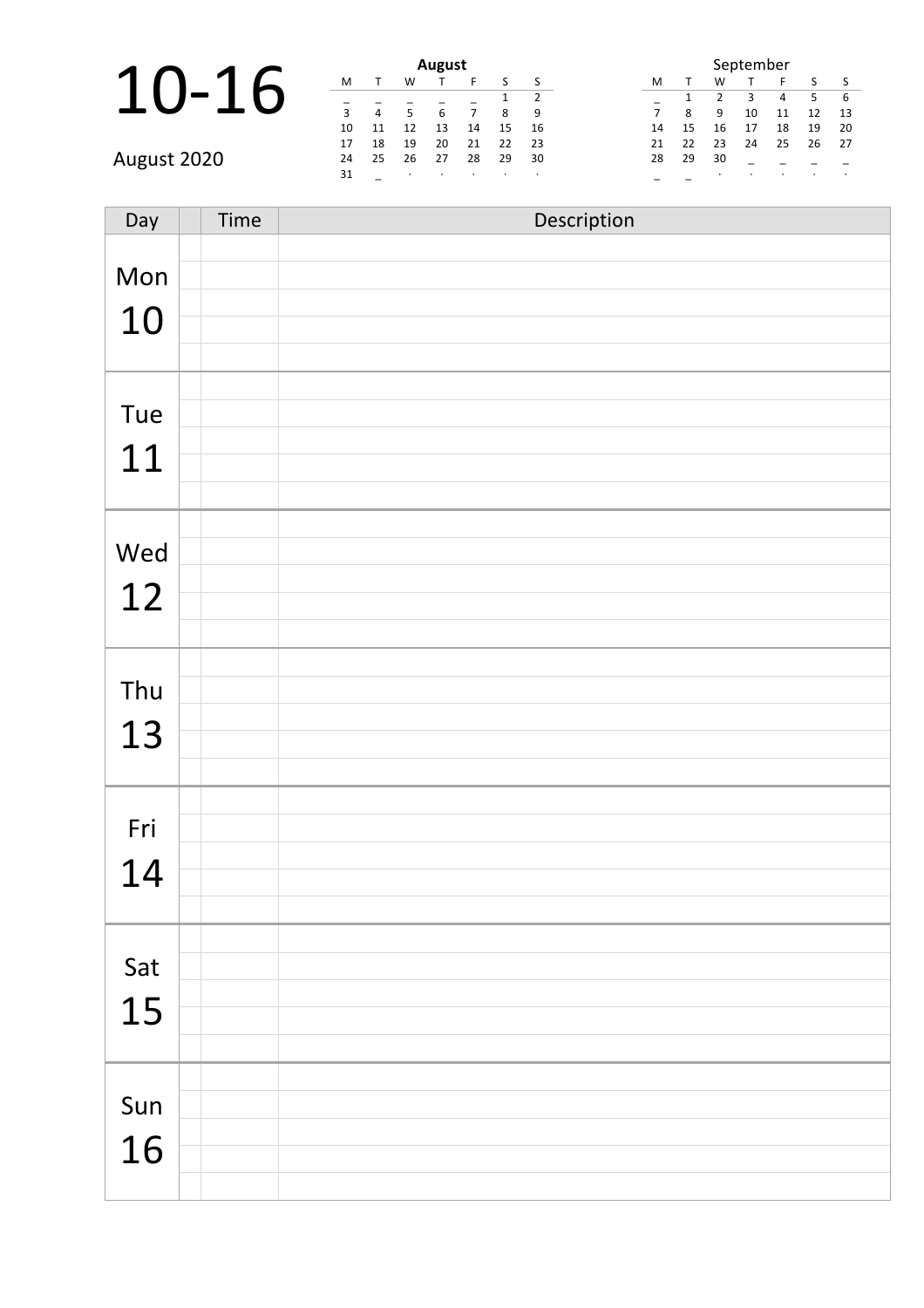## 10-16

|    |    |    | <b>August</b> |    |    |    |             |
|----|----|----|---------------|----|----|----|-------------|
| M  |    | W  |               | F  | S  | S  | Λ           |
|    |    |    |               |    |    | 2  |             |
| 3  | 4  | 5  | 6             | 7  | 8  | 9  |             |
| 10 | 11 | 12 | 13            | 14 | 15 | 16 | $\mathbf 1$ |
| 17 | 18 | 19 | 20            | 21 | 22 | 23 | 2           |
| 24 | 25 | 26 | 27            | 28 | 29 | 30 | 2           |
| 31 |    | ٠  | ٠             | ٠  | ٠  | ٠  |             |

| September      |    |                |    |    |    |    |  |  |  |  |  |
|----------------|----|----------------|----|----|----|----|--|--|--|--|--|
| M              | т  | W              | т  | F  | S  | S  |  |  |  |  |  |
|                | 1  | $\overline{2}$ | ξ  | 4  | 5  | 6  |  |  |  |  |  |
| $\overline{7}$ | 8  | q              | 10 | 11 | 12 | 13 |  |  |  |  |  |
| 14             | 15 | 16             | 17 | 18 | 19 | 20 |  |  |  |  |  |
| 21             | 22 | 23             | 24 | 25 | 26 | 27 |  |  |  |  |  |
| 28             | 29 | 30             |    |    |    |    |  |  |  |  |  |
|                |    |                |    |    |    | ٠  |  |  |  |  |  |

August 2020

| Day       | Time | Description |
|-----------|------|-------------|
| Mon       |      |             |
| 10        |      |             |
|           |      |             |
| Tue       |      |             |
| 11        |      |             |
|           |      |             |
| Wed       |      |             |
| 12        |      |             |
|           |      |             |
| Thu       |      |             |
| 13        |      |             |
|           |      |             |
| Fri       |      |             |
| 14        |      |             |
|           |      |             |
| Sat<br>15 |      |             |
|           |      |             |
| Sun       |      |             |
| 16        |      |             |
|           |      |             |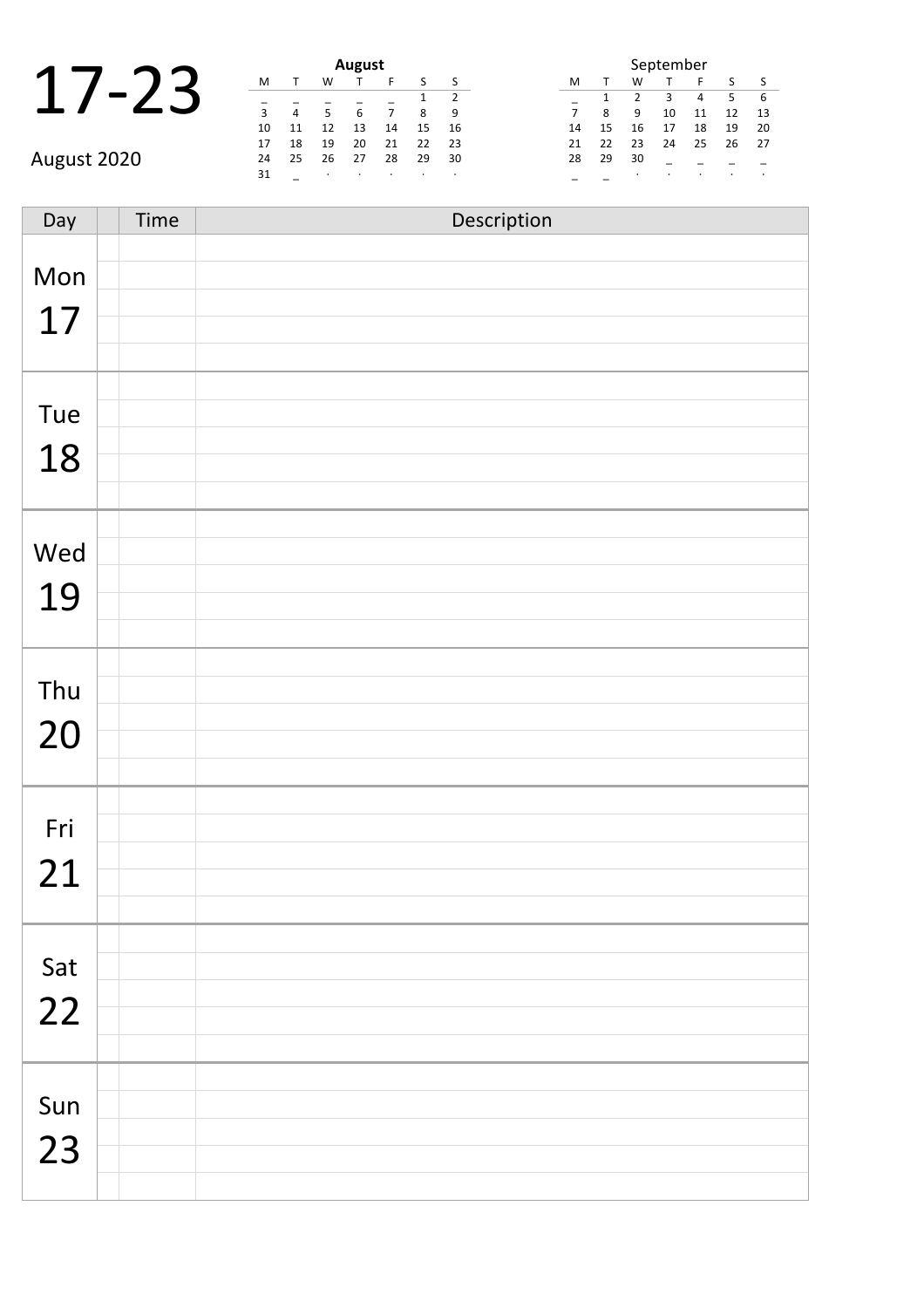|    |  | <b>August</b> |  |
|----|--|---------------|--|
|    |  |               |  |
| ∍  |  | b             |  |
| 10 |  | 13            |  |

August 2020

|    | <b>August</b> |    |    |    |    |    |  |  |  |  |  |  |
|----|---------------|----|----|----|----|----|--|--|--|--|--|--|
| м  |               | w  |    | F  | S  | S  |  |  |  |  |  |  |
|    |               |    |    |    | 1  | 2  |  |  |  |  |  |  |
| 3  | 4             | 5  | 6  |    | 8  | 9  |  |  |  |  |  |  |
| 10 | 11            | 12 | 13 | 14 | 15 | 16 |  |  |  |  |  |  |
| 17 | 18            | 19 | 20 | 21 | 22 | 23 |  |  |  |  |  |  |
| 24 | 25            | 26 | 27 | 28 | 29 | 30 |  |  |  |  |  |  |
| 31 |               | ٠  | ٠  | ٠  | ٠  | ٠  |  |  |  |  |  |  |

| September |    |               |    |    |    |    |  |  |  |  |
|-----------|----|---------------|----|----|----|----|--|--|--|--|
| м         |    | w             |    | F  | S  | ς  |  |  |  |  |
|           | 1  | $\mathcal{P}$ | з  | 4  | 5  | 6  |  |  |  |  |
| 7         | 8  | q             | 10 | 11 | 12 | 13 |  |  |  |  |
| 14        | 15 | 16            | 17 | 18 | 19 | 20 |  |  |  |  |
| 21        | 22 | 23            | 24 | 25 | 26 | 27 |  |  |  |  |
| 28        | 29 | 30            |    |    |    |    |  |  |  |  |
|           |    | ٠             |    | ٠  |    |    |  |  |  |  |

Day Time Description Mon 17 Tue 18 Wed 19 Thu 20 Fri 21 Sat 22 Sun 23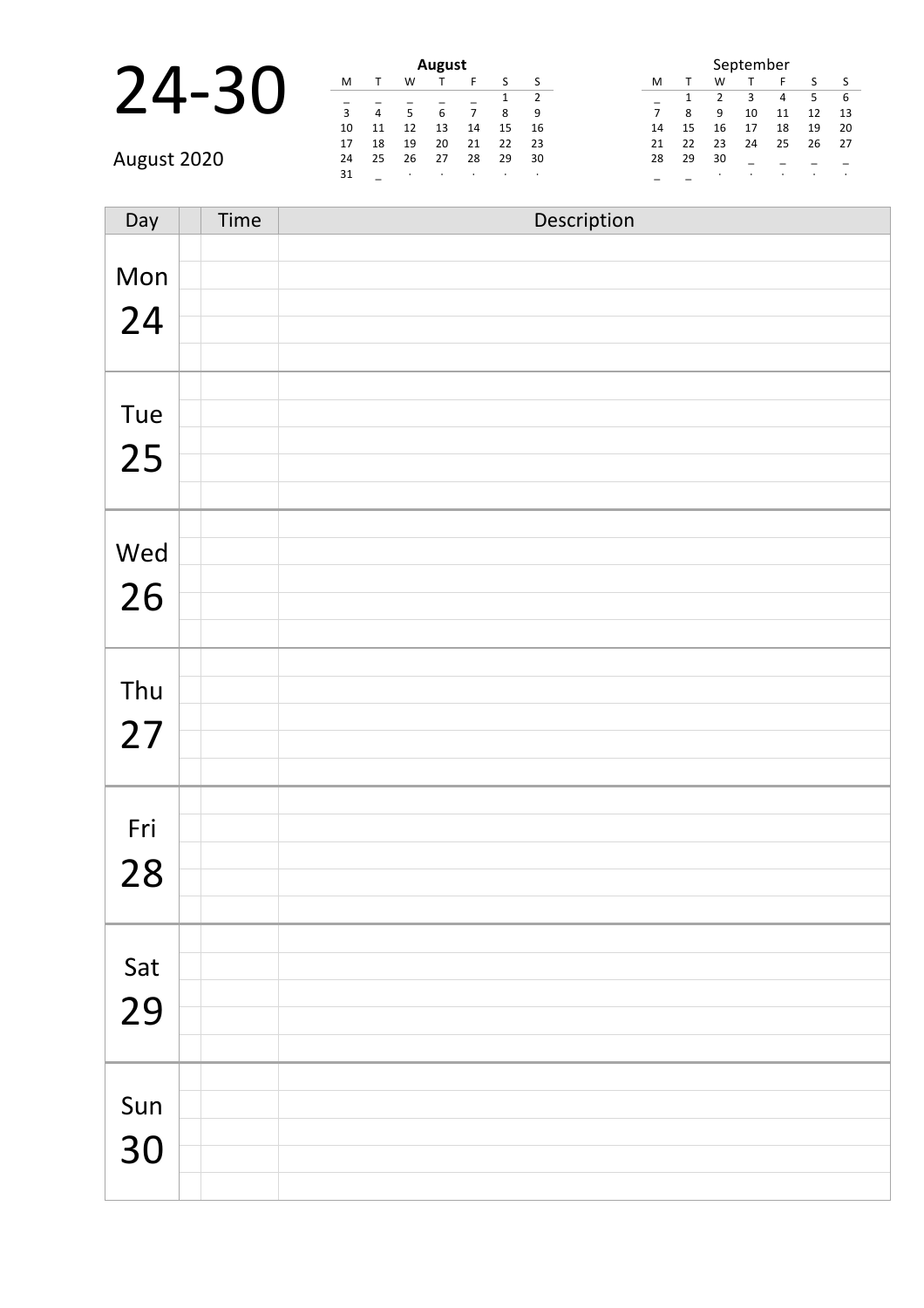|           |  | <b>August</b> |  |
|-----------|--|---------------|--|
| フム<br>-30 |  |               |  |
|           |  |               |  |
|           |  |               |  |

|    |    |    | <b>August</b> |    |    |    |  |
|----|----|----|---------------|----|----|----|--|
| M  |    | W  |               | F  | S  | S  |  |
|    |    |    |               |    | 1  | 2  |  |
| 3  | 4  | 5  | 6             | 7  | 8  | q  |  |
| 10 | 11 | 12 | 13            | 14 | 15 | 16 |  |
| 17 | 18 | 19 | 20            | 21 | 22 | 23 |  |
| 24 | 25 | 26 | 27            | 28 | 29 | 30 |  |
| 31 |    | ٠  | ٠             | ٠  |    | ٠  |  |

| September      |    |                |    |    |    |    |  |  |  |  |
|----------------|----|----------------|----|----|----|----|--|--|--|--|
| M              | т  | W              | т  | F  | S  | S  |  |  |  |  |
|                | 1  | $\overline{2}$ | ξ  | 4  | 5  | 6  |  |  |  |  |
| $\overline{7}$ | 8  | q              | 10 | 11 | 12 | 13 |  |  |  |  |
| 14             | 15 | 16             | 17 | 18 | 19 | 20 |  |  |  |  |
| 21             | 22 | 23             | 24 | 25 | 26 | 27 |  |  |  |  |
| 28             | 29 | 30             |    |    |    |    |  |  |  |  |
|                |    |                |    |    |    | ٠  |  |  |  |  |

| Day       | Time | Description |
|-----------|------|-------------|
| Mon<br>24 |      |             |
| Tue<br>25 |      |             |
| Wed<br>26 |      |             |
| Thu<br>27 |      |             |
| Fri<br>28 |      |             |
| Sat<br>29 |      |             |
| Sun<br>30 |      |             |

August 2020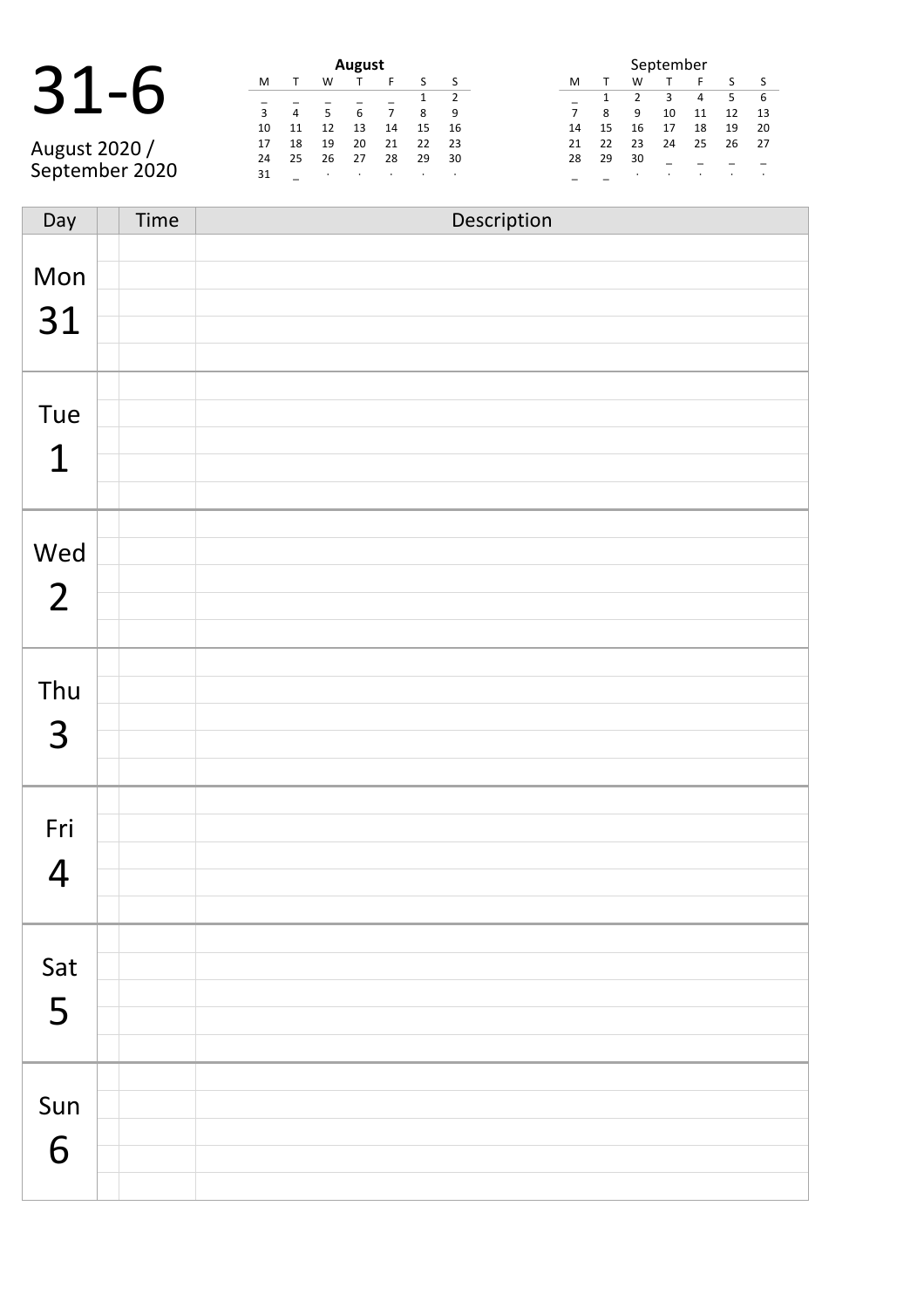#### 31-6 **August**

August 2020 / September 2020

| August |    |    |    |    |    |                |  |  |  |  |  |
|--------|----|----|----|----|----|----------------|--|--|--|--|--|
| M      |    | W  |    | F  | S  | S              |  |  |  |  |  |
|        |    |    |    |    | 1  | $\overline{2}$ |  |  |  |  |  |
| 3      | 4  | 5  | 6  | 7  | 8  | ٩              |  |  |  |  |  |
| 10     | 11 | 12 | 13 | 14 | 15 | 16             |  |  |  |  |  |
| 17     | 18 | 19 | 20 | 21 | 22 | 23             |  |  |  |  |  |
| 24     | 25 | 26 | 27 | 28 | 29 | 30             |  |  |  |  |  |
| 31     |    | ٠  |    | ٠  |    | ٠              |  |  |  |  |  |

| September      |    |               |    |    |    |    |  |  |  |  |
|----------------|----|---------------|----|----|----|----|--|--|--|--|
| м              |    | w             | ς  |    |    |    |  |  |  |  |
|                | 1  | $\mathcal{P}$ | з  | 4  | 5  | 6  |  |  |  |  |
| $\overline{7}$ | 8  | q             | 10 | 11 | 12 | 13 |  |  |  |  |
| 14             | 15 | 16            | 17 | 18 | 19 | 20 |  |  |  |  |
| 21             | 22 | 23            | 24 | 25 | 26 | 27 |  |  |  |  |
| 28             | 29 | 30            |    |    |    |    |  |  |  |  |
|                |    | ٠             |    |    |    |    |  |  |  |  |

| Day                   | Time | Description |
|-----------------------|------|-------------|
| Mon<br>31             |      |             |
| Tue<br>$\mathbf 1$    |      |             |
| Wed<br>$\overline{2}$ |      |             |
| Thu<br>3              |      |             |
| Fri<br>$\overline{4}$ |      |             |
| Sat<br>5              |      |             |
| Sun<br>6              |      |             |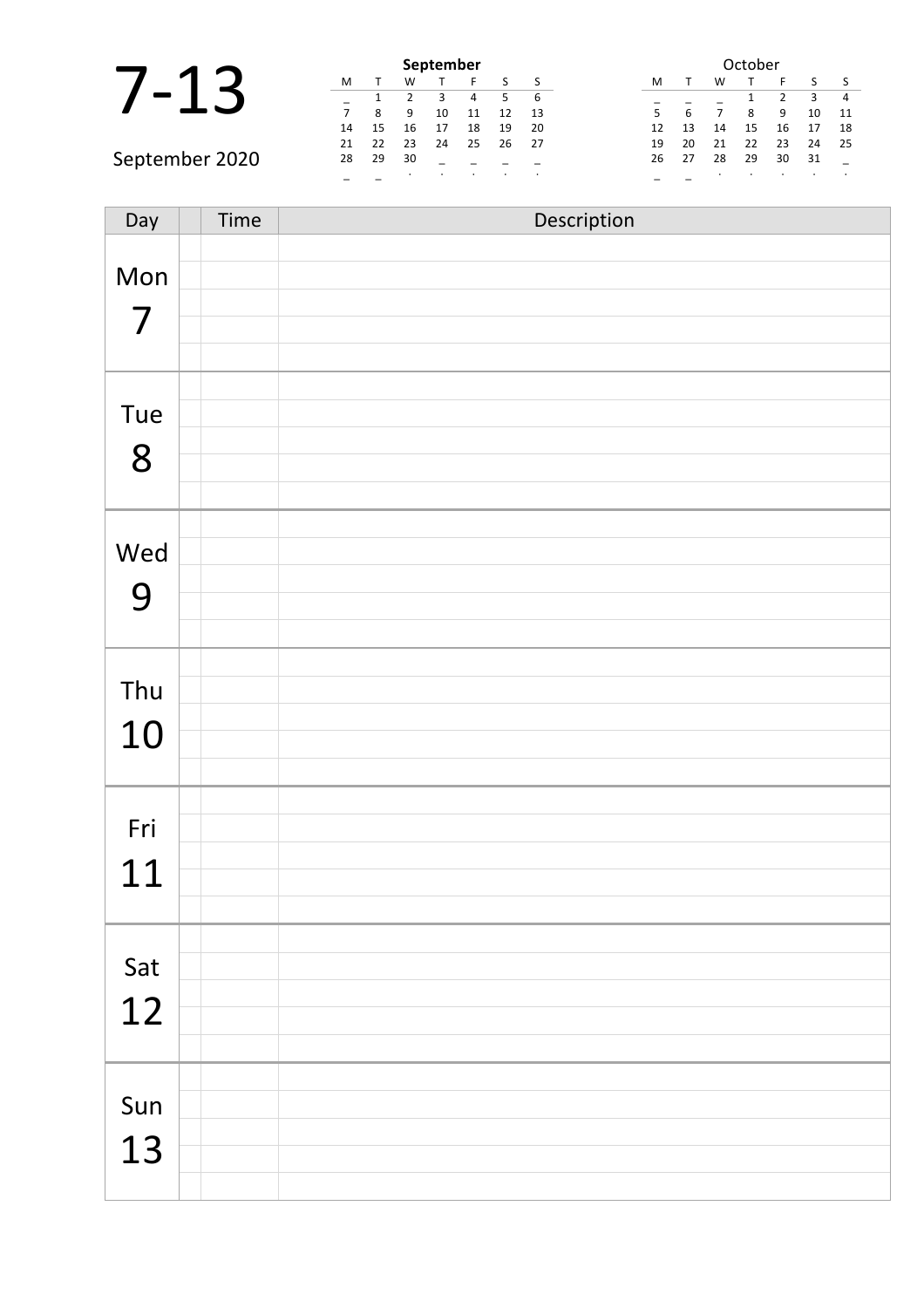|                |    |    |    | September |    |    |      |  |          |    |    | October |    |
|----------------|----|----|----|-----------|----|----|------|--|----------|----|----|---------|----|
|                | M  |    | w  |           |    |    |      |  | M        | W  |    |         |    |
|                |    |    |    |           |    |    | -6   |  |          |    |    |         |    |
|                |    | 8  | 9  | 10        | 11 | 12 | 13   |  |          |    |    | q       | 10 |
|                | 14 | 15 | 16 |           | 18 | 19 | 20   |  | 12<br>13 | 14 | 15 | 16      | 17 |
|                | 21 | 22 | 23 | 24        | 25 | 26 | - 27 |  | 20<br>19 | 21 | 22 | 23      | 24 |
| September 2020 | 28 | 29 | 30 |           |    |    |      |  | 27<br>26 | 28 | 29 | 30      | 31 |
|                |    |    |    |           |    |    |      |  |          |    |    |         |    |

| Day | Time | Description |
|-----|------|-------------|
|     |      |             |
| Mon |      |             |
| 7   |      |             |
|     |      |             |
|     |      |             |
| Tue |      |             |
|     |      |             |
| 8   |      |             |
|     |      |             |
| Wed |      |             |
|     |      |             |
| 9   |      |             |
|     |      |             |
|     |      |             |
| Thu |      |             |
| 10  |      |             |
|     |      |             |
|     |      |             |
| Fri |      |             |
|     |      |             |
| 11  |      |             |
|     |      |             |
|     |      |             |
| Sat |      |             |
| 12  |      |             |
|     |      |             |
|     |      |             |
| Sun |      |             |
| 13  |      |             |
|     |      |             |
|     |      |             |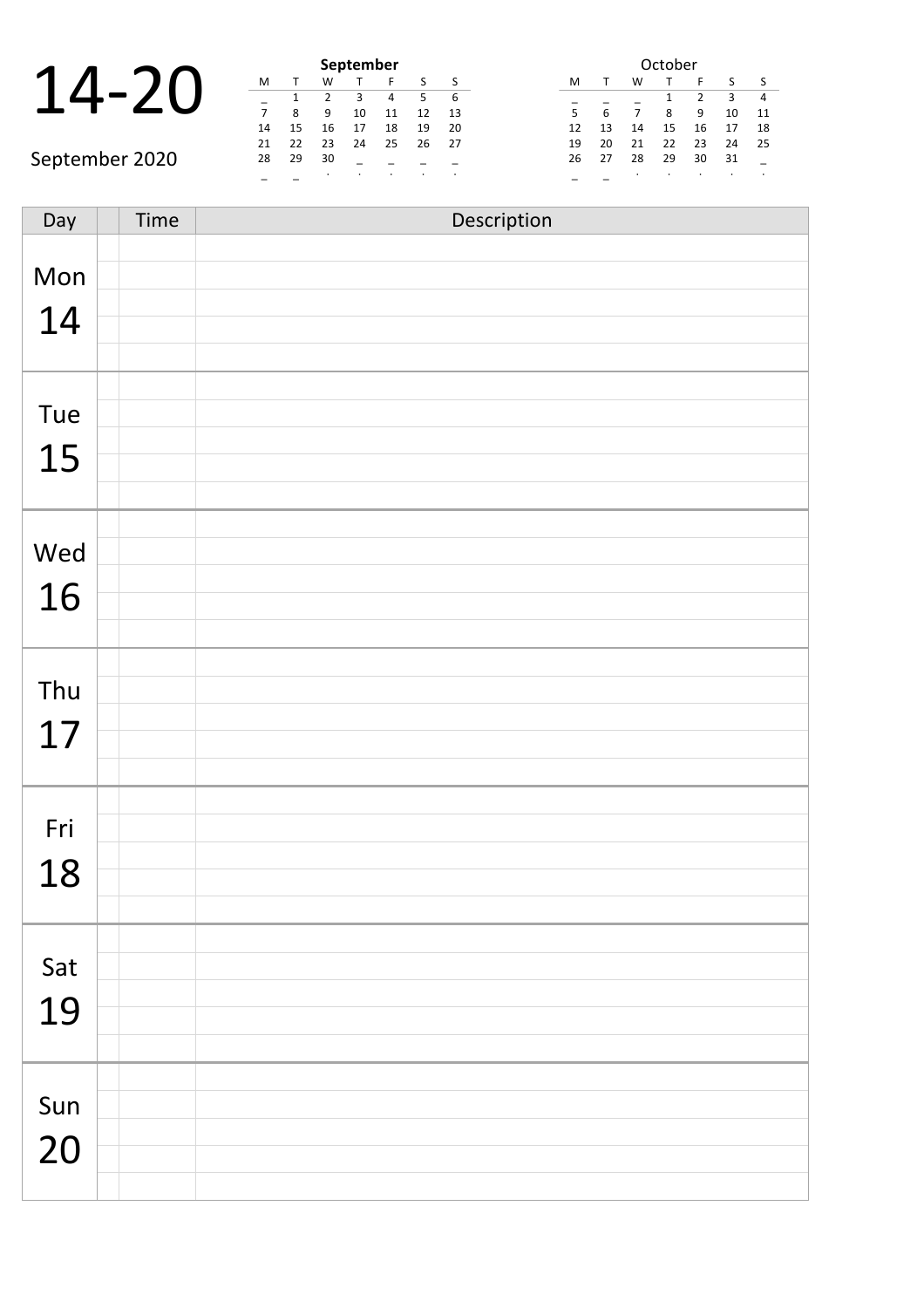|  |  | September |  |
|--|--|-----------|--|
|  |  |           |  |
|  |  |           |  |
|  |  |           |  |
|  |  |           |  |

|                | September |    |         |    |    |    | October |  |    |    |    |    |    |     |                          |
|----------------|-----------|----|---------|----|----|----|---------|--|----|----|----|----|----|-----|--------------------------|
|                | M         |    | W       |    |    |    |         |  | M  |    | W  |    |    |     |                          |
|                |           |    |         |    |    |    |         |  |    |    |    |    |    |     |                          |
|                |           |    | 9       | 10 | 11 | 12 | 13      |  |    | h  |    | 8  | 9  | 10  | $\overline{1}$           |
|                | 14        | 15 | 16      | 17 | 18 | 19 | -20     |  | 12 | 13 | 14 | 15 | 16 | 17  | $\overline{1}$           |
|                | 21        |    | 23      | 24 | 25 | 26 | 27      |  | 19 | 20 |    | 22 | 23 | 24  | $\overline{\phantom{0}}$ |
| September 2020 | 28        | 29 | 30      |    |    |    |         |  | 26 | 27 | 28 | 29 | 30 | -31 |                          |
|                |           |    | $\cdot$ |    |    |    |         |  |    |    |    |    |    |     |                          |

| October |              |    |    |                |    |    |  |  |  |  |  |
|---------|--------------|----|----|----------------|----|----|--|--|--|--|--|
| м       | $\mathbf{T}$ | w  | т  | F              | S  | ς  |  |  |  |  |  |
|         |              |    | 1  | $\mathfrak{p}$ | 3  | 4  |  |  |  |  |  |
| 5       | 6            | 7  | 8  | 9              | 10 | 11 |  |  |  |  |  |
| 12      | 13           | 14 | 15 | 16             | 17 | 18 |  |  |  |  |  |
| 19      | 20           | 21 | 22 | 23             | 24 | 25 |  |  |  |  |  |
| 26      | 27           | 28 | 29 | 30             | 31 |    |  |  |  |  |  |
|         |              |    |    |                |    | ٠  |  |  |  |  |  |

| Day | Time | Description |
|-----|------|-------------|
|     |      |             |
| Mon |      |             |
| 14  |      |             |
|     |      |             |
|     |      |             |
| Tue |      |             |
|     |      |             |
| 15  |      |             |
|     |      |             |
|     |      |             |
| Wed |      |             |
| 16  |      |             |
|     |      |             |
|     |      |             |
| Thu |      |             |
|     |      |             |
| 17  |      |             |
|     |      |             |
|     |      |             |
| Fri |      |             |
| 18  |      |             |
|     |      |             |
|     |      |             |
| Sat |      |             |
|     |      |             |
| 19  |      |             |
|     |      |             |
|     |      |             |
| Sun |      |             |
| 20  |      |             |
|     |      |             |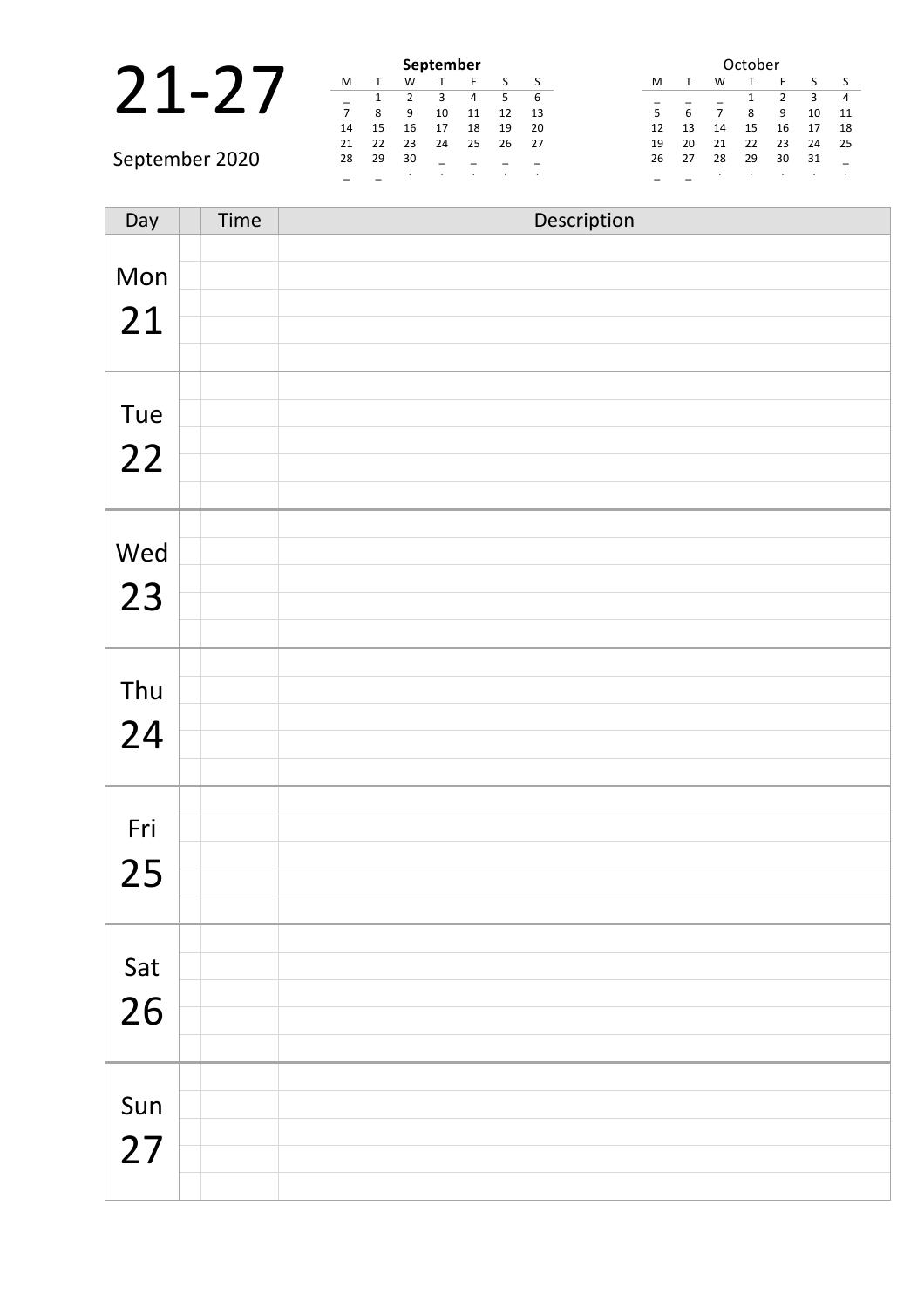|                |    |    |    | September |    |    |      | October                                 |
|----------------|----|----|----|-----------|----|----|------|-----------------------------------------|
|                | M  |    | W  |           |    |    |      | M<br>W                                  |
|                |    |    |    |           |    |    | 6    | 4                                       |
|                |    | 8  | 9  | 10        | 11 | 12 | -13  | 5<br>10<br>11<br>q                      |
|                | 14 | 15 | 16 | 17        | 18 | 19 | -20  | 17<br>18<br>15<br>16<br>13<br>12<br>14  |
|                | 21 | 22 | 23 | 24        | 25 | 26 | - 27 | 21<br>22<br>24<br>-25<br>20<br>23<br>19 |
| September 2020 | 28 | 29 | 30 |           |    |    |      | 28<br>29<br>31<br>27<br>30<br>26        |
|                |    |    |    |           |    |    |      |                                         |

| Day | Time | Description |
|-----|------|-------------|
|     |      |             |
| Mon |      |             |
| 21  |      |             |
|     |      |             |
|     |      |             |
| Tue |      |             |
|     |      |             |
| 22  |      |             |
|     |      |             |
|     |      |             |
| Wed |      |             |
| 23  |      |             |
|     |      |             |
|     |      |             |
| Thu |      |             |
|     |      |             |
| 24  |      |             |
|     |      |             |
|     |      |             |
| Fri |      |             |
| 25  |      |             |
|     |      |             |
|     |      |             |
| Sat |      |             |
|     |      |             |
| 26  |      |             |
|     |      |             |
|     |      |             |
| Sun |      |             |
| 27  |      |             |
|     |      |             |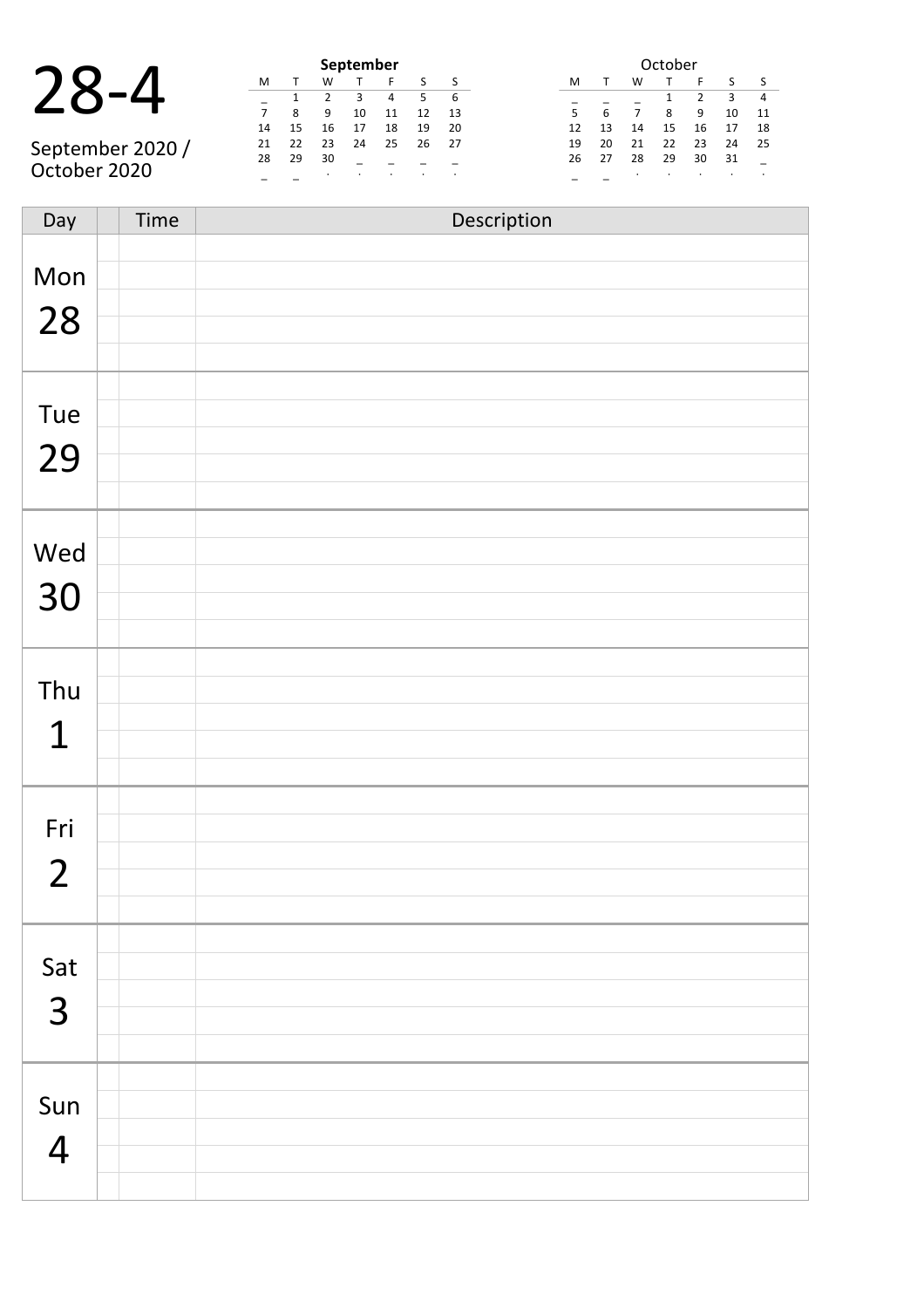|  | ١ı |  | $\mathsf I$<br>$\boldsymbol{\mathcal{L}}$ |
|--|----|--|-------------------------------------------|
|--|----|--|-------------------------------------------|

|                  | September |    |    |    |    |    |    |  |  |  |  |  |
|------------------|-----------|----|----|----|----|----|----|--|--|--|--|--|
|                  | M         |    | w  |    |    |    |    |  |  |  |  |  |
| $\sqrt{2}$       |           |    |    | 3  | 4  | 5  | 6  |  |  |  |  |  |
|                  |           | 8  | q  | 10 | 11 | 12 | 13 |  |  |  |  |  |
|                  | 14        | 15 | 16 | 17 | 18 | 19 | 20 |  |  |  |  |  |
| September 2020 / | 21        | 22 | 23 | 24 | 25 | 26 | 27 |  |  |  |  |  |
|                  | 28        | 29 | 30 |    |    |    |    |  |  |  |  |  |
| October 2020     |           |    |    |    |    |    |    |  |  |  |  |  |

|    | October |    |    |    |    |    |  |  |  |  |  |  |  |  |
|----|---------|----|----|----|----|----|--|--|--|--|--|--|--|--|
| м  |         | w  |    | F  | S  | ς  |  |  |  |  |  |  |  |  |
|    |         |    | 1  | 2  | 3  | 4  |  |  |  |  |  |  |  |  |
| 5  | 6       |    | 8  | 9  | 10 | 11 |  |  |  |  |  |  |  |  |
| 12 | 13      | 14 | 15 | 16 | 17 | 18 |  |  |  |  |  |  |  |  |
| 19 | 20      | 21 | 22 | 23 | 24 | 25 |  |  |  |  |  |  |  |  |
| 26 | 27      | 28 | 29 | 30 | 31 |    |  |  |  |  |  |  |  |  |
|    |         |    |    |    |    |    |  |  |  |  |  |  |  |  |

| Day            | Time | Description |
|----------------|------|-------------|
|                |      |             |
| Mon            |      |             |
|                |      |             |
| 28             |      |             |
|                |      |             |
|                |      |             |
| Tue            |      |             |
|                |      |             |
| 29             |      |             |
|                |      |             |
|                |      |             |
| Wed            |      |             |
| 30             |      |             |
|                |      |             |
|                |      |             |
|                |      |             |
| Thu            |      |             |
| $\mathbf 1$    |      |             |
|                |      |             |
|                |      |             |
|                |      |             |
| Fri            |      |             |
| $\overline{2}$ |      |             |
|                |      |             |
|                |      |             |
|                |      |             |
| Sat            |      |             |
| 3              |      |             |
|                |      |             |
|                |      |             |
|                |      |             |
| Sun            |      |             |
| $\overline{4}$ |      |             |
|                |      |             |
|                |      |             |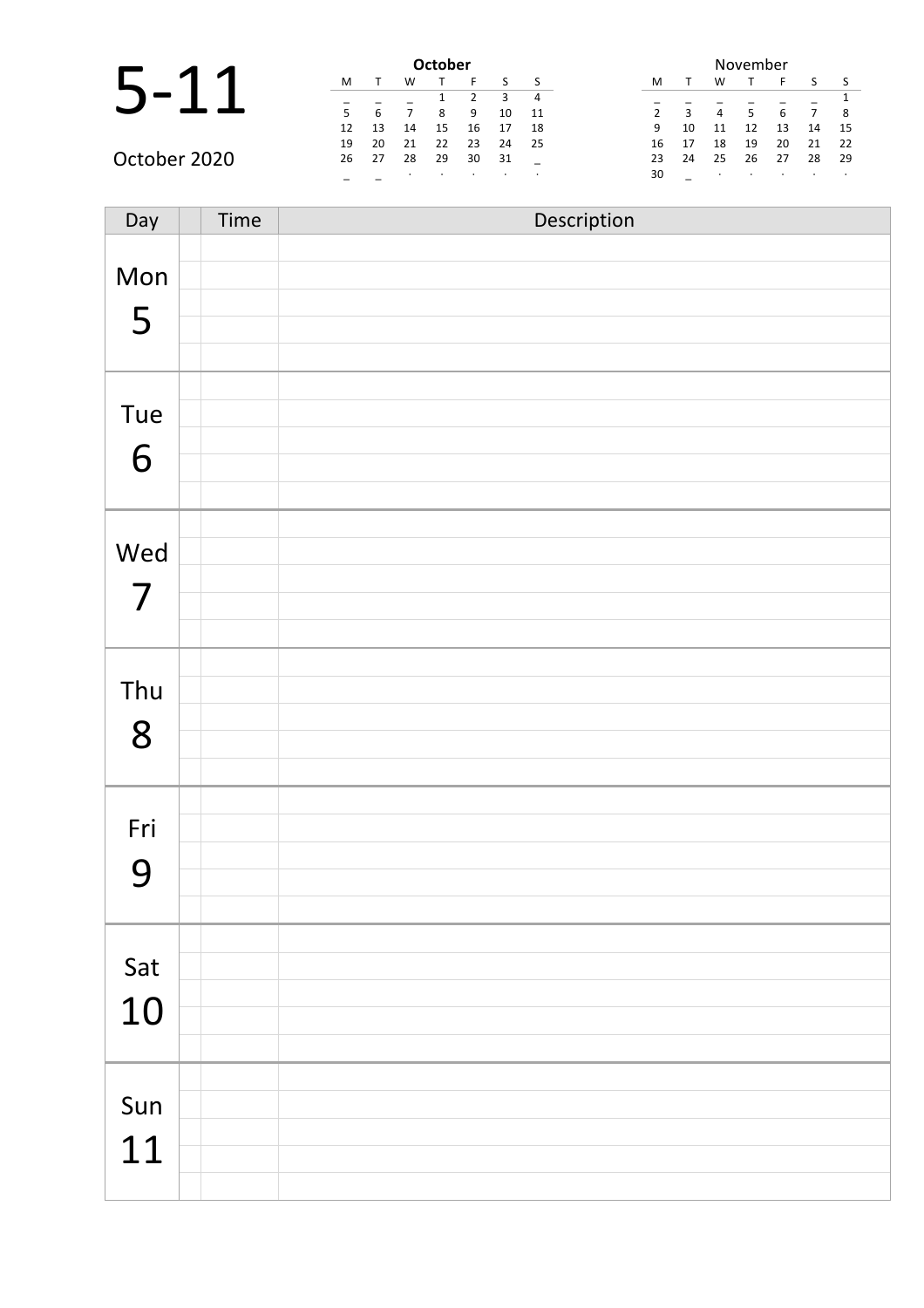|              |    |      |    | <b>October</b> |    |    |      |               |              |    | November |    |    |      |
|--------------|----|------|----|----------------|----|----|------|---------------|--------------|----|----------|----|----|------|
|              | M  |      | W  |                |    |    |      | M             |              | w  |          |    |    |      |
|              |    |      |    |                |    |    | 4    |               |              |    |          |    |    |      |
|              |    | 6    |    | 8              | 9  | 10 | 11   | $\mathcal{P}$ | $\mathbf{3}$ | 4  | .5       | 6  |    | - 8  |
|              | 12 | 13   | 14 | 15             | 16 |    | 18   | 9             | 10           | 11 | 12       | 13 | 14 | -15  |
|              | 19 | 20   | 21 | 22             | 23 | 24 | - 25 | 16            | 17           | 18 | 19       | 20 | 21 | -22  |
| October 2020 | 26 | - 27 | 28 | 29             | 30 | 31 |      | 23            | 24           | 25 | 26       | 27 | 28 | - 29 |
|              |    |      |    |                |    |    |      | 30            |              |    |          |    |    |      |

| Day                             | Time | Description |
|---------------------------------|------|-------------|
| Mon<br>5                        |      |             |
| Tue<br>6                        |      |             |
| Wed<br>$\overline{\mathcal{L}}$ |      |             |
| Thu<br>8                        |      |             |
| Fri<br>9                        |      |             |
| Sat<br>10                       |      |             |
| Sun<br>11                       |      |             |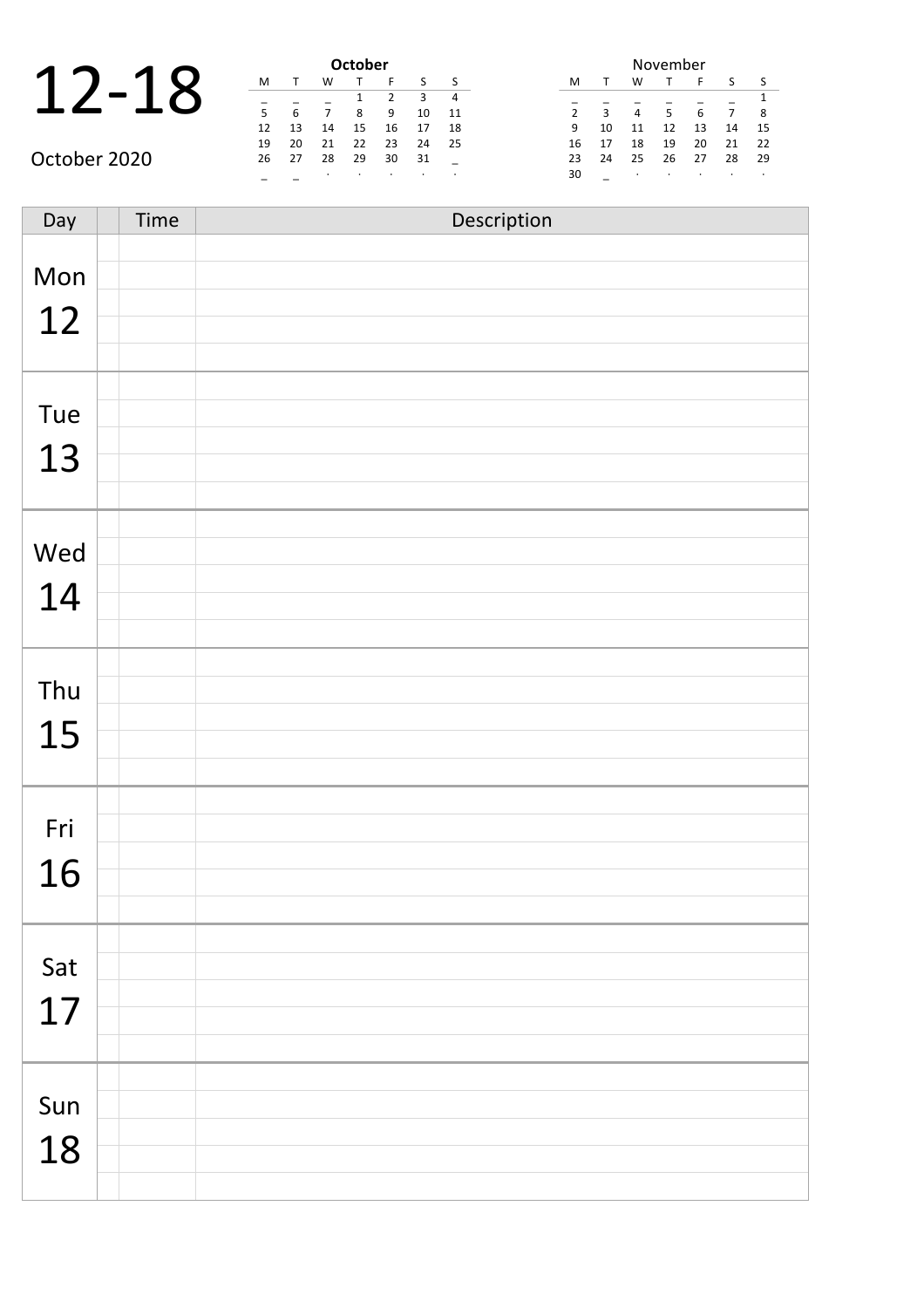|    |    | October |  |
|----|----|---------|--|
|    |    |         |  |
|    |    |         |  |
| с  |    |         |  |
| 17 | 14 |         |  |

| <b>October</b> |    |    |    |    |    |    |  |  |  |  |  |  |  |  |
|----------------|----|----|----|----|----|----|--|--|--|--|--|--|--|--|
| м              |    | W  |    | F  | S  |    |  |  |  |  |  |  |  |  |
|                |    |    | 1  | 2  | ξ  |    |  |  |  |  |  |  |  |  |
| 5              | 6  | 7  | 8  | 9  | 10 | 11 |  |  |  |  |  |  |  |  |
| 12             | 13 | 14 | 15 | 16 | 17 | 18 |  |  |  |  |  |  |  |  |
| 19             | 20 | 21 | 22 | 23 | 24 | 25 |  |  |  |  |  |  |  |  |
| 26             | 27 | 28 | 29 | 30 | 31 |    |  |  |  |  |  |  |  |  |
|                |    | ٠  | ٠  | ٠  | ٠  |    |  |  |  |  |  |  |  |  |

| November       |    |    |    |    |    |    |  |  |  |  |  |  |
|----------------|----|----|----|----|----|----|--|--|--|--|--|--|
| м              | т  | w  |    | F  | S  | S  |  |  |  |  |  |  |
|                |    |    |    |    |    | 1  |  |  |  |  |  |  |
| $\overline{2}$ | 3  |    | 5  | 6  |    | 8  |  |  |  |  |  |  |
| 9              | 10 | 11 | 12 | 13 | 14 | 15 |  |  |  |  |  |  |
| 16             | 17 | 18 | 19 | 20 | 21 | 22 |  |  |  |  |  |  |
| 23             | 24 | 25 | 26 | 27 | 28 | 29 |  |  |  |  |  |  |
| 30             |    | ٠  |    |    |    |    |  |  |  |  |  |  |

October 2020

| Day | Time | Description |
|-----|------|-------------|
|     |      |             |
| Mon |      |             |
| 12  |      |             |
|     |      |             |
|     |      |             |
| Tue |      |             |
| 13  |      |             |
|     |      |             |
|     |      |             |
| Wed |      |             |
|     |      |             |
| 14  |      |             |
|     |      |             |
|     |      |             |
| Thu |      |             |
| 15  |      |             |
|     |      |             |
|     |      |             |
| Fri |      |             |
| 16  |      |             |
|     |      |             |
|     |      |             |
| Sat |      |             |
| 17  |      |             |
|     |      |             |
|     |      |             |
| Sun |      |             |
|     |      |             |
| 18  |      |             |
|     |      |             |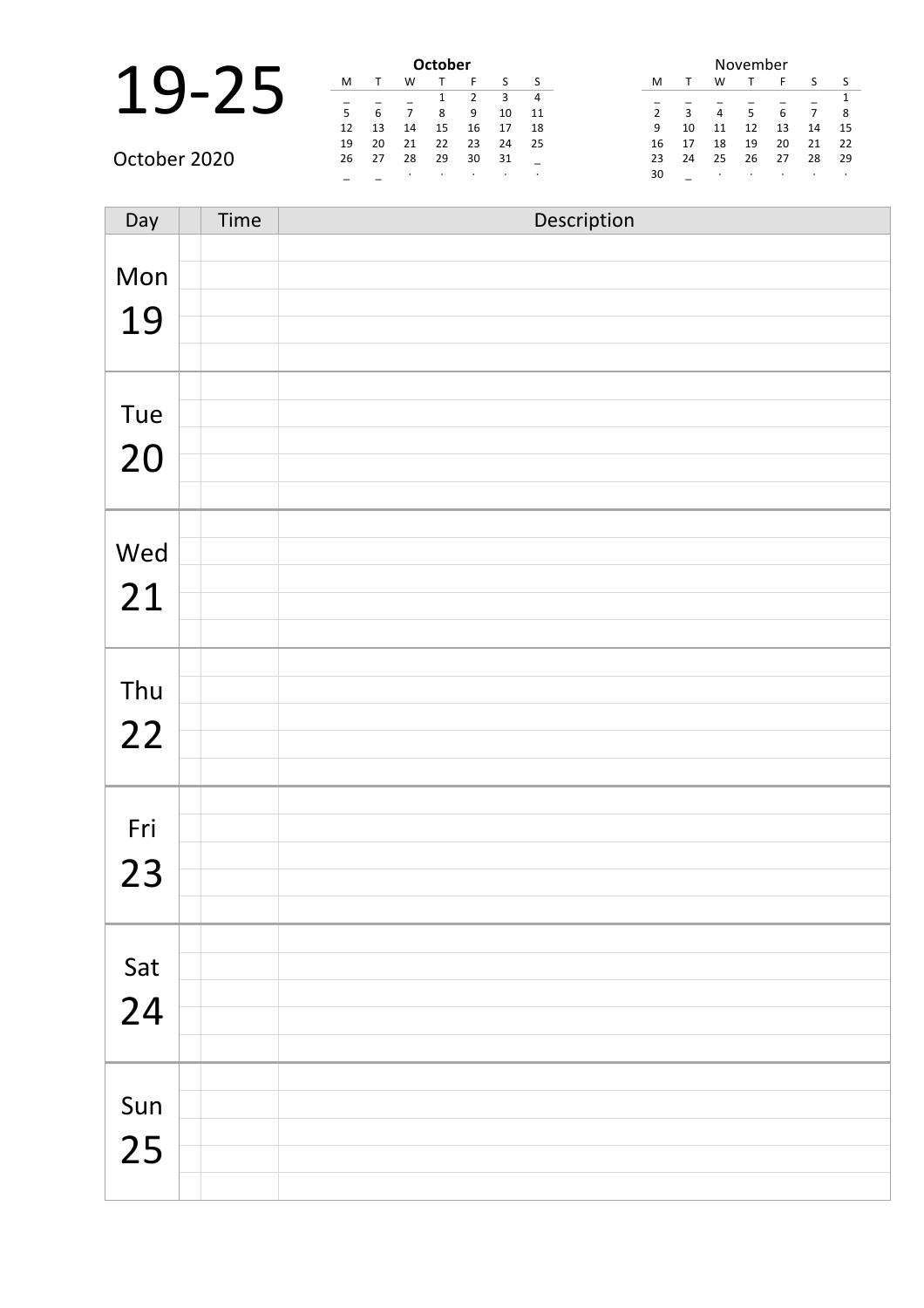|      |     |     |     | October |  |
|------|-----|-----|-----|---------|--|
| 1 Q. |     |     |     |         |  |
|      |     |     |     |         |  |
|      | с   |     |     |         |  |
|      | 12  | 13  | 14  | 15      |  |
|      | . . | - - | - - | - -     |  |

| <b>October</b> |    |    |    |               |    |    |  |  |  |
|----------------|----|----|----|---------------|----|----|--|--|--|
| м              |    | w  |    | F             | ς  | ς  |  |  |  |
|                |    |    | 1  | $\mathcal{P}$ | ੨  |    |  |  |  |
| 5              | 6  |    | 8  | 9             | 10 | 11 |  |  |  |
| 12             | 13 | 14 | 15 | 16            | 17 | 18 |  |  |  |
| 19             | 20 | 21 | 22 | 23            | 24 | 25 |  |  |  |
| 26             | 27 | 28 | 29 | 30            | 31 |    |  |  |  |
|                |    | ٠  | ٠  | ٠             | ٠  | ٠  |  |  |  |

| November       |    |    |    |    |    |    |  |  |  |
|----------------|----|----|----|----|----|----|--|--|--|
| M              | т  | W  |    | F  | S  | S  |  |  |  |
|                |    |    |    |    |    | 1  |  |  |  |
| $\overline{2}$ | 3  | 4  | 5  | 6  | 7  | 8  |  |  |  |
| 9              | 10 | 11 | 12 | 13 | 14 | 15 |  |  |  |
| 16             | 17 | 18 | 19 | 20 | 21 | 22 |  |  |  |
| 23             | 24 | 25 | 26 | 27 | 28 | 29 |  |  |  |
| 30             |    |    | ٠  |    |    |    |  |  |  |

October 2020

| Day | Time | Description |
|-----|------|-------------|
| Mon |      |             |
| 19  |      |             |
|     |      |             |
| Tue |      |             |
| 20  |      |             |
|     |      |             |
| Wed |      |             |
| 21  |      |             |
|     |      |             |
| Thu |      |             |
| 22  |      |             |
|     |      |             |
| Fri |      |             |
| 23  |      |             |
|     |      |             |
| Sat |      |             |
| 24  |      |             |
|     |      |             |
| Sun |      |             |
| 25  |      |             |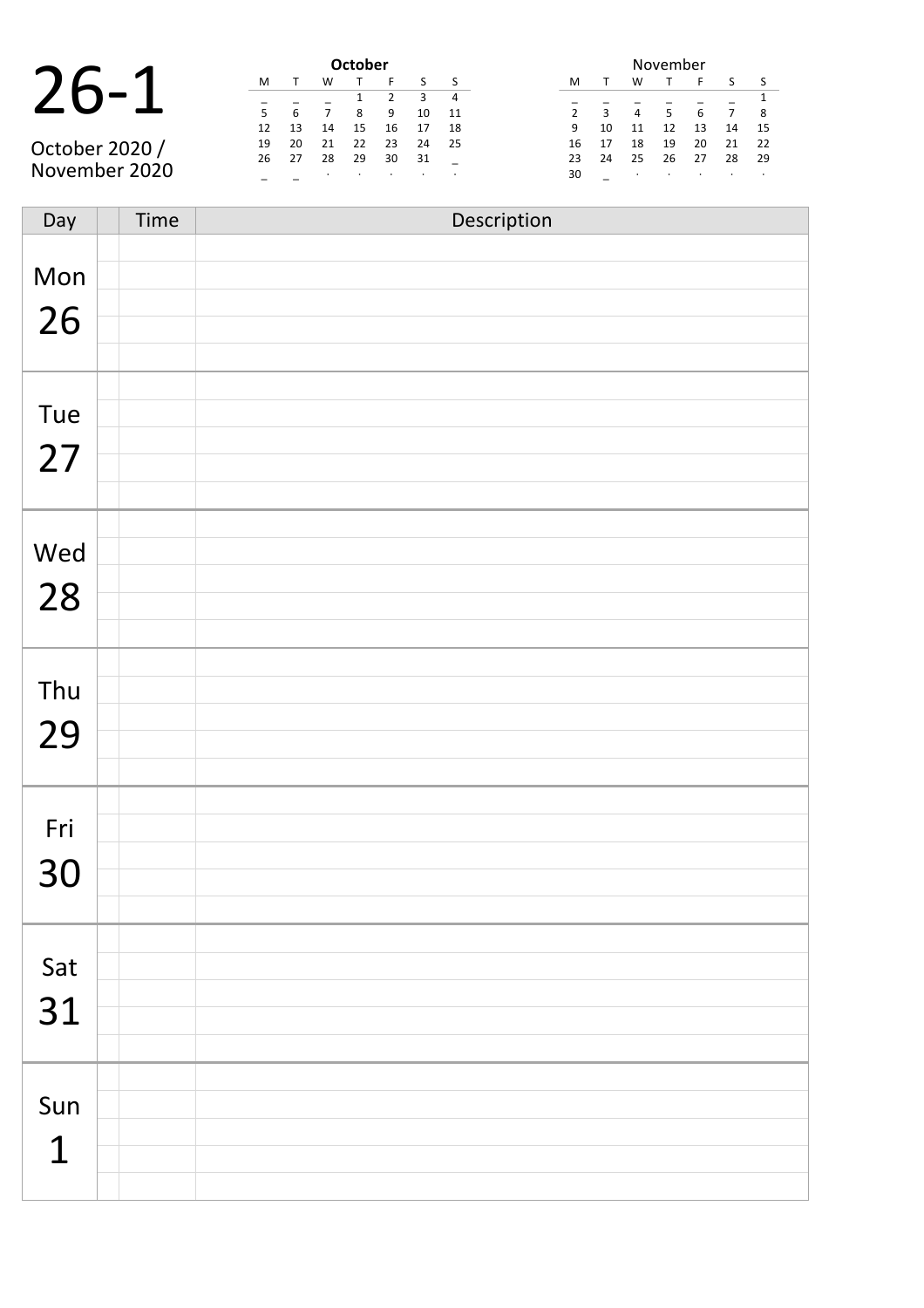| $\sum$ |              | 1 |
|--------|--------------|---|
|        | $\bigcirc$ - |   |

|                | <b>October</b> |    |    |    |    |    |    |  |  |  |
|----------------|----------------|----|----|----|----|----|----|--|--|--|
|                | м              |    | w  |    | F  |    |    |  |  |  |
|                |                |    |    |    |    | 3  | 4  |  |  |  |
|                | 5              | 6  |    | 8  | 9  | 10 | 11 |  |  |  |
|                | 12             | 13 | 14 | 15 | 16 | 17 | 18 |  |  |  |
| October 2020 / | 19             | 20 | 21 | 22 | 23 | 24 | 25 |  |  |  |
|                | 26             | 27 | 28 | 29 | 30 | 31 |    |  |  |  |
| November 2020  |                |    |    |    |    |    |    |  |  |  |

| November       |    |    |    |    |    |    |  |  |  |
|----------------|----|----|----|----|----|----|--|--|--|
| м              | т  | w  | т  | F  | S  | S  |  |  |  |
|                |    |    |    |    |    | 1  |  |  |  |
| $\overline{2}$ | 3  | 4  | 5  | 6  |    | 8  |  |  |  |
| 9              | 10 | 11 | 12 | 13 | 14 | 15 |  |  |  |
| 16             | 17 | 18 | 19 | 20 | 21 | 22 |  |  |  |
| 23             | 24 | 25 | 26 | 27 | 28 | 29 |  |  |  |
| 30             |    | ٠  | ٠  |    | ٠  |    |  |  |  |

| Day         | Time | Description |
|-------------|------|-------------|
| Mon         |      |             |
| 26          |      |             |
|             |      |             |
| Tue         |      |             |
| 27          |      |             |
|             |      |             |
| Wed         |      |             |
| 28          |      |             |
|             |      |             |
| Thu         |      |             |
| 29          |      |             |
|             |      |             |
| Fri         |      |             |
| 30          |      |             |
|             |      |             |
| Sat         |      |             |
| 31          |      |             |
|             |      |             |
|             |      |             |
| Sun         |      |             |
| $\mathbf 1$ |      |             |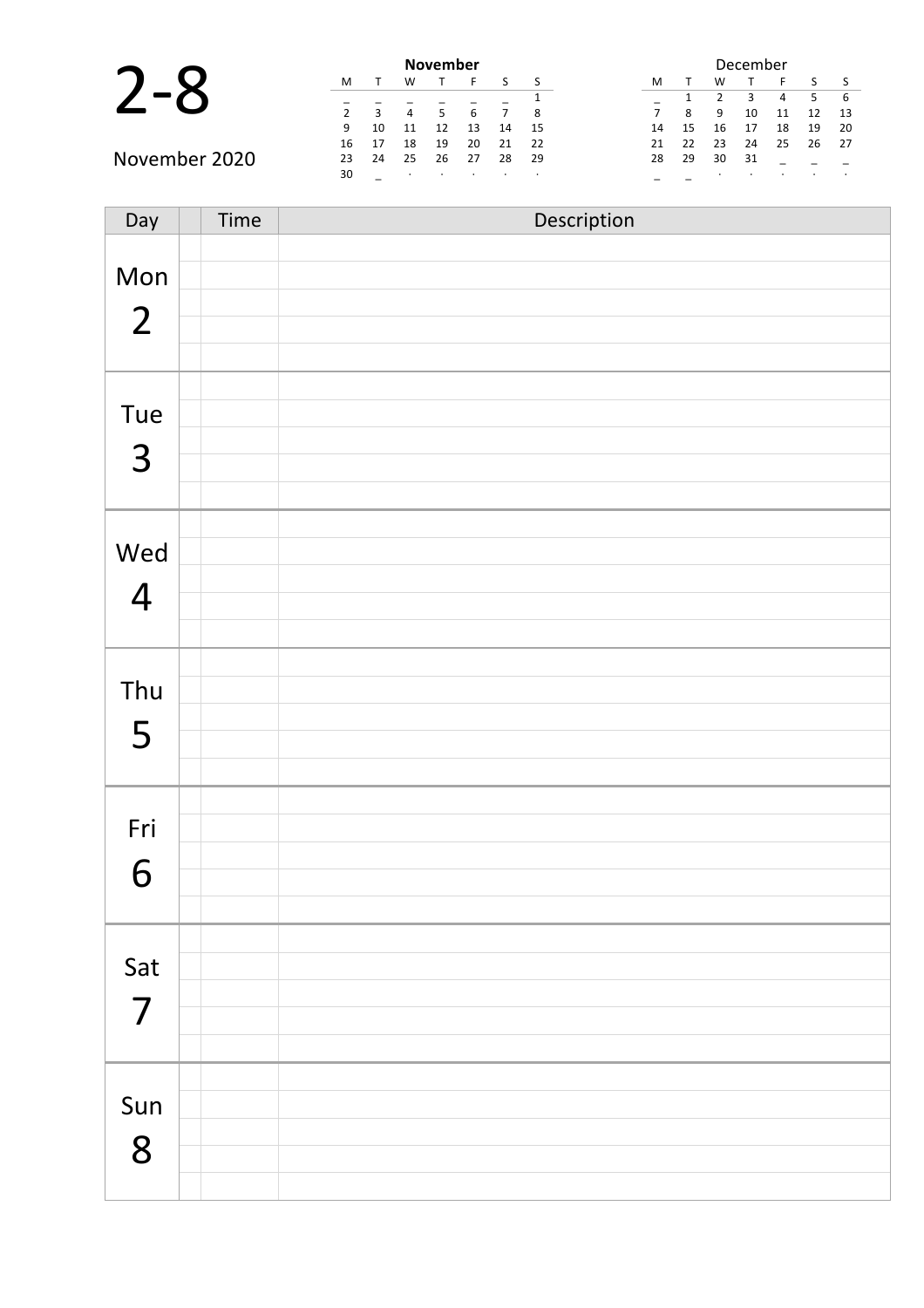|               |    |    |    | <b>November</b> |    |    |     |    |    |    | December |    |
|---------------|----|----|----|-----------------|----|----|-----|----|----|----|----------|----|
|               | M  |    | w  |                 |    |    |     | M  |    | W  |          |    |
|               |    |    |    |                 |    |    |     |    |    |    |          |    |
|               |    |    | 4  |                 |    |    | 8   | 7  | 8  | 9  | 10       | 11 |
|               | 9  | 10 |    |                 | 13 | 14 | -15 | 14 | 15 | 16 |          | 18 |
|               | 16 | 17 | 18 | 19              | 20 | 21 | -22 | 21 | 22 | 23 | 24       | 25 |
| November 2020 | 23 | 24 | 25 | 26              | 27 | 28 | -29 | 28 | 29 | 30 | 31       |    |
|               | 30 |    |    |                 |    |    |     |    |    |    |          |    |

| Day                   | Time | Description |
|-----------------------|------|-------------|
| Mon<br>$\overline{2}$ |      |             |
| Tue<br>3              |      |             |
| Wed<br>$\overline{4}$ |      |             |
| Thu<br>5              |      |             |
| Fri<br>6              |      |             |
| Sat<br>$\overline{7}$ |      |             |
| Sun<br>8              |      |             |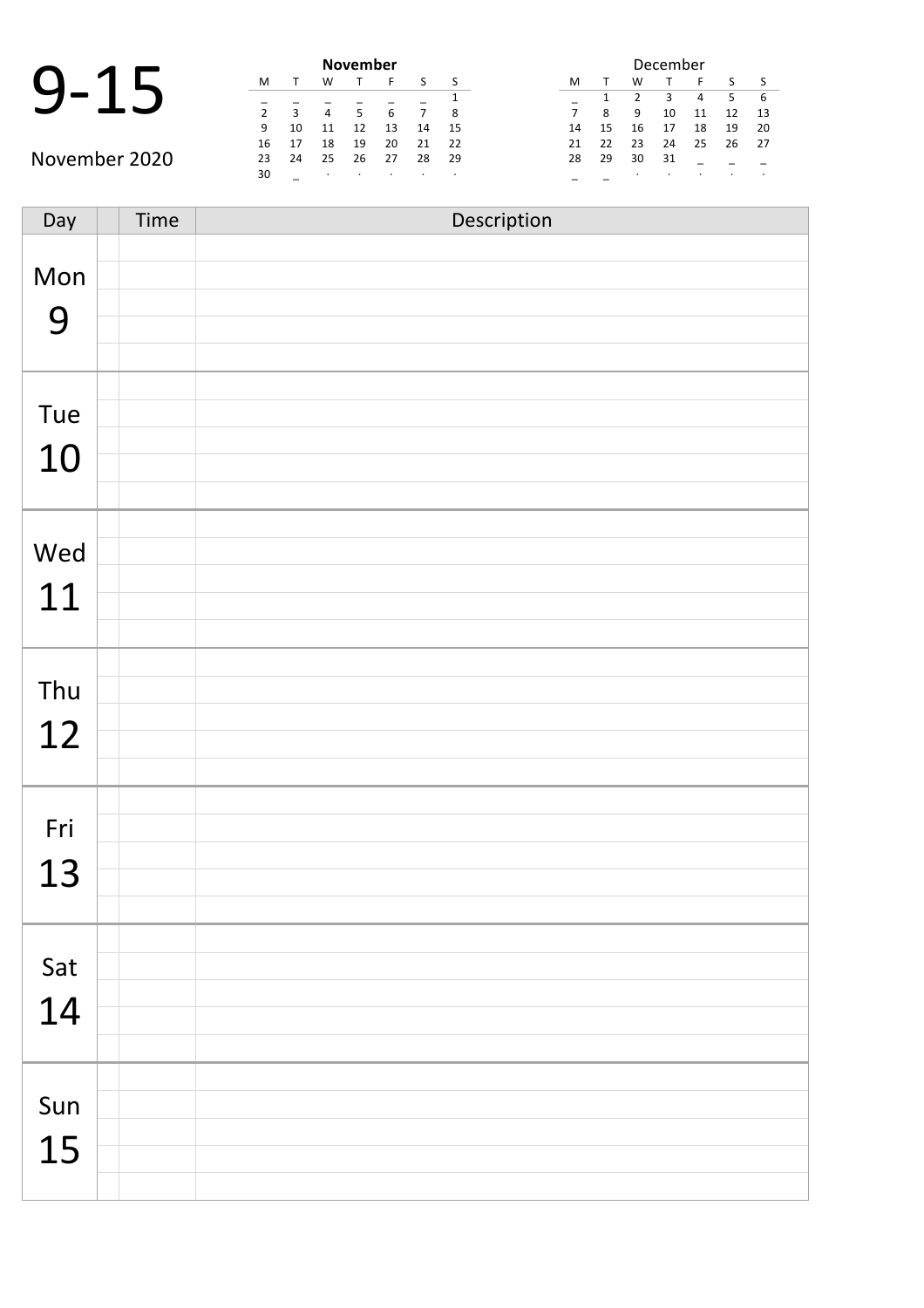| 9- | 15 |  |
|----|----|--|
|    |    |  |

| <b>November</b> |              |                |    |    |    |    |  |  |  |  |  |
|-----------------|--------------|----------------|----|----|----|----|--|--|--|--|--|
| М               |              | W              |    | F  |    |    |  |  |  |  |  |
|                 |              |                |    |    |    |    |  |  |  |  |  |
| $\mathcal{P}$   | $\mathbf{R}$ | $\overline{4}$ | 5  | 6  |    | 8  |  |  |  |  |  |
| 9               | 10           | 11             | 12 | 13 | 14 | 15 |  |  |  |  |  |
| 16              | 17           | 18             | 19 | 20 | 21 | 22 |  |  |  |  |  |
| 23              | 24           | 25             | 26 | 27 | 28 | 29 |  |  |  |  |  |
| 30              |              | ٠              |    |    |    |    |  |  |  |  |  |
|                 |              |                |    |    |    |    |  |  |  |  |  |

|    |    |    | December |    |    |    |
|----|----|----|----------|----|----|----|
| м  |    | w  |          | F  | ς  | S  |
|    | 1  | 2  | 3        | 4  | 5  | 6  |
| 7  | 8  | ٩  | 10       | 11 | 12 | 13 |
| 14 | 15 | 16 | 17       | 18 | 19 | 20 |
| 21 | 22 | 23 | 24       | 25 | 26 | 27 |
| 28 | 29 | 30 | 31       |    |    |    |
|    |    | ٠  |          | ٠  |    |    |

Day Time Description Mon 9 Tue 10 Wed 11 Thu 12 Fri 13 Sat 14 Sun 15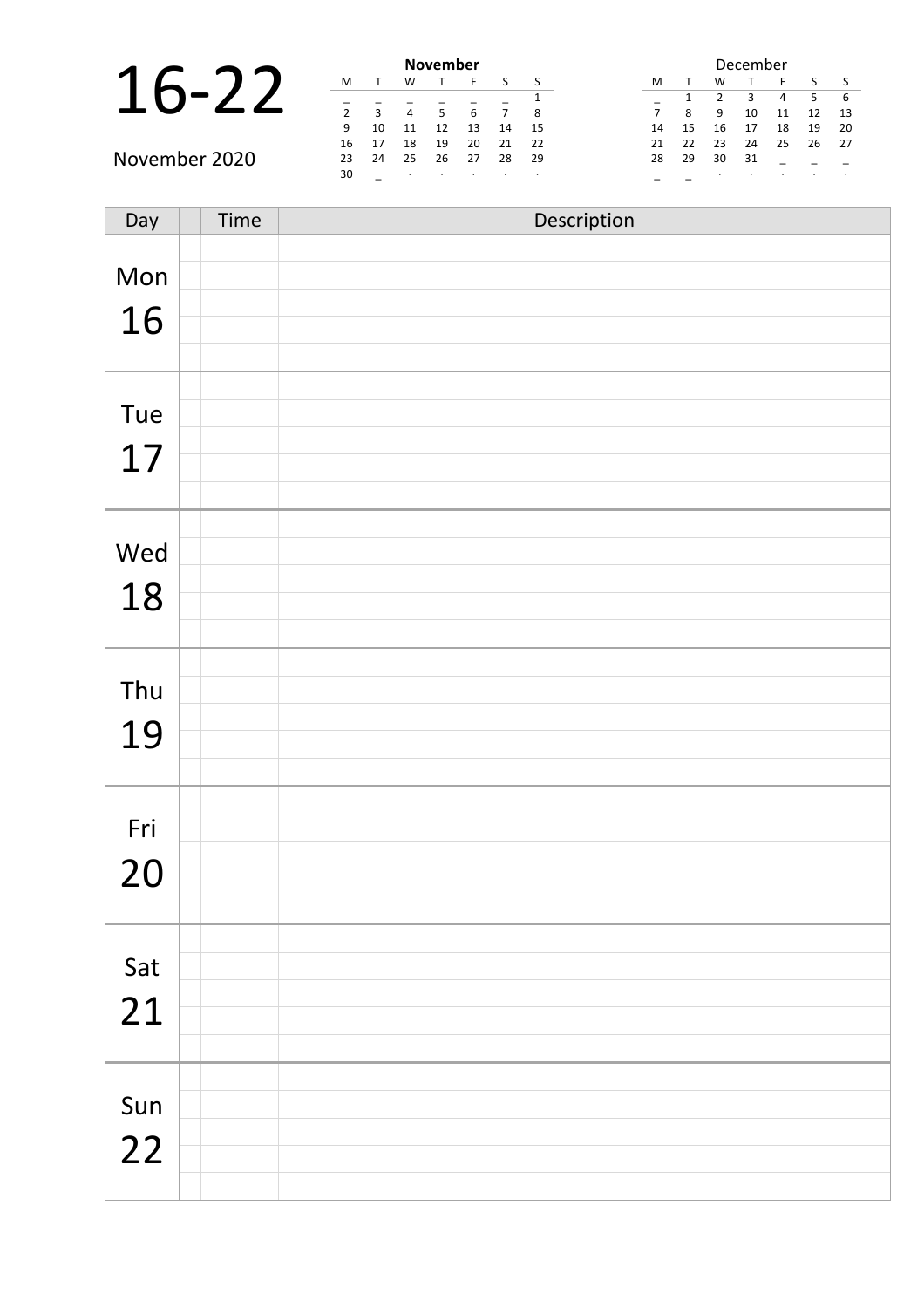|               |    |    |    | <b>November</b> |    |         |      |    | December |    |    |    |         |     |  |
|---------------|----|----|----|-----------------|----|---------|------|----|----------|----|----|----|---------|-----|--|
|               | M  |    | W  |                 |    |         |      | M  |          | W  |    |    |         |     |  |
|               |    |    |    |                 |    |         |      |    |          |    |    | 4  |         | - 6 |  |
|               |    | 3  | 4  |                 | b  |         | 8    |    | 8        | 9  | 10 | 11 |         | -13 |  |
|               | 9  | 10 |    | 12              | 13 | 14      | -15  | 14 | 15       | 16 | 17 | 18 | 19      | -20 |  |
|               | 16 | 17 | 18 | 19              | 20 | 21      | 22   | 21 | 22       | 23 | 24 | 25 | 26      | -27 |  |
| November 2020 | 23 | 24 | 25 | 26              | 27 | 28      | - 29 | 28 | 29       | 30 | 31 |    |         |     |  |
|               | 30 |    |    | $\cdot$         |    | $\cdot$ |      |    |          |    |    |    | $\cdot$ |     |  |

| Day | Time | Description |
|-----|------|-------------|
| Mon |      |             |
|     |      |             |
| 16  |      |             |
|     |      |             |
| Tue |      |             |
| 17  |      |             |
|     |      |             |
|     |      |             |
| Wed |      |             |
| 18  |      |             |
|     |      |             |
| Thu |      |             |
| 19  |      |             |
|     |      |             |
|     |      |             |
| Fri |      |             |
| 20  |      |             |
|     |      |             |
| Sat |      |             |
|     |      |             |
| 21  |      |             |
|     |      |             |
| Sun |      |             |
| 22  |      |             |
|     |      |             |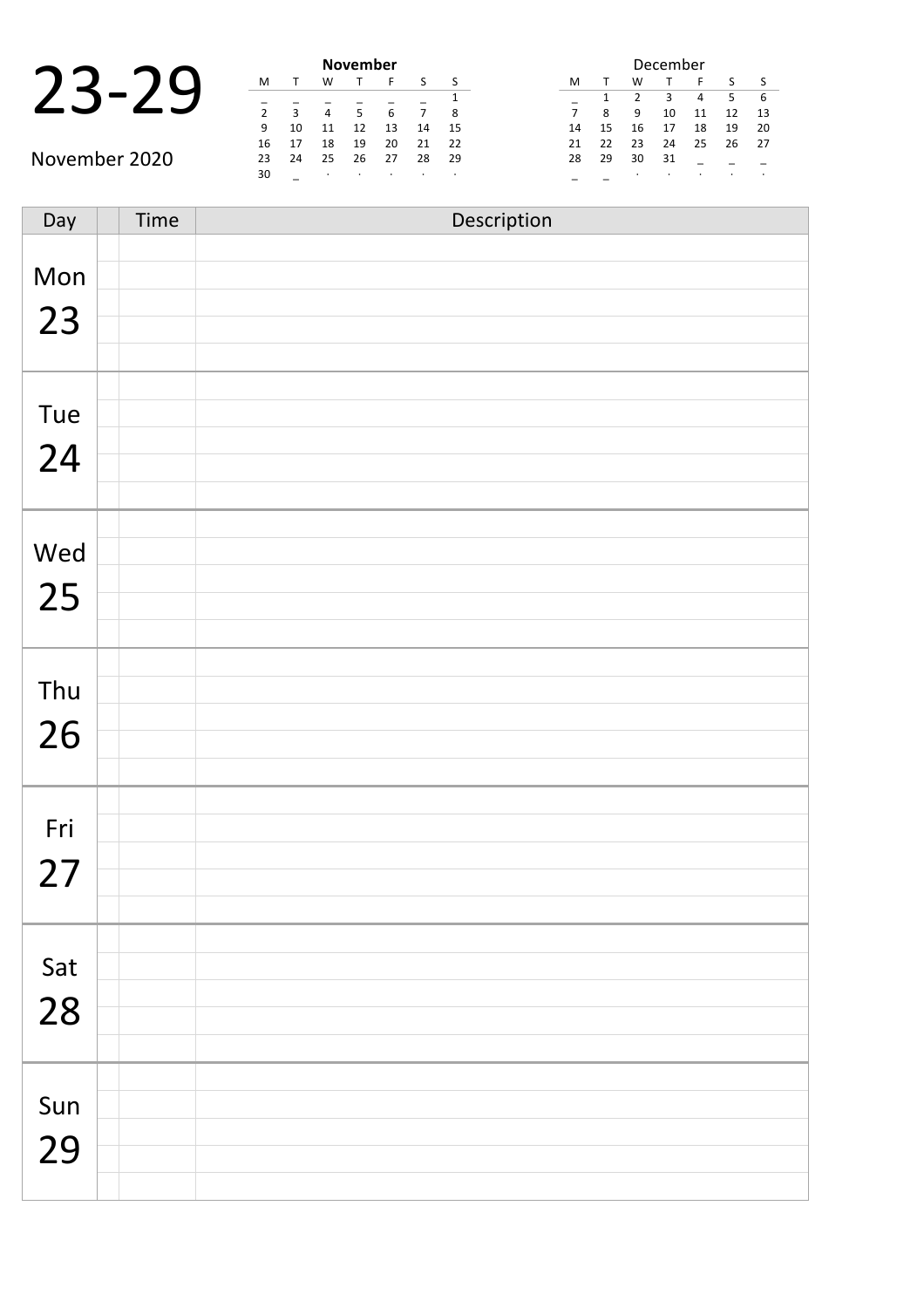|  |  | November |   |
|--|--|----------|---|
|  |  |          |   |
|  |  |          | 6 |
|  |  |          |   |

|               |               |    |    | <b>November</b> |    |    |    | December |    |    |    |    |    |                          |  |  |
|---------------|---------------|----|----|-----------------|----|----|----|----------|----|----|----|----|----|--------------------------|--|--|
|               | M             |    | W  |                 |    |    |    | M        |    | W  |    |    |    |                          |  |  |
|               |               |    |    |                 |    |    |    |          |    |    |    | 4  |    |                          |  |  |
|               | $\mathcal{P}$ |    |    |                 | 6  |    | -8 |          | 8  | 9  | 10 | 11 | 12 | 1                        |  |  |
|               | 9             | 10 | 11 | 12              | 13 | 14 | 15 | 14       | 15 | 16 |    | 18 | 19 | $\overline{2}$           |  |  |
|               | 16            |    | 18 | 19              | 20 | 21 | 22 | 21       | 22 | 23 | 24 | 25 | 26 | $\overline{\phantom{0}}$ |  |  |
| November 2020 | 23            | 24 | 25 | 26              | 27 | 28 | 29 | 28       | 29 | 30 | 31 |    |    |                          |  |  |
|               | 30            |    |    |                 |    |    |    |          |    |    |    |    |    |                          |  |  |

|    |    |    | December |    |    |    |
|----|----|----|----------|----|----|----|
| м  |    | W  |          | F  | S  | ς  |
|    | 1  | 2  | З        | 4  | 5  | 6  |
| 7  | 8  | ٩  | 10       | 11 | 12 | 13 |
| 14 | 15 | 16 | 17       | 18 | 19 | 20 |
| 21 | 22 | 23 | 24       | 25 | 26 | 27 |
| 28 | 29 | 30 | 31       |    |    |    |
|    |    |    |          | ٠  |    |    |

| Day | Time | Description |
|-----|------|-------------|
| Mon |      |             |
| 23  |      |             |
|     |      |             |
| Tue |      |             |
|     |      |             |
| 24  |      |             |
|     |      |             |
| Wed |      |             |
| 25  |      |             |
|     |      |             |
| Thu |      |             |
| 26  |      |             |
|     |      |             |
|     |      |             |
| Fri |      |             |
| 27  |      |             |
|     |      |             |
| Sat |      |             |
| 28  |      |             |
|     |      |             |
| Sun |      |             |
| 29  |      |             |
|     |      |             |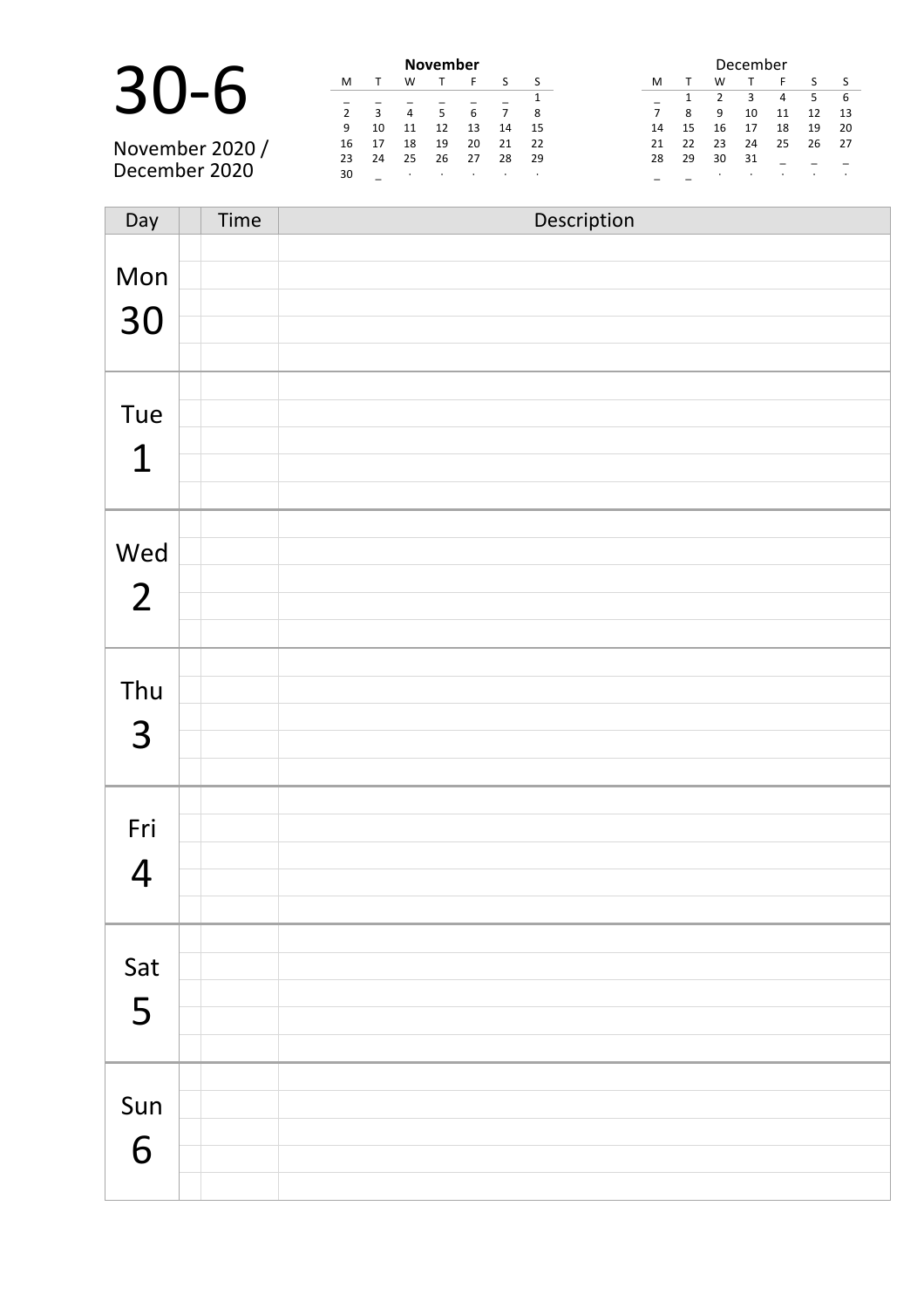|                 |    |              | <b>November</b> |    |    |  |
|-----------------|----|--------------|-----------------|----|----|--|
| $30 - 1$        | м  |              |                 |    | F. |  |
|                 |    | $\mathbf{R}$ | $\overline{4}$  |    | 6  |  |
|                 |    | 10           | 11              | 12 | 13 |  |
| November 2020 / | 16 | 17           | 18              | 19 | 20 |  |
|                 | 23 | 24           | 25              | 26 | 27 |  |
| December 2020   | 30 |              |                 |    |    |  |

| <b>November</b> |    |         |         |         |    |         | December |    |    |         |         |    |         |    |
|-----------------|----|---------|---------|---------|----|---------|----------|----|----|---------|---------|----|---------|----|
| M               |    | W       |         | ►       |    |         |          | м  |    | w       |         | Е  |         |    |
|                 |    |         |         |         |    |         |          |    |    |         | 3       | 4  | 5       | 6  |
|                 | 3  | 4       | 5       | 6       |    | 8       |          |    | 8  | 9       | 10      | 11 | 12      | 13 |
| 9               | 10 | 11      | 12      | 13      | 14 | 15      |          | 14 | 15 | 16      | 17      | 18 | 19      | 20 |
| 16              | 17 | 18      | 19      | 20      | 21 | 22      |          | 21 | 22 | 23      | 24      | 25 | 26      | 27 |
| 23              | 24 | 25      | 26      | 27      | 28 | 29      |          | 28 | 29 | 30      | 31      |    |         |    |
| 30              |    | $\cdot$ | $\cdot$ | $\cdot$ | ٠  | $\cdot$ |          |    |    | $\cdot$ | $\cdot$ |    | $\cdot$ |    |

| Day            | Time | Description |
|----------------|------|-------------|
|                |      |             |
| Mon            |      |             |
| 30             |      |             |
|                |      |             |
|                |      |             |
| Tue            |      |             |
| $\mathbf 1$    |      |             |
|                |      |             |
|                |      |             |
| Wed            |      |             |
| $\overline{2}$ |      |             |
|                |      |             |
|                |      |             |
| Thu            |      |             |
| $\overline{3}$ |      |             |
|                |      |             |
|                |      |             |
| Fri            |      |             |
| $\overline{4}$ |      |             |
|                |      |             |
|                |      |             |
| Sat            |      |             |
| 5              |      |             |
|                |      |             |
|                |      |             |
| Sun            |      |             |
| 6              |      |             |
|                |      |             |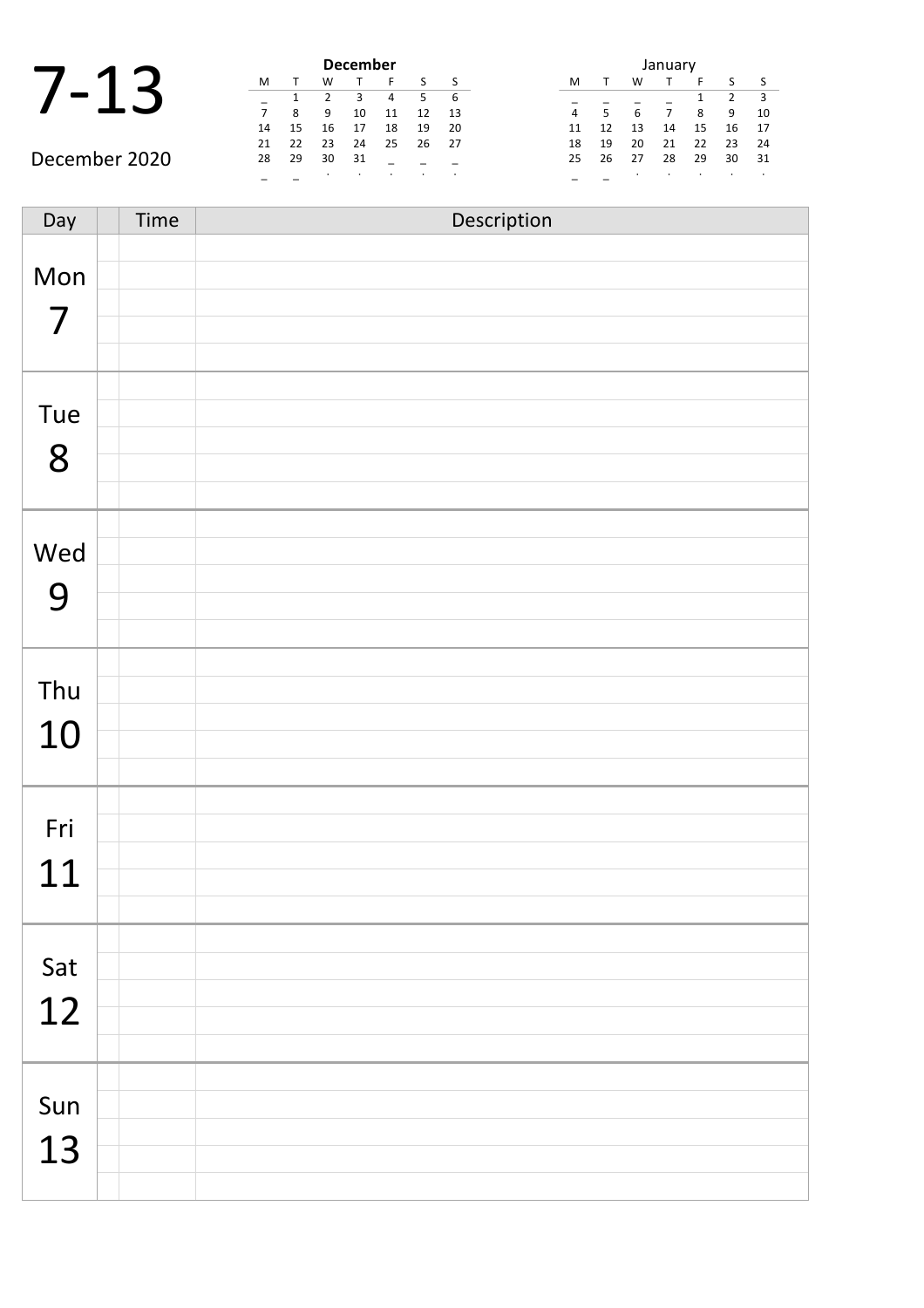|  | $\mathbf 1$ |  |
|--|-------------|--|
|  |             |  |

|               | <b>December</b> |    |    |    |    |    |    |  |  |  |  |  |
|---------------|-----------------|----|----|----|----|----|----|--|--|--|--|--|
|               | м               |    | w  |    |    |    |    |  |  |  |  |  |
|               |                 |    | 2  | 3  | 4  | 5  | 6  |  |  |  |  |  |
|               |                 | 8  | 9  | 10 | 11 | 12 | 13 |  |  |  |  |  |
|               | 14              | 15 | 16 | 17 | 18 | 19 | 20 |  |  |  |  |  |
|               | 21              | 22 | 23 | 24 | 25 | 26 | 27 |  |  |  |  |  |
| December 2020 | 28              | 29 | 30 | 31 |    |    |    |  |  |  |  |  |
|               |                 |    | ٠  |    | ٠  |    |    |  |  |  |  |  |

| January |    |                  |    |    |    |    |  |  |  |  |
|---------|----|------------------|----|----|----|----|--|--|--|--|
| м       |    | ς<br>w<br>F<br>S |    |    |    |    |  |  |  |  |
|         |    |                  |    | 1  | 2  | з  |  |  |  |  |
| 4       | 5  | 6                |    | 8  | 9  | 10 |  |  |  |  |
| 11      | 12 | 13               | 14 | 15 | 16 | 17 |  |  |  |  |
| 18      | 19 | 20               | 21 | 22 | 23 | 24 |  |  |  |  |
| 25      | 26 | 27               | 28 | 29 | 30 | 31 |  |  |  |  |
|         |    | ٠                |    |    |    |    |  |  |  |  |

Day Time Description Mon 7 Tue 8 Wed 9 Thu 10 Fri 11 Sat 12 Sun 13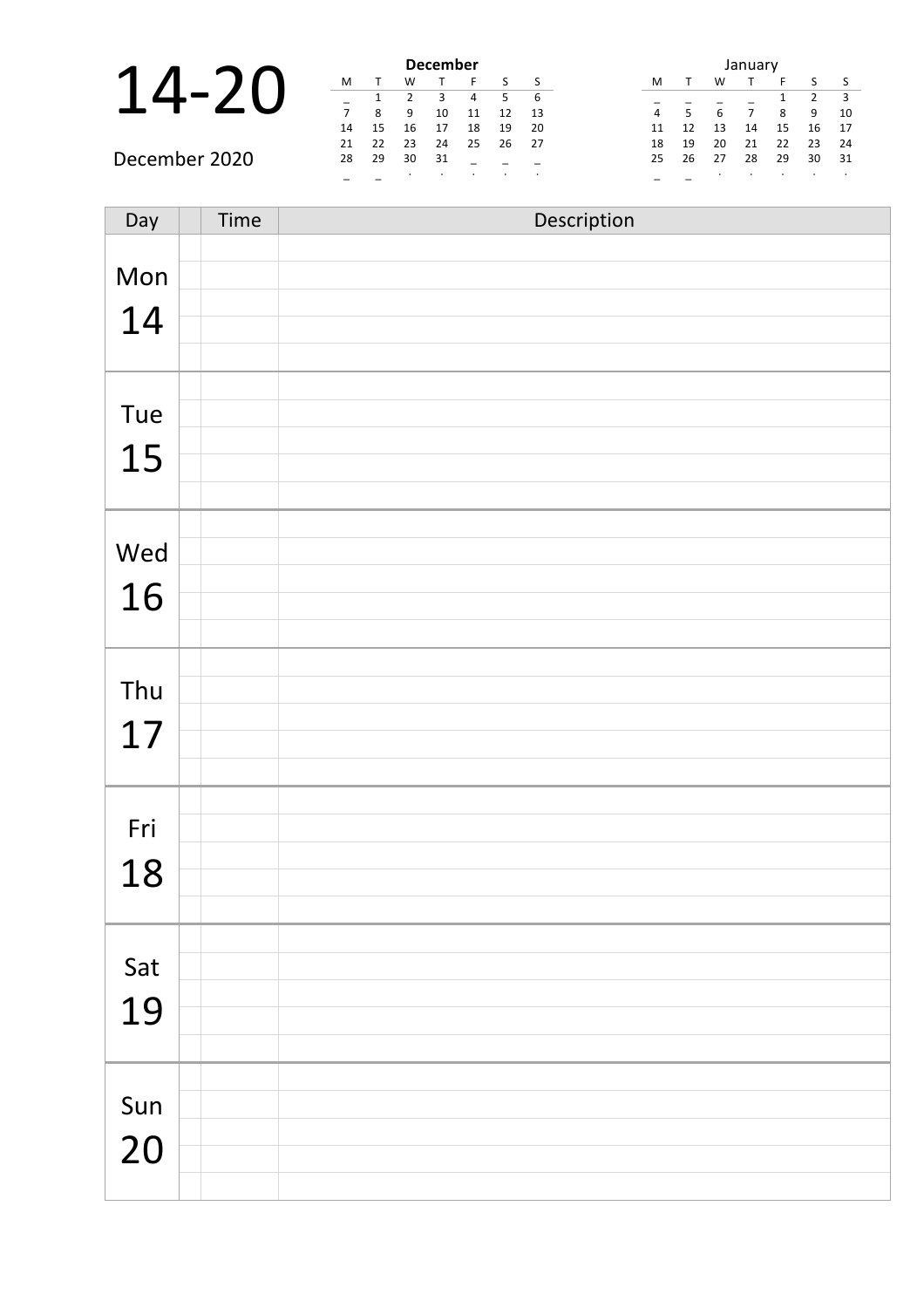|                |    |    |         | <b>December</b> |    |    |     |    | January |    |    |    |    |
|----------------|----|----|---------|-----------------|----|----|-----|----|---------|----|----|----|----|
| $\blacksquare$ | M  |    | W       |                 |    |    |     | M  |         | W  |    |    |    |
|                |    |    |         |                 |    |    | - 6 |    |         |    |    |    |    |
|                |    | 8  | 9       | 10              | 11 | 12 | 13  | 4  |         | 6  |    | 8  | 9  |
|                | 14 | 15 | 16      |                 | 18 | 19 | 20  | 11 |         | 13 | 14 | 15 | 16 |
|                | 21 | 22 | 23      | 24              | 25 | 26 | -27 | 18 | 19      | 20 | 21 | 22 | 23 |
| December 2020  | 28 | 29 | 30      | 31              |    |    |     | 25 | 26      | 27 | 28 | 29 | 30 |
|                |    |    | $\cdot$ |                 |    |    |     |    |         |    |    |    |    |

| Day | Time | Description |
|-----|------|-------------|
| Mon |      |             |
| 14  |      |             |
|     |      |             |
|     |      |             |
| Tue |      |             |
| 15  |      |             |
|     |      |             |
| Wed |      |             |
| 16  |      |             |
|     |      |             |
| Thu |      |             |
| 17  |      |             |
|     |      |             |
| Fri |      |             |
| 18  |      |             |
|     |      |             |
|     |      |             |
| Sat |      |             |
| 19  |      |             |
|     |      |             |
| Sun |      |             |
| 20  |      |             |
|     |      |             |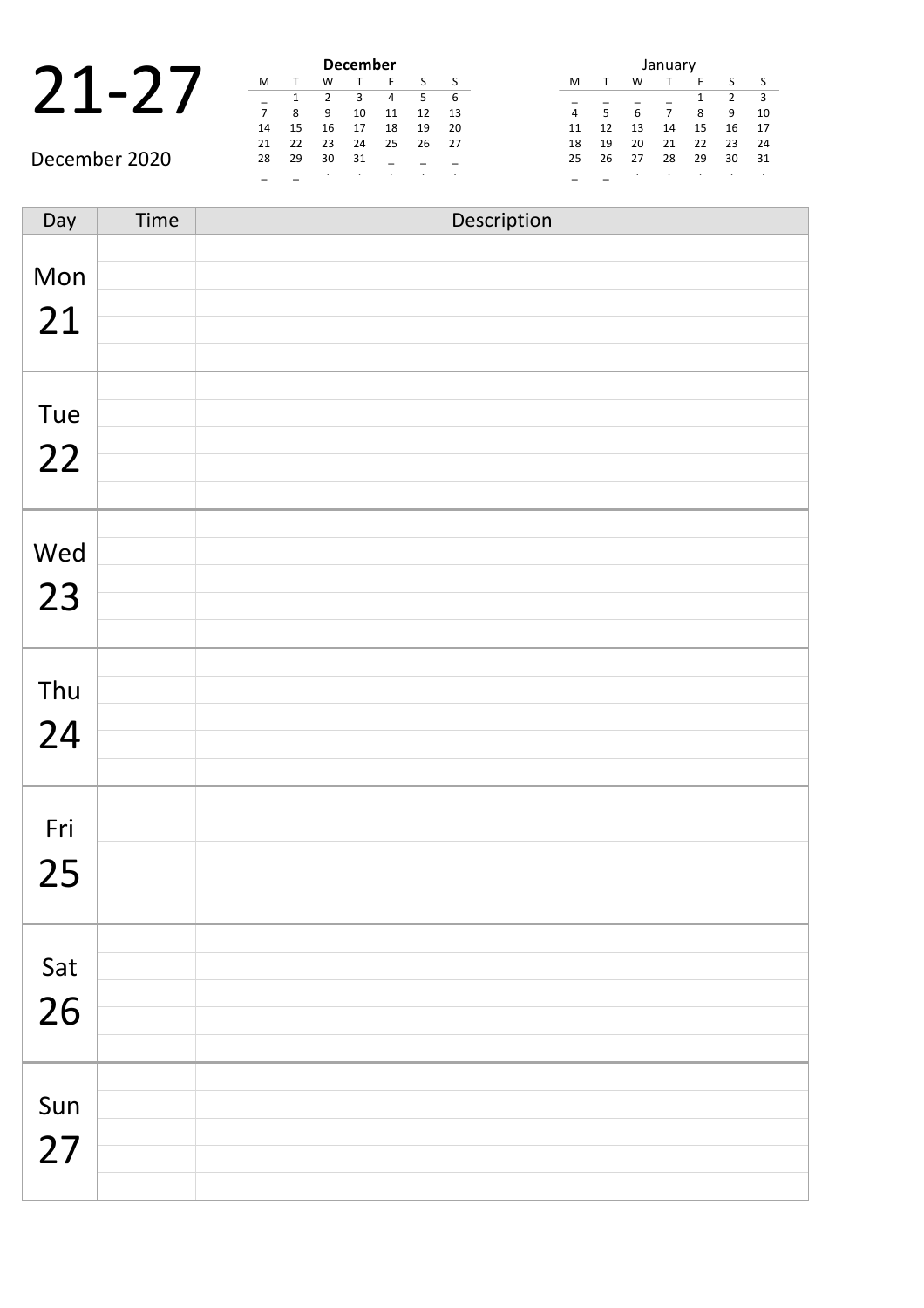|                          |    |  | <b>December</b> |    |
|--------------------------|----|--|-----------------|----|
|                          |    |  |                 |    |
| $\overline{\phantom{a}}$ |    |  |                 |    |
|                          |    |  |                 | 11 |
|                          | 14 |  |                 |    |

December 2020

|    |    |    | <b>December</b> |    |    |    |
|----|----|----|-----------------|----|----|----|
| м  |    | W  |                 | F  | S  | S  |
|    | 1  | 2  | ς               | 4  | 5  | 6  |
| 7  | 8  | 9  | 10              | 11 | 12 | 13 |
| 14 | 15 | 16 | 17              | 18 | 19 | 20 |
| 21 | 22 | 23 | 24              | 25 | 26 | 27 |
| 28 | 29 | 30 | 31              |    |    |    |
|    |    |    | ٠               | ٠  |    |    |

|    |    |    | January |    |               |    |
|----|----|----|---------|----|---------------|----|
| м  |    | w  |         | F  | S             | S  |
|    |    |    |         | 1  | $\mathcal{P}$ | 3  |
| 4  | 5  | 6  | 7       | 8  | 9             | 10 |
| 11 | 12 | 13 | 14      | 15 | 16            | 17 |
| 18 | 19 | 20 | 21      | 22 | 23            | 24 |
| 25 | 26 | 27 | 28      | 29 | 30            | 31 |
|    |    | ٠  |         |    |               |    |

Day Time Description Mon 21 Tue 22 Wed 23 Thu 24 Fri 25 Sat 26 Sun 27